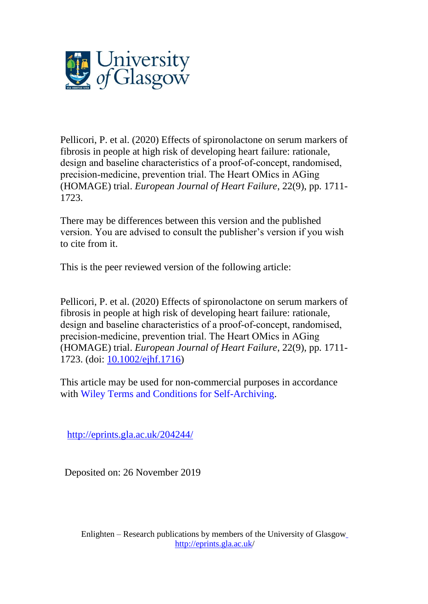

Pellicori, P. et al. (2020) Effects of spironolactone on serum markers of fibrosis in people at high risk of developing heart failure: rationale, design and baseline characteristics of a proof‐of‐concept, randomised, precision‐medicine, prevention trial. The Heart OMics in AGing (HOMAGE) trial. *European Journal of Heart Failure*, 22(9), pp. 1711- 1723.

There may be differences between this version and the published version. You are advised to consult the publisher's version if you wish to cite from it.

This is the peer reviewed version of the following article:

Pellicori, P. et al. (2020) Effects of spironolactone on serum markers of fibrosis in people at high risk of developing heart failure: rationale, design and baseline characteristics of a proof‐of‐concept, randomised, precision‐medicine, prevention trial. The Heart OMics in AGing (HOMAGE) trial. *European Journal of Heart Failure*, 22(9), pp. 1711- 1723. (doi: [10.1002/ejhf.1716\)](http://dx.doi.org/10.1002/ejhf.1716)

This article may be used for non-commercial purposes in accordance with Wiley Terms and Conditions for [Self-Archiving.](http://olabout.wiley.com/WileyCDA/Section/id-828039.html#terms)

<http://eprints.gla.ac.uk/204244/>

Deposited on: 26 November 2019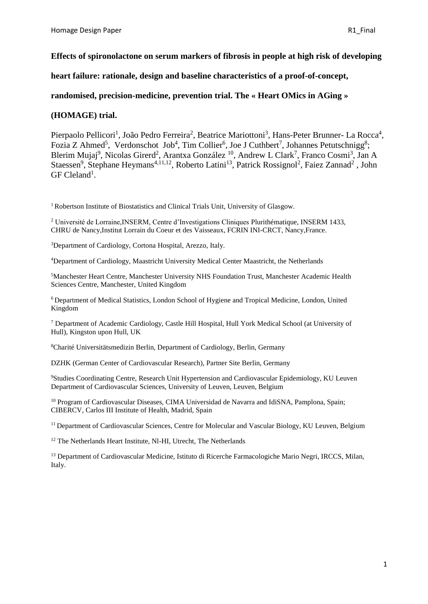# **Effects of spironolactone on serum markers of fibrosis in people at high risk of developing**

**heart failure: rationale, design and baseline characteristics of a proof-of-concept,** 

**randomised, precision-medicine, prevention trial. The « Heart OMics in AGing »**

**(HOMAGE) trial.**

Pierpaolo Pellicori<sup>1</sup>, João Pedro Ferreira<sup>2</sup>, Beatrice Mariottoni<sup>3</sup>, Hans-Peter Brunner- La Rocca<sup>4</sup>, Fozia Z Ahmed<sup>5</sup>, Verdonschot Job<sup>4</sup>, Tim Collier<sup>6</sup>, Joe J Cuthbert<sup>7</sup>, Johannes Petutschnigg<sup>8</sup>; Blerim Mujaj<sup>9</sup>, Nicolas Girerd<sup>2</sup>, Arantxa González <sup>10</sup>, Andrew L Clark<sup>7</sup>, Franco Cosmi<sup>3</sup>, Jan A Staessen<sup>9</sup>, Stephane Heymans<sup>4,11,12</sup>, Roberto Latini<sup>13</sup>, Patrick Rossignol<sup>2</sup>, Faiez Zannad<sup>2</sup>, John GF Cleland<sup>1</sup>.

<sup>1</sup> Robertson Institute of Biostatistics and Clinical Trials Unit, University of Glasgow.

<sup>2</sup> Université de Lorraine,INSERM, Centre d'Investigations Cliniques Plurithématique, INSERM 1433, CHRU de Nancy,Institut Lorrain du Coeur et des Vaisseaux, FCRIN INI-CRCT, Nancy,France.

<sup>3</sup>Department of Cardiology, Cortona Hospital, Arezzo, Italy.

<sup>4</sup>Department of Cardiology, Maastricht University Medical Center Maastricht, the Netherlands

<sup>5</sup>Manchester Heart Centre, Manchester University NHS Foundation Trust, Manchester Academic Health Sciences Centre, Manchester, United Kingdom

<sup>6</sup>Department of Medical Statistics, London School of Hygiene and Tropical Medicine, London, United Kingdom

<sup>7</sup> Department of Academic Cardiology, Castle Hill Hospital, Hull York Medical School (at University of Hull), Kingston upon Hull, UK

<sup>8</sup>Charité Universitätsmedizin Berlin, Department of Cardiology, Berlin, Germany

DZHK (German Center of Cardiovascular Research), Partner Site Berlin, Germany

<sup>9</sup>Studies Coordinating Centre, Research Unit Hypertension and Cardiovascular Epidemiology, KU Leuven Department of Cardiovascular Sciences, University of Leuven, Leuven, Belgium

<sup>10</sup> Program of Cardiovascular Diseases, CIMA Universidad de Navarra and IdiSNA, Pamplona, Spain; CIBERCV, Carlos III Institute of Health, Madrid, Spain

<sup>11</sup> Department of Cardiovascular Sciences, Centre for Molecular and Vascular Biology, KU Leuven, Belgium

<sup>12</sup> The Netherlands Heart Institute, Nl-HI, Utrecht, The Netherlands

<sup>13</sup> Department of Cardiovascular Medicine, Istituto di Ricerche Farmacologiche Mario Negri, IRCCS, Milan, Italy.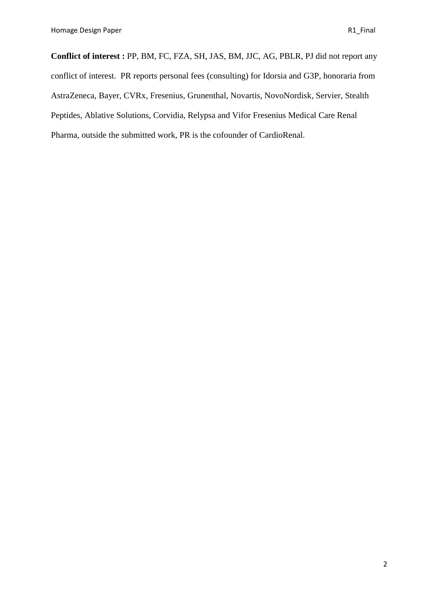**Conflict of interest :** PP, BM, FC, FZA, SH, JAS, BM, JJC, AG, PBLR, PJ did not report any conflict of interest. PR reports personal fees (consulting) for Idorsia and G3P, honoraria from AstraZeneca, Bayer, CVRx, Fresenius, Grunenthal, Novartis, NovoNordisk, Servier, Stealth Peptides, Ablative Solutions, Corvidia, Relypsa and Vifor Fresenius Medical Care Renal Pharma, outside the submitted work, PR is the cofounder of CardioRenal.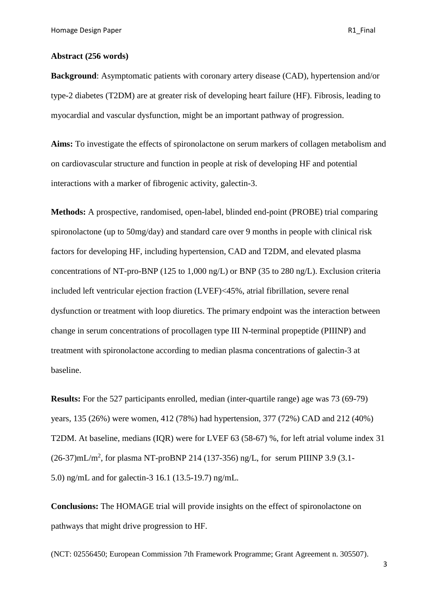## **Abstract (256 words)**

**Background**: Asymptomatic patients with coronary artery disease (CAD), hypertension and/or type-2 diabetes (T2DM) are at greater risk of developing heart failure (HF). Fibrosis, leading to myocardial and vascular dysfunction, might be an important pathway of progression.

**Aims:** To investigate the effects of spironolactone on serum markers of collagen metabolism and on cardiovascular structure and function in people at risk of developing HF and potential interactions with a marker of fibrogenic activity, galectin-3.

**Methods:** A prospective, randomised, open-label, blinded end-point (PROBE) trial comparing spironolactone (up to 50mg/day) and standard care over 9 months in people with clinical risk factors for developing HF, including hypertension, CAD and T2DM, and elevated plasma concentrations of NT-pro-BNP (125 to 1,000 ng/L) or BNP (35 to 280 ng/L). Exclusion criteria included left ventricular ejection fraction (LVEF)<45%, atrial fibrillation, severe renal dysfunction or treatment with loop diuretics. The primary endpoint was the interaction between change in serum concentrations of procollagen type III N-terminal propeptide (PIIINP) and treatment with spironolactone according to median plasma concentrations of galectin-3 at baseline.

**Results:** For the 527 participants enrolled, median (inter-quartile range) age was 73 (69-79) years, 135 (26%) were women, 412 (78%) had hypertension, 377 (72%) CAD and 212 (40%) T2DM. At baseline, medians (IQR) were for LVEF 63 (58-67) %, for left atrial volume index 31  $(26-37)$ mL/m<sup>2</sup>, for plasma NT-proBNP 214 (137-356) ng/L, for serum PIIINP 3.9 (3.1-5.0) ng/mL and for galectin-3 16.1 (13.5-19.7) ng/mL.

**Conclusions:** The HOMAGE trial will provide insights on the effect of spironolactone on pathways that might drive progression to HF.

(NCT: 02556450; European Commission 7th Framework Programme; Grant Agreement n. 305507).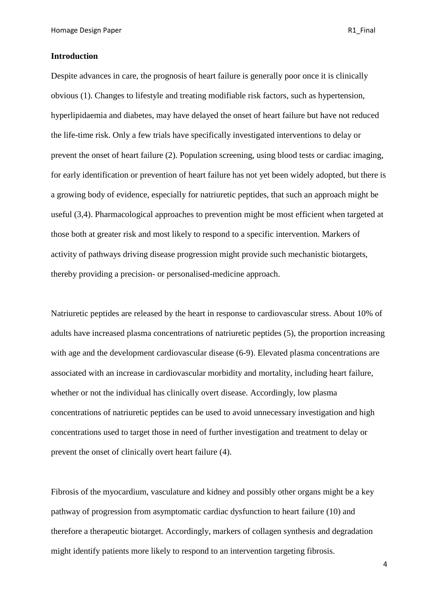## **Introduction**

Despite advances in care, the prognosis of heart failure is generally poor once it is clinically obvious (1). Changes to lifestyle and treating modifiable risk factors, such as hypertension, hyperlipidaemia and diabetes, may have delayed the onset of heart failure but have not reduced the life-time risk. Only a few trials have specifically investigated interventions to delay or prevent the onset of heart failure (2). Population screening, using blood tests or cardiac imaging, for early identification or prevention of heart failure has not yet been widely adopted, but there is a growing body of evidence, especially for natriuretic peptides, that such an approach might be useful (3,4). Pharmacological approaches to prevention might be most efficient when targeted at those both at greater risk and most likely to respond to a specific intervention. Markers of activity of pathways driving disease progression might provide such mechanistic biotargets, thereby providing a precision- or personalised-medicine approach.

Natriuretic peptides are released by the heart in response to cardiovascular stress. About 10% of adults have increased plasma concentrations of natriuretic peptides (5), the proportion increasing with age and the development cardiovascular disease (6-9). Elevated plasma concentrations are associated with an increase in cardiovascular morbidity and mortality, including heart failure, whether or not the individual has clinically overt disease. Accordingly, low plasma concentrations of natriuretic peptides can be used to avoid unnecessary investigation and high concentrations used to target those in need of further investigation and treatment to delay or prevent the onset of clinically overt heart failure (4).

Fibrosis of the myocardium, vasculature and kidney and possibly other organs might be a key pathway of progression from asymptomatic cardiac dysfunction to heart failure (10) and therefore a therapeutic biotarget. Accordingly, markers of collagen synthesis and degradation might identify patients more likely to respond to an intervention targeting fibrosis.

4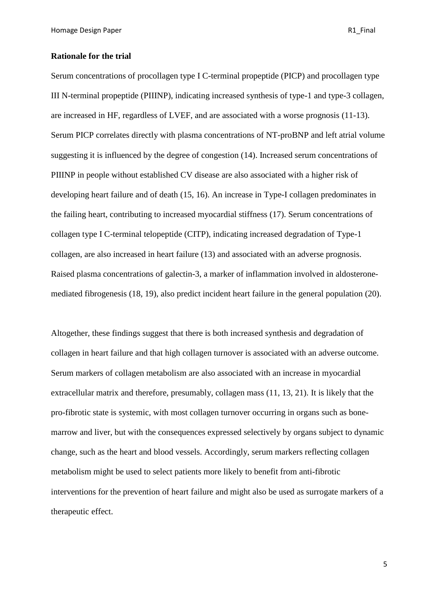# **Rationale for the trial**

Serum concentrations of procollagen type I C-terminal propeptide (PICP) and procollagen type III N-terminal propeptide (PIIINP), indicating increased synthesis of type-1 and type-3 collagen, are increased in HF, regardless of LVEF, and are associated with a worse prognosis (11-13). Serum PICP correlates directly with plasma concentrations of NT-proBNP and left atrial volume suggesting it is influenced by the degree of congestion (14). Increased serum concentrations of PIIINP in people without established CV disease are also associated with a higher risk of developing heart failure and of death (15, 16). An increase in Type-I collagen predominates in the failing heart, contributing to increased myocardial stiffness (17). Serum concentrations of collagen type I C-terminal telopeptide (CITP), indicating increased degradation of Type-1 collagen, are also increased in heart failure (13) and associated with an adverse prognosis. Raised plasma concentrations of galectin-3, a marker of inflammation involved in aldosteronemediated fibrogenesis (18, 19), also predict incident heart failure in the general population (20).

Altogether, these findings suggest that there is both increased synthesis and degradation of collagen in heart failure and that high collagen turnover is associated with an adverse outcome. Serum markers of collagen metabolism are also associated with an increase in myocardial extracellular matrix and therefore, presumably, collagen mass (11, 13, 21). It is likely that the pro-fibrotic state is systemic, with most collagen turnover occurring in organs such as bonemarrow and liver, but with the consequences expressed selectively by organs subject to dynamic change, such as the heart and blood vessels. Accordingly, serum markers reflecting collagen metabolism might be used to select patients more likely to benefit from anti-fibrotic interventions for the prevention of heart failure and might also be used as surrogate markers of a therapeutic effect.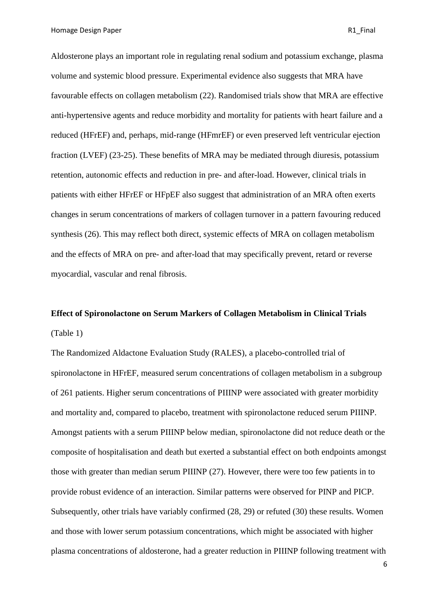Homage Design Paper **R1** Final

Aldosterone plays an important role in regulating renal sodium and potassium exchange, plasma volume and systemic blood pressure. Experimental evidence also suggests that MRA have favourable effects on collagen metabolism (22). Randomised trials show that MRA are effective anti-hypertensive agents and reduce morbidity and mortality for patients with heart failure and a reduced (HFrEF) and, perhaps, mid-range (HFmrEF) or even preserved left ventricular ejection fraction (LVEF) (23-25). These benefits of MRA may be mediated through diuresis, potassium retention, autonomic effects and reduction in pre- and after-load. However, clinical trials in patients with either HFrEF or HFpEF also suggest that administration of an MRA often exerts changes in serum concentrations of markers of collagen turnover in a pattern favouring reduced synthesis (26). This may reflect both direct, systemic effects of MRA on collagen metabolism and the effects of MRA on pre- and after-load that may specifically prevent, retard or reverse myocardial, vascular and renal fibrosis.

# **Effect of Spironolactone on Serum Markers of Collagen Metabolism in Clinical Trials** (Table 1)

The Randomized Aldactone Evaluation Study (RALES), a placebo-controlled trial of spironolactone in HFrEF, measured serum concentrations of collagen metabolism in a subgroup of 261 patients. Higher serum concentrations of PIIINP were associated with greater morbidity and mortality and, compared to placebo, treatment with spironolactone reduced serum PIIINP. Amongst patients with a serum PIIINP below median, spironolactone did not reduce death or the composite of hospitalisation and death but exerted a substantial effect on both endpoints amongst those with greater than median serum PIIINP (27). However, there were too few patients in to provide robust evidence of an interaction. Similar patterns were observed for PINP and PICP. Subsequently, other trials have variably confirmed (28, 29) or refuted (30) these results. Women and those with lower serum potassium concentrations, which might be associated with higher plasma concentrations of aldosterone, had a greater reduction in PIIINP following treatment with

6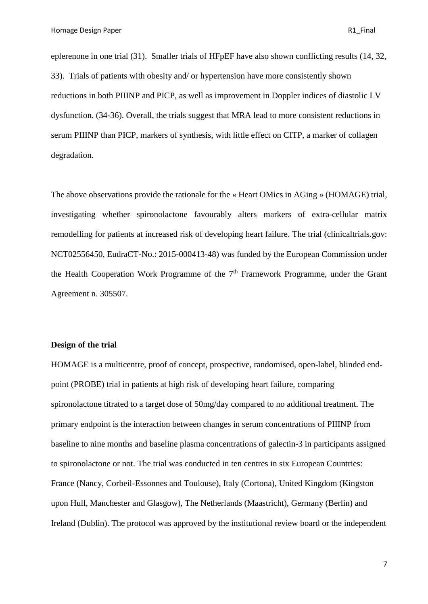eplerenone in one trial (31). Smaller trials of HFpEF have also shown conflicting results (14, 32, 33). Trials of patients with obesity and/ or hypertension have more consistently shown reductions in both PIIINP and PICP, as well as improvement in Doppler indices of diastolic LV dysfunction. (34-36). Overall, the trials suggest that MRA lead to more consistent reductions in serum PIIINP than PICP, markers of synthesis, with little effect on CITP, a marker of collagen degradation.

The above observations provide the rationale for the « Heart OMics in AGing » (HOMAGE) trial, investigating whether spironolactone favourably alters markers of extra-cellular matrix remodelling for patients at increased risk of developing heart failure. The trial (clinicaltrials.gov: NCT02556450, EudraCT-No.: 2015-000413-48) was funded by the European Commission under the Health Cooperation Work Programme of the 7<sup>th</sup> Framework Programme, under the Grant Agreement n. 305507.

# **Design of the trial**

HOMAGE is a multicentre, proof of concept, prospective, randomised, open-label, blinded endpoint (PROBE) trial in patients at high risk of developing heart failure, comparing spironolactone titrated to a target dose of 50mg/day compared to no additional treatment. The primary endpoint is the interaction between changes in serum concentrations of PIIINP from baseline to nine months and baseline plasma concentrations of galectin-3 in participants assigned to spironolactone or not. The trial was conducted in ten centres in six European Countries: France (Nancy, Corbeil-Essonnes and Toulouse), Italy (Cortona), United Kingdom (Kingston upon Hull, Manchester and Glasgow), The Netherlands (Maastricht), Germany (Berlin) and Ireland (Dublin). The protocol was approved by the institutional review board or the independent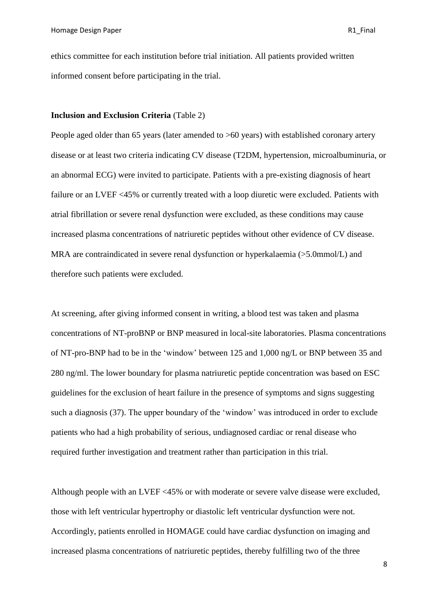ethics committee for each institution before trial initiation. All patients provided written informed consent before participating in the trial.

## **Inclusion and Exclusion Criteria** (Table 2)

People aged older than 65 years (later amended to >60 years) with established coronary artery disease or at least two criteria indicating CV disease (T2DM, hypertension, microalbuminuria, or an abnormal ECG) were invited to participate. Patients with a pre-existing diagnosis of heart failure or an LVEF <45% or currently treated with a loop diuretic were excluded. Patients with atrial fibrillation or severe renal dysfunction were excluded, as these conditions may cause increased plasma concentrations of natriuretic peptides without other evidence of CV disease. MRA are contraindicated in severe renal dysfunction or hyperkalaemia (>5.0mmol/L) and therefore such patients were excluded.

At screening, after giving informed consent in writing, a blood test was taken and plasma concentrations of NT-proBNP or BNP measured in local-site laboratories. Plasma concentrations of NT-pro-BNP had to be in the 'window' between 125 and 1,000 ng/L or BNP between 35 and 280 ng/ml. The lower boundary for plasma natriuretic peptide concentration was based on ESC guidelines for the exclusion of heart failure in the presence of symptoms and signs suggesting such a diagnosis (37). The upper boundary of the 'window' was introduced in order to exclude patients who had a high probability of serious, undiagnosed cardiac or renal disease who required further investigation and treatment rather than participation in this trial.

Although people with an LVEF <45% or with moderate or severe valve disease were excluded, those with left ventricular hypertrophy or diastolic left ventricular dysfunction were not. Accordingly, patients enrolled in HOMAGE could have cardiac dysfunction on imaging and increased plasma concentrations of natriuretic peptides, thereby fulfilling two of the three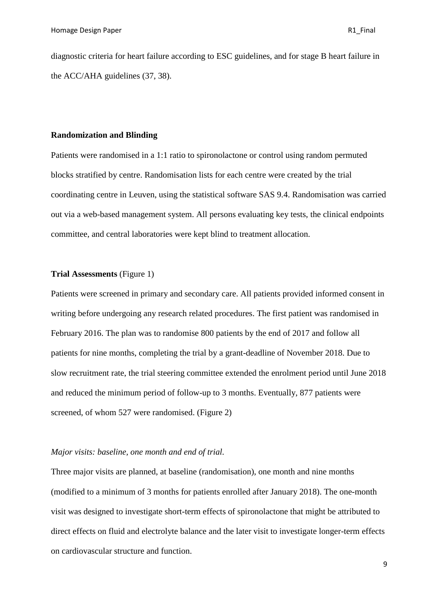diagnostic criteria for heart failure according to ESC guidelines, and for stage B heart failure in the ACC/AHA guidelines (37, 38).

## **Randomization and Blinding**

Patients were randomised in a 1:1 ratio to spironolactone or control using random permuted blocks stratified by centre. Randomisation lists for each centre were created by the trial coordinating centre in Leuven, using the statistical software SAS 9.4. Randomisation was carried out via a web-based management system. All persons evaluating key tests, the clinical endpoints committee, and central laboratories were kept blind to treatment allocation.

# **Trial Assessments** (Figure 1)

Patients were screened in primary and secondary care. All patients provided informed consent in writing before undergoing any research related procedures. The first patient was randomised in February 2016. The plan was to randomise 800 patients by the end of 2017 and follow all patients for nine months, completing the trial by a grant-deadline of November 2018. Due to slow recruitment rate, the trial steering committee extended the enrolment period until June 2018 and reduced the minimum period of follow-up to 3 months. Eventually, 877 patients were screened, of whom 527 were randomised. (Figure 2)

# *Major visits: baseline, one month and end of trial.*

Three major visits are planned, at baseline (randomisation), one month and nine months (modified to a minimum of 3 months for patients enrolled after January 2018). The one-month visit was designed to investigate short-term effects of spironolactone that might be attributed to direct effects on fluid and electrolyte balance and the later visit to investigate longer-term effects on cardiovascular structure and function.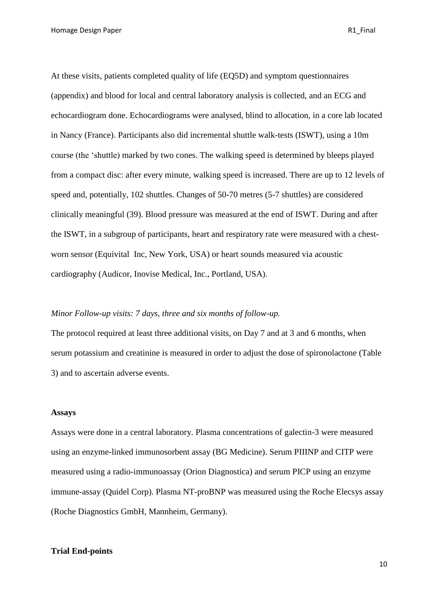Homage Design Paper **R1** Final

At these visits, patients completed quality of life (EQ5D) and symptom questionnaires (appendix) and blood for local and central laboratory analysis is collected, and an ECG and echocardiogram done. Echocardiograms were analysed, blind to allocation, in a core lab located in Nancy (France). Participants also did incremental shuttle walk-tests (ISWT), using a 10m course (the 'shuttle) marked by two cones. The walking speed is determined by bleeps played from a compact disc: after every minute, walking speed is increased. There are up to 12 levels of speed and, potentially, 102 shuttles. Changes of 50-70 metres (5-7 shuttles) are considered clinically meaningful (39). Blood pressure was measured at the end of ISWT. During and after the ISWT, in a subgroup of participants, heart and respiratory rate were measured with a chestworn sensor (Equivital Inc, New York, USA) or heart sounds measured via acoustic cardiography (Audicor, Inovise Medical, Inc., Portland, USA).

## *Minor Follow-up visits: 7 days, three and six months of follow-up.*

The protocol required at least three additional visits, on Day 7 and at 3 and 6 months, when serum potassium and creatinine is measured in order to adjust the dose of spironolactone (Table 3) and to ascertain adverse events.

#### **Assays**

Assays were done in a central laboratory. Plasma concentrations of galectin-3 were measured using an enzyme-linked immunosorbent assay (BG Medicine). Serum PIIINP and CITP were measured using a radio-immunoassay (Orion Diagnostica) and serum PICP using an enzyme immune-assay (Quidel Corp). Plasma NT-proBNP was measured using the Roche Elecsys assay (Roche Diagnostics GmbH, Mannheim, Germany).

## **Trial End-points**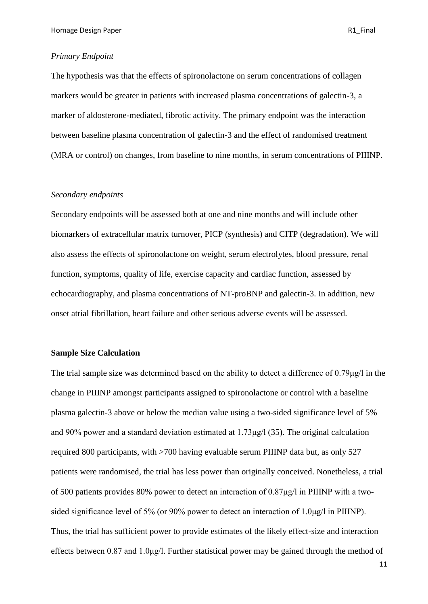#### *Primary Endpoint*

The hypothesis was that the effects of spironolactone on serum concentrations of collagen markers would be greater in patients with increased plasma concentrations of galectin-3, a marker of aldosterone-mediated, fibrotic activity. The primary endpoint was the interaction between baseline plasma concentration of galectin-3 and the effect of randomised treatment (MRA or control) on changes, from baseline to nine months, in serum concentrations of PIIINP.

## *Secondary endpoints*

Secondary endpoints will be assessed both at one and nine months and will include other biomarkers of extracellular matrix turnover, PICP (synthesis) and CITP (degradation). We will also assess the effects of spironolactone on weight, serum electrolytes, blood pressure, renal function, symptoms, quality of life, exercise capacity and cardiac function, assessed by echocardiography, and plasma concentrations of NT-proBNP and galectin-3. In addition, new onset atrial fibrillation, heart failure and other serious adverse events will be assessed.

## **Sample Size Calculation**

The trial sample size was determined based on the ability to detect a difference of 0.79μg/l in the change in PIIINP amongst participants assigned to spironolactone or control with a baseline plasma galectin-3 above or below the median value using a two-sided significance level of 5% and 90% power and a standard deviation estimated at 1.73μg/l (35). The original calculation required 800 participants, with >700 having evaluable serum PIIINP data but, as only 527 patients were randomised, the trial has less power than originally conceived. Nonetheless, a trial of 500 patients provides 80% power to detect an interaction of 0.87μg/l in PIIINP with a twosided significance level of 5% (or 90% power to detect an interaction of 1.0μg/l in PIIINP). Thus, the trial has sufficient power to provide estimates of the likely effect-size and interaction effects between 0.87 and 1.0μg/l. Further statistical power may be gained through the method of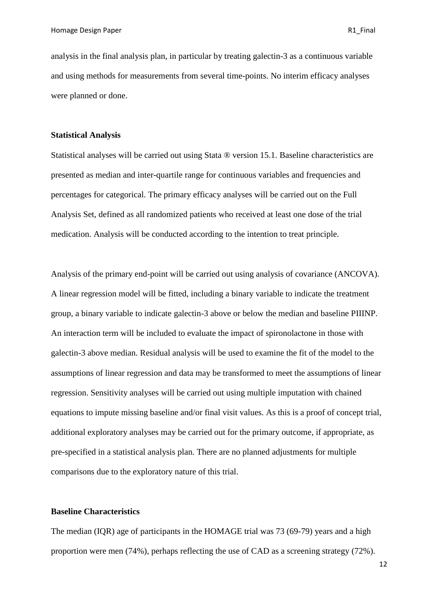analysis in the final analysis plan, in particular by treating galectin-3 as a continuous variable and using methods for measurements from several time-points. No interim efficacy analyses were planned or done.

## **Statistical Analysis**

Statistical analyses will be carried out using Stata ® version 15.1. Baseline characteristics are presented as median and inter-quartile range for continuous variables and frequencies and percentages for categorical. The primary efficacy analyses will be carried out on the Full Analysis Set, defined as all randomized patients who received at least one dose of the trial medication. Analysis will be conducted according to the intention to treat principle.

Analysis of the primary end-point will be carried out using analysis of covariance (ANCOVA). A linear regression model will be fitted, including a binary variable to indicate the treatment group, a binary variable to indicate galectin-3 above or below the median and baseline PIIINP. An interaction term will be included to evaluate the impact of spironolactone in those with galectin-3 above median. Residual analysis will be used to examine the fit of the model to the assumptions of linear regression and data may be transformed to meet the assumptions of linear regression. Sensitivity analyses will be carried out using multiple imputation with chained equations to impute missing baseline and/or final visit values. As this is a proof of concept trial, additional exploratory analyses may be carried out for the primary outcome, if appropriate, as pre-specified in a statistical analysis plan. There are no planned adjustments for multiple comparisons due to the exploratory nature of this trial.

# **Baseline Characteristics**

The median (IQR) age of participants in the HOMAGE trial was 73 (69-79) years and a high proportion were men (74%), perhaps reflecting the use of CAD as a screening strategy (72%).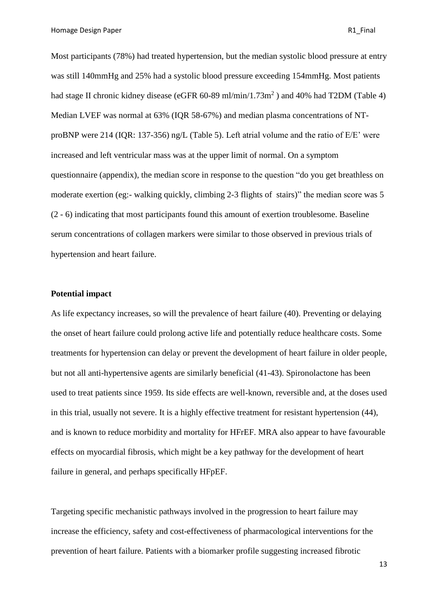Homage Design Paper **R1** Final

Most participants (78%) had treated hypertension, but the median systolic blood pressure at entry was still 140mmHg and 25% had a systolic blood pressure exceeding 154mmHg. Most patients had stage II chronic kidney disease (eGFR 60-89 ml/min/1.73m<sup>2</sup>) and 40% had T2DM (Table 4) Median LVEF was normal at 63% (IQR 58-67%) and median plasma concentrations of NTproBNP were 214 (IQR: 137-356) ng/L (Table 5). Left atrial volume and the ratio of E/E' were increased and left ventricular mass was at the upper limit of normal. On a symptom questionnaire (appendix), the median score in response to the question "do you get breathless on moderate exertion (eg:- walking quickly, climbing 2-3 flights of stairs)" the median score was 5 (2 - 6) indicating that most participants found this amount of exertion troublesome. Baseline serum concentrations of collagen markers were similar to those observed in previous trials of hypertension and heart failure.

# **Potential impact**

As life expectancy increases, so will the prevalence of heart failure (40). Preventing or delaying the onset of heart failure could prolong active life and potentially reduce healthcare costs. Some treatments for hypertension can delay or prevent the development of heart failure in older people, but not all anti-hypertensive agents are similarly beneficial (41-43). Spironolactone has been used to treat patients since 1959. Its side effects are well-known, reversible and, at the doses used in this trial, usually not severe. It is a highly effective treatment for resistant hypertension (44), and is known to reduce morbidity and mortality for HFrEF. MRA also appear to have favourable effects on myocardial fibrosis, which might be a key pathway for the development of heart failure in general, and perhaps specifically HFpEF.

Targeting specific mechanistic pathways involved in the progression to heart failure may increase the efficiency, safety and cost-effectiveness of pharmacological interventions for the prevention of heart failure. Patients with a biomarker profile suggesting increased fibrotic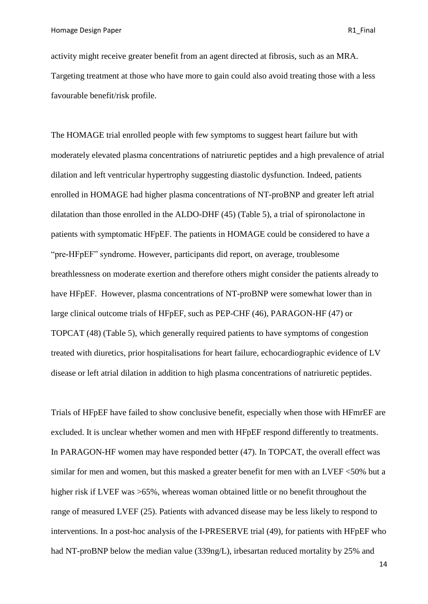activity might receive greater benefit from an agent directed at fibrosis, such as an MRA. Targeting treatment at those who have more to gain could also avoid treating those with a less favourable benefit/risk profile.

The HOMAGE trial enrolled people with few symptoms to suggest heart failure but with moderately elevated plasma concentrations of natriuretic peptides and a high prevalence of atrial dilation and left ventricular hypertrophy suggesting diastolic dysfunction. Indeed, patients enrolled in HOMAGE had higher plasma concentrations of NT-proBNP and greater left atrial dilatation than those enrolled in the ALDO-DHF (45) (Table 5), a trial of spironolactone in patients with symptomatic HFpEF. The patients in HOMAGE could be considered to have a "pre-HFpEF" syndrome. However, participants did report, on average, troublesome breathlessness on moderate exertion and therefore others might consider the patients already to have HFpEF. However, plasma concentrations of NT-proBNP were somewhat lower than in large clinical outcome trials of HFpEF, such as PEP-CHF (46), PARAGON-HF (47) or TOPCAT (48) (Table 5), which generally required patients to have symptoms of congestion treated with diuretics, prior hospitalisations for heart failure, echocardiographic evidence of LV disease or left atrial dilation in addition to high plasma concentrations of natriuretic peptides.

Trials of HFpEF have failed to show conclusive benefit, especially when those with HFmrEF are excluded. It is unclear whether women and men with HFpEF respond differently to treatments. In PARAGON-HF women may have responded better (47). In TOPCAT, the overall effect was similar for men and women, but this masked a greater benefit for men with an LVEF <50% but a higher risk if LVEF was  $>65\%$ , whereas woman obtained little or no benefit throughout the range of measured LVEF (25). Patients with advanced disease may be less likely to respond to interventions. In a post-hoc analysis of the I-PRESERVE trial (49), for patients with HFpEF who had NT-proBNP below the median value (339ng/L), irbesartan reduced mortality by 25% and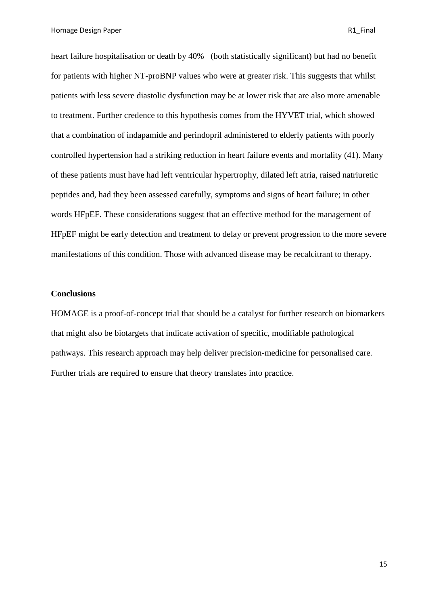Homage Design Paper **R1** Final

heart failure hospitalisation or death by 40% (both statistically significant) but had no benefit for patients with higher NT-proBNP values who were at greater risk. This suggests that whilst patients with less severe diastolic dysfunction may be at lower risk that are also more amenable to treatment. Further credence to this hypothesis comes from the HYVET trial, which showed that a combination of indapamide and perindopril administered to elderly patients with poorly controlled hypertension had a striking reduction in heart failure events and mortality (41). Many of these patients must have had left ventricular hypertrophy, dilated left atria, raised natriuretic peptides and, had they been assessed carefully, symptoms and signs of heart failure; in other words HFpEF. These considerations suggest that an effective method for the management of HFpEF might be early detection and treatment to delay or prevent progression to the more severe manifestations of this condition. Those with advanced disease may be recalcitrant to therapy.

# **Conclusions**

HOMAGE is a proof-of-concept trial that should be a catalyst for further research on biomarkers that might also be biotargets that indicate activation of specific, modifiable pathological pathways. This research approach may help deliver precision-medicine for personalised care. Further trials are required to ensure that theory translates into practice.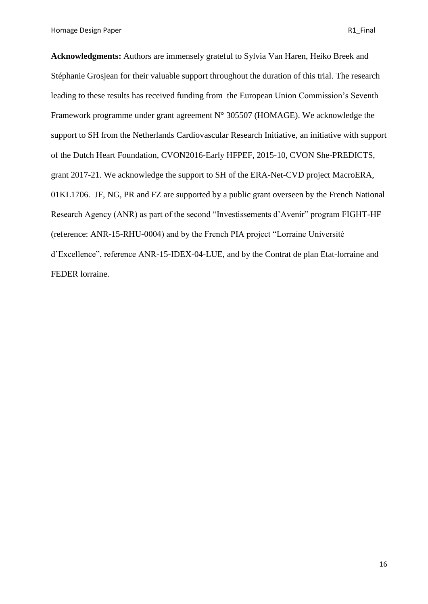Homage Design Paper **R1** Final

**Acknowledgments:** Authors are immensely grateful to Sylvia Van Haren, Heiko Breek and Stéphanie Grosjean for their valuable support throughout the duration of this trial. The research leading to these results has received funding from the European Union Commission's Seventh Framework programme under grant agreement  $N^{\circ}$  305507 (HOMAGE). We acknowledge the support to SH from the Netherlands Cardiovascular Research Initiative, an initiative with support of the Dutch Heart Foundation, CVON2016-Early HFPEF, 2015-10, CVON She-PREDICTS, grant 2017-21. We acknowledge the support to SH of the ERA-Net-CVD project MacroERA, 01KL1706. JF, NG, PR and FZ are supported by a public grant overseen by the French National Research Agency (ANR) as part of the second "Investissements d'Avenir" program FIGHT-HF (reference: ANR-15-RHU-0004) and by the French PIA project "Lorraine Université d'Excellence", reference ANR-15-IDEX-04-LUE, and by the Contrat de plan Etat-lorraine and FEDER lorraine.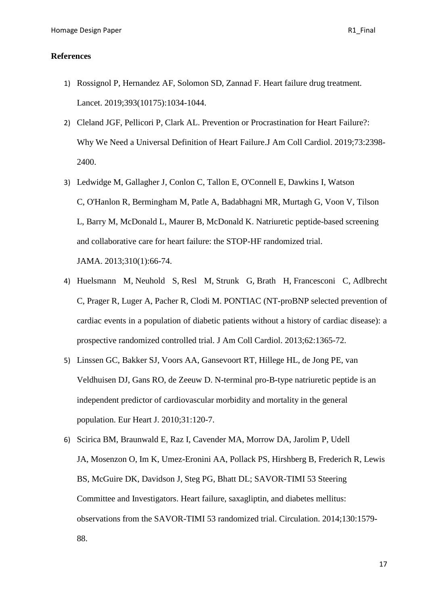# **References**

- 1) [Rossignol P,](https://www.ncbi.nlm.nih.gov/pubmed/?term=Rossignol%20P%5BAuthor%5D&cauthor=true&cauthor_uid=30860029) [Hernandez AF,](https://www.ncbi.nlm.nih.gov/pubmed/?term=Hernandez%20AF%5BAuthor%5D&cauthor=true&cauthor_uid=30860029) [Solomon SD,](https://www.ncbi.nlm.nih.gov/pubmed/?term=Solomon%20SD%5BAuthor%5D&cauthor=true&cauthor_uid=30860029) [Zannad](https://www.ncbi.nlm.nih.gov/pubmed/?term=Zannad%20F%5BAuthor%5D&cauthor=true&cauthor_uid=30860029) F. Heart failure drug treatment. [Lancet.](https://www.ncbi.nlm.nih.gov/pubmed/30860029) 2019;393(10175):1034-1044.
- 2) Cleland JGF, Pellicori P, Clark AL. [Prevention or Procrastination for Heart](https://www.ncbi.nlm.nih.gov/pubmed/31097158) Failure?: [Why We Need a Universal Definition of Heart](https://www.ncbi.nlm.nih.gov/pubmed/31097158) Failure.J Am Coll Cardiol. 2019;73:2398- 2400.
- 3) [Ledwidge M,](https://www.ncbi.nlm.nih.gov/pubmed/?term=Ledwidge%20M%5BAuthor%5D&cauthor=true&cauthor_uid=23821090) [Gallagher J,](https://www.ncbi.nlm.nih.gov/pubmed/?term=Gallagher%20J%5BAuthor%5D&cauthor=true&cauthor_uid=23821090) [Conlon C,](https://www.ncbi.nlm.nih.gov/pubmed/?term=Conlon%20C%5BAuthor%5D&cauthor=true&cauthor_uid=23821090) [Tallon E,](https://www.ncbi.nlm.nih.gov/pubmed/?term=Tallon%20E%5BAuthor%5D&cauthor=true&cauthor_uid=23821090) [O'Connell E,](https://www.ncbi.nlm.nih.gov/pubmed/?term=O%27Connell%20E%5BAuthor%5D&cauthor=true&cauthor_uid=23821090) [Dawkins I,](https://www.ncbi.nlm.nih.gov/pubmed/?term=Dawkins%20I%5BAuthor%5D&cauthor=true&cauthor_uid=23821090) [Watson](https://www.ncbi.nlm.nih.gov/pubmed/?term=Watson%20C%5BAuthor%5D&cauthor=true&cauthor_uid=23821090)  [C,](https://www.ncbi.nlm.nih.gov/pubmed/?term=Watson%20C%5BAuthor%5D&cauthor=true&cauthor_uid=23821090) [O'Hanlon R,](https://www.ncbi.nlm.nih.gov/pubmed/?term=O%27Hanlon%20R%5BAuthor%5D&cauthor=true&cauthor_uid=23821090) [Bermingham M,](https://www.ncbi.nlm.nih.gov/pubmed/?term=Bermingham%20M%5BAuthor%5D&cauthor=true&cauthor_uid=23821090) [Patle A,](https://www.ncbi.nlm.nih.gov/pubmed/?term=Patle%20A%5BAuthor%5D&cauthor=true&cauthor_uid=23821090) [Badabhagni MR,](https://www.ncbi.nlm.nih.gov/pubmed/?term=Badabhagni%20MR%5BAuthor%5D&cauthor=true&cauthor_uid=23821090) [Murtagh G,](https://www.ncbi.nlm.nih.gov/pubmed/?term=Murtagh%20G%5BAuthor%5D&cauthor=true&cauthor_uid=23821090) [Voon V,](https://www.ncbi.nlm.nih.gov/pubmed/?term=Voon%20V%5BAuthor%5D&cauthor=true&cauthor_uid=23821090) [Tilson](https://www.ncbi.nlm.nih.gov/pubmed/?term=Tilson%20L%5BAuthor%5D&cauthor=true&cauthor_uid=23821090)  [L,](https://www.ncbi.nlm.nih.gov/pubmed/?term=Tilson%20L%5BAuthor%5D&cauthor=true&cauthor_uid=23821090) [Barry M,](https://www.ncbi.nlm.nih.gov/pubmed/?term=Barry%20M%5BAuthor%5D&cauthor=true&cauthor_uid=23821090) [McDonald L,](https://www.ncbi.nlm.nih.gov/pubmed/?term=McDonald%20L%5BAuthor%5D&cauthor=true&cauthor_uid=23821090) [Maurer B,](https://www.ncbi.nlm.nih.gov/pubmed/?term=Maurer%20B%5BAuthor%5D&cauthor=true&cauthor_uid=23821090) [McDonald K.](https://www.ncbi.nlm.nih.gov/pubmed/?term=McDonald%20K%5BAuthor%5D&cauthor=true&cauthor_uid=23821090) Natriuretic peptide-based screening and collaborative care for heart failure: the STOP-HF randomized trial. [JAMA.](https://www.ncbi.nlm.nih.gov/pubmed/23821090) 2013;310(1):66-74.
- 4) [Huelsmann M,](https://www.ncbi.nlm.nih.gov/pubmed/?term=Huelsmann%20M%5BAuthor%5D&cauthor=true&cauthor_uid=23810874) [Neuhold S,](https://www.ncbi.nlm.nih.gov/pubmed/?term=Neuhold%20S%5BAuthor%5D&cauthor=true&cauthor_uid=23810874) [Resl M,](https://www.ncbi.nlm.nih.gov/pubmed/?term=Resl%20M%5BAuthor%5D&cauthor=true&cauthor_uid=23810874) [Strunk G,](https://www.ncbi.nlm.nih.gov/pubmed/?term=Strunk%20G%5BAuthor%5D&cauthor=true&cauthor_uid=23810874) [Brath H,](https://www.ncbi.nlm.nih.gov/pubmed/?term=Brath%20H%5BAuthor%5D&cauthor=true&cauthor_uid=23810874) [Francesconi C,](https://www.ncbi.nlm.nih.gov/pubmed/?term=Francesconi%20C%5BAuthor%5D&cauthor=true&cauthor_uid=23810874) [Adlbrecht](https://www.ncbi.nlm.nih.gov/pubmed/?term=Adlbrecht%20C%5BAuthor%5D&cauthor=true&cauthor_uid=23810874)  [C,](https://www.ncbi.nlm.nih.gov/pubmed/?term=Adlbrecht%20C%5BAuthor%5D&cauthor=true&cauthor_uid=23810874) [Prager R,](https://www.ncbi.nlm.nih.gov/pubmed/?term=Prager%20R%5BAuthor%5D&cauthor=true&cauthor_uid=23810874) [Luger A,](https://www.ncbi.nlm.nih.gov/pubmed/?term=Luger%20A%5BAuthor%5D&cauthor=true&cauthor_uid=23810874) [Pacher R,](https://www.ncbi.nlm.nih.gov/pubmed/?term=Pacher%20R%5BAuthor%5D&cauthor=true&cauthor_uid=23810874) [Clodi M.](https://www.ncbi.nlm.nih.gov/pubmed/?term=Clodi%20M%5BAuthor%5D&cauthor=true&cauthor_uid=23810874) PONTIAC (NT-proBNP selected prevention of cardiac events in a population of diabetic patients without a history of cardiac disease): a prospective randomized controlled trial. [J Am Coll Cardiol.](https://www.ncbi.nlm.nih.gov/pubmed/23810874) 2013;62:1365-72.
- 5) [Linssen GC,](https://www.ncbi.nlm.nih.gov/pubmed/?term=Linssen%20GC%5BAuthor%5D&cauthor=true&cauthor_uid=19854731) [Bakker SJ,](https://www.ncbi.nlm.nih.gov/pubmed/?term=Bakker%20SJ%5BAuthor%5D&cauthor=true&cauthor_uid=19854731) [Voors AA,](https://www.ncbi.nlm.nih.gov/pubmed/?term=Voors%20AA%5BAuthor%5D&cauthor=true&cauthor_uid=19854731) [Gansevoort RT,](https://www.ncbi.nlm.nih.gov/pubmed/?term=Gansevoort%20RT%5BAuthor%5D&cauthor=true&cauthor_uid=19854731) [Hillege HL,](https://www.ncbi.nlm.nih.gov/pubmed/?term=Hillege%20HL%5BAuthor%5D&cauthor=true&cauthor_uid=19854731) [de Jong PE,](https://www.ncbi.nlm.nih.gov/pubmed/?term=de%20Jong%20PE%5BAuthor%5D&cauthor=true&cauthor_uid=19854731) [van](https://www.ncbi.nlm.nih.gov/pubmed/?term=van%20Veldhuisen%20DJ%5BAuthor%5D&cauthor=true&cauthor_uid=19854731)  [Veldhuisen DJ,](https://www.ncbi.nlm.nih.gov/pubmed/?term=van%20Veldhuisen%20DJ%5BAuthor%5D&cauthor=true&cauthor_uid=19854731) [Gans RO,](https://www.ncbi.nlm.nih.gov/pubmed/?term=Gans%20RO%5BAuthor%5D&cauthor=true&cauthor_uid=19854731) [de Zeeuw D.](https://www.ncbi.nlm.nih.gov/pubmed/?term=de%20Zeeuw%20D%5BAuthor%5D&cauthor=true&cauthor_uid=19854731) N-terminal pro-B-type natriuretic peptide is an independent predictor of cardiovascular morbidity and mortality in the general population. [Eur Heart J.](https://www.ncbi.nlm.nih.gov/pubmed/19854731) 2010;31:120-7.
- 6) [Scirica BM,](https://www.ncbi.nlm.nih.gov/pubmed/?term=Scirica%20BM%5BAuthor%5D&cauthor=true&cauthor_uid=25189213) [Braunwald E,](https://www.ncbi.nlm.nih.gov/pubmed/?term=Braunwald%20E%5BAuthor%5D&cauthor=true&cauthor_uid=25189213) [Raz I,](https://www.ncbi.nlm.nih.gov/pubmed/?term=Raz%20I%5BAuthor%5D&cauthor=true&cauthor_uid=25189213) [Cavender MA,](https://www.ncbi.nlm.nih.gov/pubmed/?term=Cavender%20MA%5BAuthor%5D&cauthor=true&cauthor_uid=25189213) [Morrow DA,](https://www.ncbi.nlm.nih.gov/pubmed/?term=Morrow%20DA%5BAuthor%5D&cauthor=true&cauthor_uid=25189213) [Jarolim P,](https://www.ncbi.nlm.nih.gov/pubmed/?term=Jarolim%20P%5BAuthor%5D&cauthor=true&cauthor_uid=25189213) [Udell](https://www.ncbi.nlm.nih.gov/pubmed/?term=Udell%20JA%5BAuthor%5D&cauthor=true&cauthor_uid=25189213)  [JA,](https://www.ncbi.nlm.nih.gov/pubmed/?term=Udell%20JA%5BAuthor%5D&cauthor=true&cauthor_uid=25189213) [Mosenzon O,](https://www.ncbi.nlm.nih.gov/pubmed/?term=Mosenzon%20O%5BAuthor%5D&cauthor=true&cauthor_uid=25189213) [Im K,](https://www.ncbi.nlm.nih.gov/pubmed/?term=Im%20K%5BAuthor%5D&cauthor=true&cauthor_uid=25189213) [Umez-Eronini AA,](https://www.ncbi.nlm.nih.gov/pubmed/?term=Umez-Eronini%20AA%5BAuthor%5D&cauthor=true&cauthor_uid=25189213) [Pollack PS,](https://www.ncbi.nlm.nih.gov/pubmed/?term=Pollack%20PS%5BAuthor%5D&cauthor=true&cauthor_uid=25189213) [Hirshberg B,](https://www.ncbi.nlm.nih.gov/pubmed/?term=Hirshberg%20B%5BAuthor%5D&cauthor=true&cauthor_uid=25189213) [Frederich R,](https://www.ncbi.nlm.nih.gov/pubmed/?term=Frederich%20R%5BAuthor%5D&cauthor=true&cauthor_uid=25189213) [Lewis](https://www.ncbi.nlm.nih.gov/pubmed/?term=Lewis%20BS%5BAuthor%5D&cauthor=true&cauthor_uid=25189213)  [BS,](https://www.ncbi.nlm.nih.gov/pubmed/?term=Lewis%20BS%5BAuthor%5D&cauthor=true&cauthor_uid=25189213) [McGuire DK,](https://www.ncbi.nlm.nih.gov/pubmed/?term=McGuire%20DK%5BAuthor%5D&cauthor=true&cauthor_uid=25189213) [Davidson J,](https://www.ncbi.nlm.nih.gov/pubmed/?term=Davidson%20J%5BAuthor%5D&cauthor=true&cauthor_uid=25189213) [Steg PG,](https://www.ncbi.nlm.nih.gov/pubmed/?term=Steg%20PG%5BAuthor%5D&cauthor=true&cauthor_uid=25189213) [Bhatt DL;](https://www.ncbi.nlm.nih.gov/pubmed/?term=Bhatt%20DL%5BAuthor%5D&cauthor=true&cauthor_uid=25189213) SAVOR-TIMI 53 Steering Committee and Investigators. Heart failure, saxagliptin, and diabetes mellitus: observations from the SAVOR-TIMI 53 randomized trial. [Circulation.](https://www.ncbi.nlm.nih.gov/pubmed/25189213) 2014;130:1579- 88.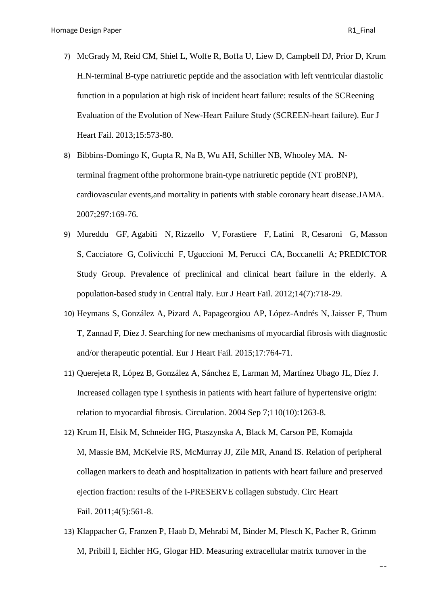- 7) [McGrady M,](https://www.ncbi.nlm.nih.gov/pubmed/?term=McGrady%20M%5BAuthor%5D&cauthor=true&cauthor_uid=23338855) [Reid CM,](https://www.ncbi.nlm.nih.gov/pubmed/?term=Reid%20CM%5BAuthor%5D&cauthor=true&cauthor_uid=23338855) [Shiel L,](https://www.ncbi.nlm.nih.gov/pubmed/?term=Shiel%20L%5BAuthor%5D&cauthor=true&cauthor_uid=23338855) [Wolfe R,](https://www.ncbi.nlm.nih.gov/pubmed/?term=Wolfe%20R%5BAuthor%5D&cauthor=true&cauthor_uid=23338855) [Boffa U,](https://www.ncbi.nlm.nih.gov/pubmed/?term=Boffa%20U%5BAuthor%5D&cauthor=true&cauthor_uid=23338855) [Liew D,](https://www.ncbi.nlm.nih.gov/pubmed/?term=Liew%20D%5BAuthor%5D&cauthor=true&cauthor_uid=23338855) [Campbell DJ,](https://www.ncbi.nlm.nih.gov/pubmed/?term=Campbell%20DJ%5BAuthor%5D&cauthor=true&cauthor_uid=23338855) [Prior D,](https://www.ncbi.nlm.nih.gov/pubmed/?term=Prior%20D%5BAuthor%5D&cauthor=true&cauthor_uid=23338855) [Krum](https://www.ncbi.nlm.nih.gov/pubmed/?term=Krum%20H%5BAuthor%5D&cauthor=true&cauthor_uid=23338855)  [H.](https://www.ncbi.nlm.nih.gov/pubmed/?term=Krum%20H%5BAuthor%5D&cauthor=true&cauthor_uid=23338855)N-terminal B-type natriuretic peptide and the association with left ventricular diastolic function in a population at high risk of incident heart failure: results of the SCReening Evaluation of the Evolution of New-Heart Failure Study (SCREEN-heart failure). [Eur J](https://www.ncbi.nlm.nih.gov/pubmed/23338855)  [Heart Fail.](https://www.ncbi.nlm.nih.gov/pubmed/23338855) 2013;15:573-80.
- 8) [Bibbins-Domingo K,](https://www.ncbi.nlm.nih.gov/pubmed/?term=Bibbins-Domingo%20K%5BAuthor%5D&cauthor=true&cauthor_uid=17213400) [Gupta R,](https://www.ncbi.nlm.nih.gov/pubmed/?term=Gupta%20R%5BAuthor%5D&cauthor=true&cauthor_uid=17213400) [Na B,](https://www.ncbi.nlm.nih.gov/pubmed/?term=Na%20B%5BAuthor%5D&cauthor=true&cauthor_uid=17213400) [Wu AH,](https://www.ncbi.nlm.nih.gov/pubmed/?term=Wu%20AH%5BAuthor%5D&cauthor=true&cauthor_uid=17213400) [Schiller NB,](https://www.ncbi.nlm.nih.gov/pubmed/?term=Schiller%20NB%5BAuthor%5D&cauthor=true&cauthor_uid=17213400) [Whooley MA.](https://www.ncbi.nlm.nih.gov/pubmed/?term=Whooley%20MA%5BAuthor%5D&cauthor=true&cauthor_uid=17213400) Nterminal fragment ofthe prohormone brain-type natriuretic peptide (NT proBNP), cardiovascular events,and mortality in patients with stable coronary heart disease[.JAMA.](https://www.ncbi.nlm.nih.gov/pubmed/?term=N-Terminal+Fragment+of+the+Prohormone+Brain-Type+Natriuretic+Peptide+(NT-proBNP)%2C+Cardiovascular+Events%2C+and+Mortality+in+Patients+With+Stable+Coronary+Heart+Disease) 2007;297:169-76.
- 9) [Mureddu GF,](https://www.ncbi.nlm.nih.gov/pubmed/?term=Mureddu%20GF%5BAuthor%5D&cauthor=true&cauthor_uid=22562498) [Agabiti N,](https://www.ncbi.nlm.nih.gov/pubmed/?term=Agabiti%20N%5BAuthor%5D&cauthor=true&cauthor_uid=22562498) [Rizzello V,](https://www.ncbi.nlm.nih.gov/pubmed/?term=Rizzello%20V%5BAuthor%5D&cauthor=true&cauthor_uid=22562498) [Forastiere F,](https://www.ncbi.nlm.nih.gov/pubmed/?term=Forastiere%20F%5BAuthor%5D&cauthor=true&cauthor_uid=22562498) [Latini R,](https://www.ncbi.nlm.nih.gov/pubmed/?term=Latini%20R%5BAuthor%5D&cauthor=true&cauthor_uid=22562498) [Cesaroni G,](https://www.ncbi.nlm.nih.gov/pubmed/?term=Cesaroni%20G%5BAuthor%5D&cauthor=true&cauthor_uid=22562498) [Masson](https://www.ncbi.nlm.nih.gov/pubmed/?term=Masson%20S%5BAuthor%5D&cauthor=true&cauthor_uid=22562498)  [S,](https://www.ncbi.nlm.nih.gov/pubmed/?term=Masson%20S%5BAuthor%5D&cauthor=true&cauthor_uid=22562498) [Cacciatore G,](https://www.ncbi.nlm.nih.gov/pubmed/?term=Cacciatore%20G%5BAuthor%5D&cauthor=true&cauthor_uid=22562498) [Colivicchi F,](https://www.ncbi.nlm.nih.gov/pubmed/?term=Colivicchi%20F%5BAuthor%5D&cauthor=true&cauthor_uid=22562498) [Uguccioni M,](https://www.ncbi.nlm.nih.gov/pubmed/?term=Uguccioni%20M%5BAuthor%5D&cauthor=true&cauthor_uid=22562498) [Perucci CA,](https://www.ncbi.nlm.nih.gov/pubmed/?term=Perucci%20CA%5BAuthor%5D&cauthor=true&cauthor_uid=22562498) [Boccanelli A;](https://www.ncbi.nlm.nih.gov/pubmed/?term=Boccanelli%20A%5BAuthor%5D&cauthor=true&cauthor_uid=22562498) [PREDICTOR](https://www.ncbi.nlm.nih.gov/pubmed/?term=PREDICTOR%20Study%20Group%5BCorporate%20Author%5D)  [Study Group.](https://www.ncbi.nlm.nih.gov/pubmed/?term=PREDICTOR%20Study%20Group%5BCorporate%20Author%5D) Prevalence of preclinical and clinical heart failure in the elderly. A population-based study in Central Italy. Eur [J Heart Fail.](https://www.ncbi.nlm.nih.gov/pubmed/22562498) 2012;14(7):718-29.
- 10) [Heymans S,](https://www.ncbi.nlm.nih.gov/pubmed/?term=Heymans%20S%5BAuthor%5D&cauthor=true&cauthor_uid=26126780) [González A,](https://www.ncbi.nlm.nih.gov/pubmed/?term=Gonz%C3%A1lez%20A%5BAuthor%5D&cauthor=true&cauthor_uid=26126780) [Pizard A,](https://www.ncbi.nlm.nih.gov/pubmed/?term=Pizard%20A%5BAuthor%5D&cauthor=true&cauthor_uid=26126780) [Papageorgiou AP,](https://www.ncbi.nlm.nih.gov/pubmed/?term=Papageorgiou%20AP%5BAuthor%5D&cauthor=true&cauthor_uid=26126780) [López-Andrés N,](https://www.ncbi.nlm.nih.gov/pubmed/?term=L%C3%B3pez-Andr%C3%A9s%20N%5BAuthor%5D&cauthor=true&cauthor_uid=26126780) [Jaisser F,](https://www.ncbi.nlm.nih.gov/pubmed/?term=Jaisser%20F%5BAuthor%5D&cauthor=true&cauthor_uid=26126780) [Thum](https://www.ncbi.nlm.nih.gov/pubmed/?term=Thum%20T%5BAuthor%5D&cauthor=true&cauthor_uid=26126780)  [T,](https://www.ncbi.nlm.nih.gov/pubmed/?term=Thum%20T%5BAuthor%5D&cauthor=true&cauthor_uid=26126780) [Zannad F,](https://www.ncbi.nlm.nih.gov/pubmed/?term=Zannad%20F%5BAuthor%5D&cauthor=true&cauthor_uid=26126780) [Díez J.](https://www.ncbi.nlm.nih.gov/pubmed/?term=D%C3%ADez%20J%5BAuthor%5D&cauthor=true&cauthor_uid=26126780) Searching for new mechanisms of myocardial fibrosis with diagnostic and/or therapeutic potential. [Eur J Heart Fail.](https://www.ncbi.nlm.nih.gov/pubmed/26126780) 2015;17:764-71.
- 11) [Querejeta R,](https://www.ncbi.nlm.nih.gov/pubmed/?term=Querejeta%20R%5BAuthor%5D&cauthor=true&cauthor_uid=15313958) [López B,](https://www.ncbi.nlm.nih.gov/pubmed/?term=L%C3%B3pez%20B%5BAuthor%5D&cauthor=true&cauthor_uid=15313958) [González A,](https://www.ncbi.nlm.nih.gov/pubmed/?term=Gonz%C3%A1lez%20A%5BAuthor%5D&cauthor=true&cauthor_uid=15313958) [Sánchez E,](https://www.ncbi.nlm.nih.gov/pubmed/?term=S%C3%A1nchez%20E%5BAuthor%5D&cauthor=true&cauthor_uid=15313958) [Larman M,](https://www.ncbi.nlm.nih.gov/pubmed/?term=Larman%20M%5BAuthor%5D&cauthor=true&cauthor_uid=15313958) [Martínez Ubago JL,](https://www.ncbi.nlm.nih.gov/pubmed/?term=Mart%C3%ADnez%20Ubago%20JL%5BAuthor%5D&cauthor=true&cauthor_uid=15313958) [Díez J.](https://www.ncbi.nlm.nih.gov/pubmed/?term=D%C3%ADez%20J%5BAuthor%5D&cauthor=true&cauthor_uid=15313958) Increased collagen type I synthesis in patients with heart failure of hypertensive origin: relation to myocardial fibrosis. [Circulation.](https://www.ncbi.nlm.nih.gov/pubmed/15313958) 2004 Sep 7;110(10):1263-8.
- 12) [Krum H,](https://www.ncbi.nlm.nih.gov/pubmed/?term=Krum%20H%5BAuthor%5D&cauthor=true&cauthor_uid=21750125) [Elsik M,](https://www.ncbi.nlm.nih.gov/pubmed/?term=Elsik%20M%5BAuthor%5D&cauthor=true&cauthor_uid=21750125) [Schneider HG,](https://www.ncbi.nlm.nih.gov/pubmed/?term=Schneider%20HG%5BAuthor%5D&cauthor=true&cauthor_uid=21750125) [Ptaszynska A,](https://www.ncbi.nlm.nih.gov/pubmed/?term=Ptaszynska%20A%5BAuthor%5D&cauthor=true&cauthor_uid=21750125) [Black M,](https://www.ncbi.nlm.nih.gov/pubmed/?term=Black%20M%5BAuthor%5D&cauthor=true&cauthor_uid=21750125) [Carson PE,](https://www.ncbi.nlm.nih.gov/pubmed/?term=Carson%20PE%5BAuthor%5D&cauthor=true&cauthor_uid=21750125) [Komajda](https://www.ncbi.nlm.nih.gov/pubmed/?term=Komajda%20M%5BAuthor%5D&cauthor=true&cauthor_uid=21750125)  [M,](https://www.ncbi.nlm.nih.gov/pubmed/?term=Komajda%20M%5BAuthor%5D&cauthor=true&cauthor_uid=21750125) [Massie BM,](https://www.ncbi.nlm.nih.gov/pubmed/?term=Massie%20BM%5BAuthor%5D&cauthor=true&cauthor_uid=21750125) [McKelvie RS,](https://www.ncbi.nlm.nih.gov/pubmed/?term=McKelvie%20RS%5BAuthor%5D&cauthor=true&cauthor_uid=21750125) [McMurray JJ,](https://www.ncbi.nlm.nih.gov/pubmed/?term=McMurray%20JJ%5BAuthor%5D&cauthor=true&cauthor_uid=21750125) [Zile MR,](https://www.ncbi.nlm.nih.gov/pubmed/?term=Zile%20MR%5BAuthor%5D&cauthor=true&cauthor_uid=21750125) [Anand IS.](https://www.ncbi.nlm.nih.gov/pubmed/?term=Anand%20IS%5BAuthor%5D&cauthor=true&cauthor_uid=21750125) Relation of peripheral collagen markers to death and hospitalization in patients with heart failure and preserved ejection fraction: results of the I-PRESERVE collagen substudy. [Circ Heart](https://www.ncbi.nlm.nih.gov/pubmed/21750125)  [Fail.](https://www.ncbi.nlm.nih.gov/pubmed/21750125) 2011;4(5):561-8.
- 13) [Klappacher G,](https://www.ncbi.nlm.nih.gov/pubmed/?term=Klappacher%20G%5BAuthor%5D&cauthor=true&cauthor_uid=7733000) [Franzen P,](https://www.ncbi.nlm.nih.gov/pubmed/?term=Franzen%20P%5BAuthor%5D&cauthor=true&cauthor_uid=7733000) [Haab D,](https://www.ncbi.nlm.nih.gov/pubmed/?term=Haab%20D%5BAuthor%5D&cauthor=true&cauthor_uid=7733000) [Mehrabi M,](https://www.ncbi.nlm.nih.gov/pubmed/?term=Mehrabi%20M%5BAuthor%5D&cauthor=true&cauthor_uid=7733000) [Binder M,](https://www.ncbi.nlm.nih.gov/pubmed/?term=Binder%20M%5BAuthor%5D&cauthor=true&cauthor_uid=7733000) [Plesch K,](https://www.ncbi.nlm.nih.gov/pubmed/?term=Plesch%20K%5BAuthor%5D&cauthor=true&cauthor_uid=7733000) [Pacher R,](https://www.ncbi.nlm.nih.gov/pubmed/?term=Pacher%20R%5BAuthor%5D&cauthor=true&cauthor_uid=7733000) [Grimm](https://www.ncbi.nlm.nih.gov/pubmed/?term=Grimm%20M%5BAuthor%5D&cauthor=true&cauthor_uid=7733000)  [M,](https://www.ncbi.nlm.nih.gov/pubmed/?term=Grimm%20M%5BAuthor%5D&cauthor=true&cauthor_uid=7733000) [Pribill I,](https://www.ncbi.nlm.nih.gov/pubmed/?term=Pribill%20I%5BAuthor%5D&cauthor=true&cauthor_uid=7733000) [Eichler HG,](https://www.ncbi.nlm.nih.gov/pubmed/?term=Eichler%20HG%5BAuthor%5D&cauthor=true&cauthor_uid=7733000) Glogar HD. Measuring extracellular matrix turnover in the

 $\overline{a}$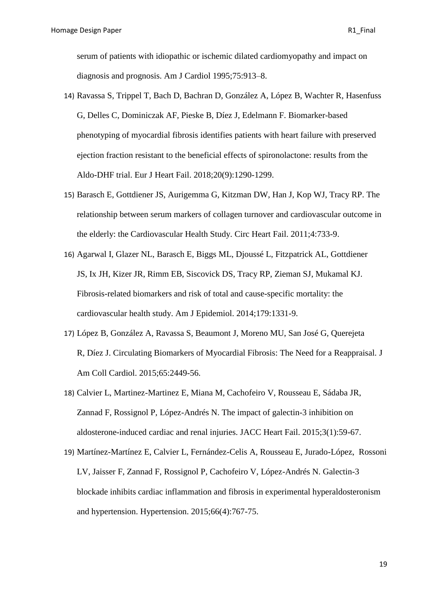serum of patients with idiopathic or ischemic dilated cardiomyopathy and impact on diagnosis and prognosis. Am J Cardiol 1995;75:913–8.

- 14) [Ravassa S,](https://www.ncbi.nlm.nih.gov/pubmed/?term=Ravassa%20S%5BAuthor%5D&cauthor=true&cauthor_uid=29709099) [Trippel T,](https://www.ncbi.nlm.nih.gov/pubmed/?term=Trippel%20T%5BAuthor%5D&cauthor=true&cauthor_uid=29709099) [Bach D,](https://www.ncbi.nlm.nih.gov/pubmed/?term=Bach%20D%5BAuthor%5D&cauthor=true&cauthor_uid=29709099) [Bachran D,](https://www.ncbi.nlm.nih.gov/pubmed/?term=Bachran%20D%5BAuthor%5D&cauthor=true&cauthor_uid=29709099) [González A,](https://www.ncbi.nlm.nih.gov/pubmed/?term=Gonz%C3%A1lez%20A%5BAuthor%5D&cauthor=true&cauthor_uid=29709099) [López B,](https://www.ncbi.nlm.nih.gov/pubmed/?term=L%C3%B3pez%20B%5BAuthor%5D&cauthor=true&cauthor_uid=29709099) [Wachter R,](https://www.ncbi.nlm.nih.gov/pubmed/?term=Wachter%20R%5BAuthor%5D&cauthor=true&cauthor_uid=29709099) [Hasenfuss](https://www.ncbi.nlm.nih.gov/pubmed/?term=Hasenfuss%20G%5BAuthor%5D&cauthor=true&cauthor_uid=29709099)  [G,](https://www.ncbi.nlm.nih.gov/pubmed/?term=Hasenfuss%20G%5BAuthor%5D&cauthor=true&cauthor_uid=29709099) [Delles C,](https://www.ncbi.nlm.nih.gov/pubmed/?term=Delles%20C%5BAuthor%5D&cauthor=true&cauthor_uid=29709099) [Dominiczak AF,](https://www.ncbi.nlm.nih.gov/pubmed/?term=Dominiczak%20AF%5BAuthor%5D&cauthor=true&cauthor_uid=29709099) [Pieske B,](https://www.ncbi.nlm.nih.gov/pubmed/?term=Pieske%20B%5BAuthor%5D&cauthor=true&cauthor_uid=29709099) [Díez J,](https://www.ncbi.nlm.nih.gov/pubmed/?term=D%C3%ADez%20J%5BAuthor%5D&cauthor=true&cauthor_uid=29709099) [Edelmann F.](https://www.ncbi.nlm.nih.gov/pubmed/?term=Edelmann%20F%5BAuthor%5D&cauthor=true&cauthor_uid=29709099) Biomarker-based phenotyping of myocardial fibrosis identifies patients with heart failure with preserved ejection fraction resistant to the beneficial effects of spironolactone: results from the Aldo-DHF trial. [Eur J Heart Fail.](https://www.ncbi.nlm.nih.gov/pubmed/29709099) 2018;20(9):1290-1299.
- 15) [Barasch E,](https://www.ncbi.nlm.nih.gov/pubmed/?term=Barasch%20E%5BAuthor%5D&cauthor=true&cauthor_uid=21900186) [Gottdiener JS,](https://www.ncbi.nlm.nih.gov/pubmed/?term=Gottdiener%20JS%5BAuthor%5D&cauthor=true&cauthor_uid=21900186) [Aurigemma G,](https://www.ncbi.nlm.nih.gov/pubmed/?term=Aurigemma%20G%5BAuthor%5D&cauthor=true&cauthor_uid=21900186) [Kitzman DW,](https://www.ncbi.nlm.nih.gov/pubmed/?term=Kitzman%20DW%5BAuthor%5D&cauthor=true&cauthor_uid=21900186) [Han J,](https://www.ncbi.nlm.nih.gov/pubmed/?term=Han%20J%5BAuthor%5D&cauthor=true&cauthor_uid=21900186) [Kop WJ,](https://www.ncbi.nlm.nih.gov/pubmed/?term=Kop%20WJ%5BAuthor%5D&cauthor=true&cauthor_uid=21900186) [Tracy RP.](https://www.ncbi.nlm.nih.gov/pubmed/?term=Tracy%20RP%5BAuthor%5D&cauthor=true&cauthor_uid=21900186) The relationship between serum markers of collagen turnover and cardiovascular outcome in the elderly: the Cardiovascular Health Study. [Circ Heart Fail.](https://www.ncbi.nlm.nih.gov/pubmed/21900186) 2011;4:733-9.
- 16) [Agarwal I,](https://www.ncbi.nlm.nih.gov/pubmed/?term=Agarwal%20I%5BAuthor%5D&cauthor=true&cauthor_uid=24771724) [Glazer NL,](https://www.ncbi.nlm.nih.gov/pubmed/?term=Glazer%20NL%5BAuthor%5D&cauthor=true&cauthor_uid=24771724) [Barasch E,](https://www.ncbi.nlm.nih.gov/pubmed/?term=Barasch%20E%5BAuthor%5D&cauthor=true&cauthor_uid=24771724) [Biggs ML,](https://www.ncbi.nlm.nih.gov/pubmed/?term=Biggs%20ML%5BAuthor%5D&cauthor=true&cauthor_uid=24771724) [Djoussé L,](https://www.ncbi.nlm.nih.gov/pubmed/?term=Djouss%C3%A9%20L%5BAuthor%5D&cauthor=true&cauthor_uid=24771724) [Fitzpatrick AL,](https://www.ncbi.nlm.nih.gov/pubmed/?term=Fitzpatrick%20AL%5BAuthor%5D&cauthor=true&cauthor_uid=24771724) [Gottdiener](https://www.ncbi.nlm.nih.gov/pubmed/?term=Gottdiener%20JS%5BAuthor%5D&cauthor=true&cauthor_uid=24771724)  [JS,](https://www.ncbi.nlm.nih.gov/pubmed/?term=Gottdiener%20JS%5BAuthor%5D&cauthor=true&cauthor_uid=24771724) [Ix JH,](https://www.ncbi.nlm.nih.gov/pubmed/?term=Ix%20JH%5BAuthor%5D&cauthor=true&cauthor_uid=24771724) [Kizer JR,](https://www.ncbi.nlm.nih.gov/pubmed/?term=Kizer%20JR%5BAuthor%5D&cauthor=true&cauthor_uid=24771724) [Rimm EB,](https://www.ncbi.nlm.nih.gov/pubmed/?term=Rimm%20EB%5BAuthor%5D&cauthor=true&cauthor_uid=24771724) [Siscovick DS,](https://www.ncbi.nlm.nih.gov/pubmed/?term=Siscovick%20DS%5BAuthor%5D&cauthor=true&cauthor_uid=24771724) [Tracy RP,](https://www.ncbi.nlm.nih.gov/pubmed/?term=Tracy%20RP%5BAuthor%5D&cauthor=true&cauthor_uid=24771724) [Zieman SJ,](https://www.ncbi.nlm.nih.gov/pubmed/?term=Zieman%20SJ%5BAuthor%5D&cauthor=true&cauthor_uid=24771724) [Mukamal KJ.](https://www.ncbi.nlm.nih.gov/pubmed/?term=Mukamal%20KJ%5BAuthor%5D&cauthor=true&cauthor_uid=24771724) Fibrosis-related biomarkers and risk of total and cause-specific mortality: the cardiovascular health study. [Am J Epidemiol.](https://www.ncbi.nlm.nih.gov/pubmed/24771724) 2014;179:1331-9.
- 17) [López](https://www.ncbi.nlm.nih.gov/pubmed/?term=L%C3%B3pez%20B%5BAuthor%5D&cauthor=true&cauthor_uid=26046739) B, [González A,](https://www.ncbi.nlm.nih.gov/pubmed/?term=Gonz%C3%A1lez%20A%5BAuthor%5D&cauthor=true&cauthor_uid=26046739) [Ravassa S,](https://www.ncbi.nlm.nih.gov/pubmed/?term=Ravassa%20S%5BAuthor%5D&cauthor=true&cauthor_uid=26046739) [Beaumont J,](https://www.ncbi.nlm.nih.gov/pubmed/?term=Beaumont%20J%5BAuthor%5D&cauthor=true&cauthor_uid=26046739) [Moreno MU,](https://www.ncbi.nlm.nih.gov/pubmed/?term=Moreno%20MU%5BAuthor%5D&cauthor=true&cauthor_uid=26046739) [San José G,](https://www.ncbi.nlm.nih.gov/pubmed/?term=San%20Jos%C3%A9%20G%5BAuthor%5D&cauthor=true&cauthor_uid=26046739) [Querejeta](https://www.ncbi.nlm.nih.gov/pubmed/?term=Querejeta%20R%5BAuthor%5D&cauthor=true&cauthor_uid=26046739)  [R,](https://www.ncbi.nlm.nih.gov/pubmed/?term=Querejeta%20R%5BAuthor%5D&cauthor=true&cauthor_uid=26046739) [Díez J.](https://www.ncbi.nlm.nih.gov/pubmed/?term=D%C3%ADez%20J%5BAuthor%5D&cauthor=true&cauthor_uid=26046739) Circulating Biomarkers of Myocardial Fibrosis: The Need for a Reappraisal. [J](https://www.ncbi.nlm.nih.gov/pubmed/26046739)  [Am Coll Cardiol.](https://www.ncbi.nlm.nih.gov/pubmed/26046739) 2015;65:2449-56.
- 18) Calvier L, Martinez-Martinez E, Miana M, Cachofeiro V, Rousseau E, Sádaba JR, Zannad F, Rossignol P, López-Andrés N. The impact of galectin-3 inhibition on aldosterone-induced cardiac and renal injuries. JACC Heart Fail. 2015;3(1):59-67.
- 19) Martínez-Martínez E, Calvier L, Fernández-Celis A, Rousseau E, Jurado-López, Rossoni LV, Jaisser F, Zannad F, Rossignol P, Cachofeiro V, López-Andrés N. Galectin-3 blockade inhibits cardiac inflammation and fibrosis in experimental hyperaldosteronism and hypertension. Hypertension. 2015;66(4):767-75.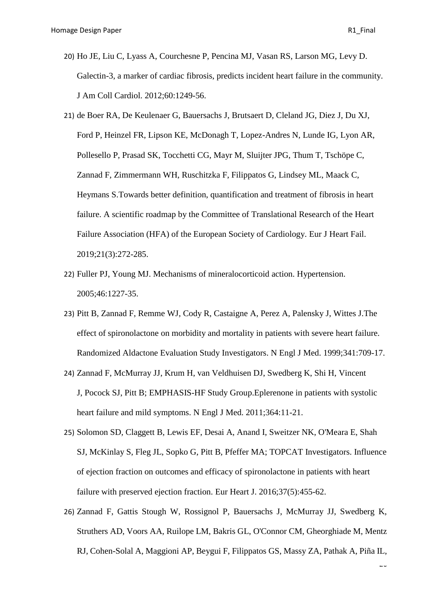- 20) [Ho JE,](https://www.ncbi.nlm.nih.gov/pubmed/?term=Ho%20JE%5BAuthor%5D&cauthor=true&cauthor_uid=22939561) [Liu C,](https://www.ncbi.nlm.nih.gov/pubmed/?term=Liu%20C%5BAuthor%5D&cauthor=true&cauthor_uid=22939561) [Lyass A,](https://www.ncbi.nlm.nih.gov/pubmed/?term=Lyass%20A%5BAuthor%5D&cauthor=true&cauthor_uid=22939561) [Courchesne P,](https://www.ncbi.nlm.nih.gov/pubmed/?term=Courchesne%20P%5BAuthor%5D&cauthor=true&cauthor_uid=22939561) [Pencina MJ,](https://www.ncbi.nlm.nih.gov/pubmed/?term=Pencina%20MJ%5BAuthor%5D&cauthor=true&cauthor_uid=22939561) [Vasan RS,](https://www.ncbi.nlm.nih.gov/pubmed/?term=Vasan%20RS%5BAuthor%5D&cauthor=true&cauthor_uid=22939561) [Larson MG,](https://www.ncbi.nlm.nih.gov/pubmed/?term=Larson%20MG%5BAuthor%5D&cauthor=true&cauthor_uid=22939561) [Levy D.](https://www.ncbi.nlm.nih.gov/pubmed/?term=Levy%20D%5BAuthor%5D&cauthor=true&cauthor_uid=22939561) Galectin-3, a marker of cardiac fibrosis, predicts incident heart failure in the community. [J Am Coll Cardiol.](https://www.ncbi.nlm.nih.gov/pubmed/22939561) 2012;60:1249-56.
- 21) de Boer RA, De Keulenaer G, Bauersachs J, Brutsaert D, Cleland JG, Diez J, Du XJ, Ford P, Heinzel FR, Lipson KE, McDonagh T, Lopez-Andres N, Lunde IG, Lyon AR, Pollesello P, Prasad SK, Tocchetti CG, Mayr M, Sluijter JPG, Thum T, Tschöpe C, Zannad F, Zimmermann WH, Ruschitzka F, Filippatos G, Lindsey ML, Maack C, Heymans S[.Towards better definition, quantification and treatment of fibrosis](https://www.ncbi.nlm.nih.gov/pubmed/30714667) in heart [failure. A scientific roadmap by the Committee of Translational Research of the Heart](https://www.ncbi.nlm.nih.gov/pubmed/30714667)  [Failure Association \(HFA\) of the European Society of Cardiology.](https://www.ncbi.nlm.nih.gov/pubmed/30714667) Eur J Heart Fail. 2019;21(3):272-285.
- 22) [Fuller PJ,](https://www.ncbi.nlm.nih.gov/pubmed/?term=Fuller%20PJ%5BAuthor%5D&cauthor=true&cauthor_uid=16286565) [Young MJ.](https://www.ncbi.nlm.nih.gov/pubmed/?term=Young%20MJ%5BAuthor%5D&cauthor=true&cauthor_uid=16286565) Mechanisms of mineralocorticoid action. [Hypertension.](https://www.ncbi.nlm.nih.gov/pubmed/16286565) 2005;46:1227-35.
- 23) [Pitt B,](https://www.ncbi.nlm.nih.gov/pubmed/?term=Pitt%20B%5BAuthor%5D&cauthor=true&cauthor_uid=10471456) [Zannad F,](https://www.ncbi.nlm.nih.gov/pubmed/?term=Zannad%20F%5BAuthor%5D&cauthor=true&cauthor_uid=10471456) [Remme WJ,](https://www.ncbi.nlm.nih.gov/pubmed/?term=Remme%20WJ%5BAuthor%5D&cauthor=true&cauthor_uid=10471456) [Cody R,](https://www.ncbi.nlm.nih.gov/pubmed/?term=Cody%20R%5BAuthor%5D&cauthor=true&cauthor_uid=10471456) [Castaigne A,](https://www.ncbi.nlm.nih.gov/pubmed/?term=Castaigne%20A%5BAuthor%5D&cauthor=true&cauthor_uid=10471456) [Perez A,](https://www.ncbi.nlm.nih.gov/pubmed/?term=Perez%20A%5BAuthor%5D&cauthor=true&cauthor_uid=10471456) [Palensky J,](https://www.ncbi.nlm.nih.gov/pubmed/?term=Palensky%20J%5BAuthor%5D&cauthor=true&cauthor_uid=10471456) [Wittes J.](https://www.ncbi.nlm.nih.gov/pubmed/?term=Wittes%20J%5BAuthor%5D&cauthor=true&cauthor_uid=10471456)The effect of spironolactone on morbidity and mortality in patients with severe heart failure. Randomized Aldactone Evaluation Study Investigators. [N Engl J Med.](https://www.ncbi.nlm.nih.gov/pubmed/10471456) 1999;341:709-17.
- 24) [Zannad F,](https://www.ncbi.nlm.nih.gov/pubmed/?term=Zannad%20F%5BAuthor%5D&cauthor=true&cauthor_uid=21073363) [McMurray JJ,](https://www.ncbi.nlm.nih.gov/pubmed/?term=McMurray%20JJ%5BAuthor%5D&cauthor=true&cauthor_uid=21073363) [Krum H,](https://www.ncbi.nlm.nih.gov/pubmed/?term=Krum%20H%5BAuthor%5D&cauthor=true&cauthor_uid=21073363) [van Veldhuisen DJ,](https://www.ncbi.nlm.nih.gov/pubmed/?term=van%20Veldhuisen%20DJ%5BAuthor%5D&cauthor=true&cauthor_uid=21073363) [Swedberg K,](https://www.ncbi.nlm.nih.gov/pubmed/?term=Swedberg%20K%5BAuthor%5D&cauthor=true&cauthor_uid=21073363) [Shi H,](https://www.ncbi.nlm.nih.gov/pubmed/?term=Shi%20H%5BAuthor%5D&cauthor=true&cauthor_uid=21073363) [Vincent](https://www.ncbi.nlm.nih.gov/pubmed/?term=Vincent%20J%5BAuthor%5D&cauthor=true&cauthor_uid=21073363)  [J,](https://www.ncbi.nlm.nih.gov/pubmed/?term=Vincent%20J%5BAuthor%5D&cauthor=true&cauthor_uid=21073363) [Pocock SJ,](https://www.ncbi.nlm.nih.gov/pubmed/?term=Pocock%20SJ%5BAuthor%5D&cauthor=true&cauthor_uid=21073363) [Pitt B;](https://www.ncbi.nlm.nih.gov/pubmed/?term=Pitt%20B%5BAuthor%5D&cauthor=true&cauthor_uid=21073363) [EMPHASIS-HF Study Group.](https://www.ncbi.nlm.nih.gov/pubmed/?term=EMPHASIS-HF%20Study%20Group%5BCorporate%20Author%5D)Eplerenone in patients with systolic heart failure and mild symptoms. [N Engl J Med.](https://www.ncbi.nlm.nih.gov/pubmed/21073363) 2011;364:11-21.
- 25) [Solomon SD,](https://www.ncbi.nlm.nih.gov/pubmed/?term=Solomon%20SD%5BAuthor%5D&cauthor=true&cauthor_uid=26374849) [Claggett B,](https://www.ncbi.nlm.nih.gov/pubmed/?term=Claggett%20B%5BAuthor%5D&cauthor=true&cauthor_uid=26374849) [Lewis EF,](https://www.ncbi.nlm.nih.gov/pubmed/?term=Lewis%20EF%5BAuthor%5D&cauthor=true&cauthor_uid=26374849) [Desai A,](https://www.ncbi.nlm.nih.gov/pubmed/?term=Desai%20A%5BAuthor%5D&cauthor=true&cauthor_uid=26374849) [Anand I,](https://www.ncbi.nlm.nih.gov/pubmed/?term=Anand%20I%5BAuthor%5D&cauthor=true&cauthor_uid=26374849) [Sweitzer NK,](https://www.ncbi.nlm.nih.gov/pubmed/?term=Sweitzer%20NK%5BAuthor%5D&cauthor=true&cauthor_uid=26374849) [O'Meara E,](https://www.ncbi.nlm.nih.gov/pubmed/?term=O%27Meara%20E%5BAuthor%5D&cauthor=true&cauthor_uid=26374849) [Shah](https://www.ncbi.nlm.nih.gov/pubmed/?term=Shah%20SJ%5BAuthor%5D&cauthor=true&cauthor_uid=26374849)  [SJ,](https://www.ncbi.nlm.nih.gov/pubmed/?term=Shah%20SJ%5BAuthor%5D&cauthor=true&cauthor_uid=26374849) [McKinlay S,](https://www.ncbi.nlm.nih.gov/pubmed/?term=McKinlay%20S%5BAuthor%5D&cauthor=true&cauthor_uid=26374849) [Fleg JL,](https://www.ncbi.nlm.nih.gov/pubmed/?term=Fleg%20JL%5BAuthor%5D&cauthor=true&cauthor_uid=26374849) [Sopko G,](https://www.ncbi.nlm.nih.gov/pubmed/?term=Sopko%20G%5BAuthor%5D&cauthor=true&cauthor_uid=26374849) [Pitt B,](https://www.ncbi.nlm.nih.gov/pubmed/?term=Pitt%20B%5BAuthor%5D&cauthor=true&cauthor_uid=26374849) [Pfeffer MA;](https://www.ncbi.nlm.nih.gov/pubmed/?term=Pfeffer%20MA%5BAuthor%5D&cauthor=true&cauthor_uid=26374849) TOPCAT [Investigators.](https://www.ncbi.nlm.nih.gov/pubmed/?term=TOPCAT%20Investigators%5BCorporate%20Author%5D) Influence of ejection fraction on outcomes and efficacy of spironolactone in patients with heart failure with preserved ejection fraction. [Eur Heart J.](https://www.ncbi.nlm.nih.gov/pubmed/26374849) 2016;37(5):455-62.
- 26) Zannad F, Gattis Stough W, Rossignol P, Bauersachs J, McMurray JJ, Swedberg K, Struthers AD, Voors AA, Ruilope LM, Bakris GL, O'Connor CM, Gheorghiade M, Mentz RJ, Cohen-Solal A, Maggioni AP, Beygui F, Filippatos GS, Massy ZA, Pathak A, Piña IL,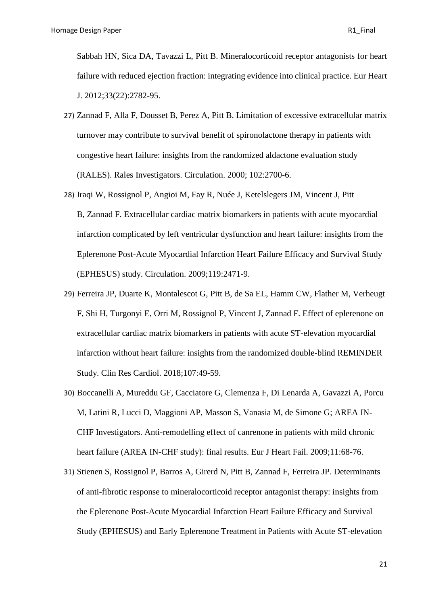Sabbah HN, Sica DA, Tavazzi L, Pitt B. Mineralocorticoid receptor antagonists for heart failure with reduced ejection fraction: integrating evidence into clinical practice. Eur Heart J. 2012;33(22):2782-95.

- 27) Zannad F, Alla F, Dousset B, Perez A, Pitt B. Limitation of excessive extracellular matrix turnover may contribute to survival benefit of spironolactone therapy in patients with congestive heart failure: insights from the randomized aldactone evaluation study (RALES). Rales Investigators. Circulation. 2000; 102:2700-6.
- 28) [Iraqi W,](https://www.ncbi.nlm.nih.gov/pubmed/?term=Iraqi%20W%5BAuthor%5D&cauthor=true&cauthor_uid=19398668) [Rossignol P,](https://www.ncbi.nlm.nih.gov/pubmed/?term=Rossignol%20P%5BAuthor%5D&cauthor=true&cauthor_uid=19398668) [Angioi M,](https://www.ncbi.nlm.nih.gov/pubmed/?term=Angioi%20M%5BAuthor%5D&cauthor=true&cauthor_uid=19398668) [Fay R,](https://www.ncbi.nlm.nih.gov/pubmed/?term=Fay%20R%5BAuthor%5D&cauthor=true&cauthor_uid=19398668) [Nuée J,](https://www.ncbi.nlm.nih.gov/pubmed/?term=Nu%C3%A9e%20J%5BAuthor%5D&cauthor=true&cauthor_uid=19398668) [Ketelslegers JM,](https://www.ncbi.nlm.nih.gov/pubmed/?term=Ketelslegers%20JM%5BAuthor%5D&cauthor=true&cauthor_uid=19398668) [Vincent J,](https://www.ncbi.nlm.nih.gov/pubmed/?term=Vincent%20J%5BAuthor%5D&cauthor=true&cauthor_uid=19398668) [Pitt](https://www.ncbi.nlm.nih.gov/pubmed/?term=Pitt%20B%5BAuthor%5D&cauthor=true&cauthor_uid=19398668)  [B,](https://www.ncbi.nlm.nih.gov/pubmed/?term=Pitt%20B%5BAuthor%5D&cauthor=true&cauthor_uid=19398668) [Zannad](https://www.ncbi.nlm.nih.gov/pubmed/?term=Zannad%20F%5BAuthor%5D&cauthor=true&cauthor_uid=19398668) F. Extracellular cardiac matrix biomarkers in patients with acute myocardial infarction complicated by left ventricular dysfunction and heart failure: insights from the Eplerenone Post-Acute Myocardial Infarction Heart Failure Efficacy and Survival Study (EPHESUS) study. [Circulation.](https://www.ncbi.nlm.nih.gov/pubmed/19398668) 2009;119:2471-9.
- 29) [Ferreira JP,](https://www.ncbi.nlm.nih.gov/pubmed/?term=Ferreira%20JP%5BAuthor%5D&cauthor=true&cauthor_uid=28852839) [Duarte K,](https://www.ncbi.nlm.nih.gov/pubmed/?term=Duarte%20K%5BAuthor%5D&cauthor=true&cauthor_uid=28852839) [Montalescot G,](https://www.ncbi.nlm.nih.gov/pubmed/?term=Montalescot%20G%5BAuthor%5D&cauthor=true&cauthor_uid=28852839) [Pitt B,](https://www.ncbi.nlm.nih.gov/pubmed/?term=Pitt%20B%5BAuthor%5D&cauthor=true&cauthor_uid=28852839) [de Sa EL,](https://www.ncbi.nlm.nih.gov/pubmed/?term=de%20Sa%20EL%5BAuthor%5D&cauthor=true&cauthor_uid=28852839) [Hamm CW,](https://www.ncbi.nlm.nih.gov/pubmed/?term=Hamm%20CW%5BAuthor%5D&cauthor=true&cauthor_uid=28852839) [Flather M,](https://www.ncbi.nlm.nih.gov/pubmed/?term=Flather%20M%5BAuthor%5D&cauthor=true&cauthor_uid=28852839) [Verheugt](https://www.ncbi.nlm.nih.gov/pubmed/?term=Verheugt%20F%5BAuthor%5D&cauthor=true&cauthor_uid=28852839)  [F,](https://www.ncbi.nlm.nih.gov/pubmed/?term=Verheugt%20F%5BAuthor%5D&cauthor=true&cauthor_uid=28852839) [Shi H,](https://www.ncbi.nlm.nih.gov/pubmed/?term=Shi%20H%5BAuthor%5D&cauthor=true&cauthor_uid=28852839) [Turgonyi E,](https://www.ncbi.nlm.nih.gov/pubmed/?term=Turgonyi%20E%5BAuthor%5D&cauthor=true&cauthor_uid=28852839) [Orri M,](https://www.ncbi.nlm.nih.gov/pubmed/?term=Orri%20M%5BAuthor%5D&cauthor=true&cauthor_uid=28852839) [Rossignol P,](https://www.ncbi.nlm.nih.gov/pubmed/?term=Rossignol%20P%5BAuthor%5D&cauthor=true&cauthor_uid=28852839) [Vincent J,](https://www.ncbi.nlm.nih.gov/pubmed/?term=Vincent%20J%5BAuthor%5D&cauthor=true&cauthor_uid=28852839) [Zannad F.](https://www.ncbi.nlm.nih.gov/pubmed/?term=Zannad%20F%5BAuthor%5D&cauthor=true&cauthor_uid=28852839) Effect of eplerenone on extracellular cardiac matrix biomarkers in patients with acute ST-elevation myocardial infarction without heart failure: insights from the randomized double-blind REMINDER Study. [Clin Res Cardiol.](https://www.ncbi.nlm.nih.gov/pubmed/28852839) 2018;107:49-59.
- 30) [Boccanelli A,](https://www.ncbi.nlm.nih.gov/pubmed/?term=Boccanelli%20A%5BAuthor%5D&cauthor=true&cauthor_uid=19147459) [Mureddu GF,](https://www.ncbi.nlm.nih.gov/pubmed/?term=Mureddu%20GF%5BAuthor%5D&cauthor=true&cauthor_uid=19147459) [Cacciatore G,](https://www.ncbi.nlm.nih.gov/pubmed/?term=Cacciatore%20G%5BAuthor%5D&cauthor=true&cauthor_uid=19147459) [Clemenza F,](https://www.ncbi.nlm.nih.gov/pubmed/?term=Clemenza%20F%5BAuthor%5D&cauthor=true&cauthor_uid=19147459) [Di Lenarda A,](https://www.ncbi.nlm.nih.gov/pubmed/?term=Di%20Lenarda%20A%5BAuthor%5D&cauthor=true&cauthor_uid=19147459) [Gavazzi A,](https://www.ncbi.nlm.nih.gov/pubmed/?term=Gavazzi%20A%5BAuthor%5D&cauthor=true&cauthor_uid=19147459) [Porcu](https://www.ncbi.nlm.nih.gov/pubmed/?term=Porcu%20M%5BAuthor%5D&cauthor=true&cauthor_uid=19147459)  [M,](https://www.ncbi.nlm.nih.gov/pubmed/?term=Porcu%20M%5BAuthor%5D&cauthor=true&cauthor_uid=19147459) [Latini R,](https://www.ncbi.nlm.nih.gov/pubmed/?term=Latini%20R%5BAuthor%5D&cauthor=true&cauthor_uid=19147459) [Lucci D,](https://www.ncbi.nlm.nih.gov/pubmed/?term=Lucci%20D%5BAuthor%5D&cauthor=true&cauthor_uid=19147459) [Maggioni AP,](https://www.ncbi.nlm.nih.gov/pubmed/?term=Maggioni%20AP%5BAuthor%5D&cauthor=true&cauthor_uid=19147459) [Masson S,](https://www.ncbi.nlm.nih.gov/pubmed/?term=Masson%20S%5BAuthor%5D&cauthor=true&cauthor_uid=19147459) [Vanasia M,](https://www.ncbi.nlm.nih.gov/pubmed/?term=Vanasia%20M%5BAuthor%5D&cauthor=true&cauthor_uid=19147459) [de Simone G;](https://www.ncbi.nlm.nih.gov/pubmed/?term=de%20Simone%20G%5BAuthor%5D&cauthor=true&cauthor_uid=19147459) [AREA IN-](https://www.ncbi.nlm.nih.gov/pubmed/?term=AREA%20IN-CHF%20Investigators%5BCorporate%20Author%5D)[CHF Investigators.](https://www.ncbi.nlm.nih.gov/pubmed/?term=AREA%20IN-CHF%20Investigators%5BCorporate%20Author%5D) Anti-remodelling effect of canrenone in patients with mild chronic heart failure (AREA IN-CHF study): final results. [Eur J Heart Fail.](https://www.ncbi.nlm.nih.gov/pubmed/19147459) 2009;11:68-76.
- 31) [Stienen S,](https://www.ncbi.nlm.nih.gov/pubmed/?term=Stienen%20S%5BAuthor%5D&cauthor=true&cauthor_uid=31250134) [Rossignol P,](https://www.ncbi.nlm.nih.gov/pubmed/?term=Rossignol%20P%5BAuthor%5D&cauthor=true&cauthor_uid=31250134) [Barros A,](https://www.ncbi.nlm.nih.gov/pubmed/?term=Barros%20A%5BAuthor%5D&cauthor=true&cauthor_uid=31250134) [Girerd N,](https://www.ncbi.nlm.nih.gov/pubmed/?term=Girerd%20N%5BAuthor%5D&cauthor=true&cauthor_uid=31250134) [Pitt B,](https://www.ncbi.nlm.nih.gov/pubmed/?term=Pitt%20B%5BAuthor%5D&cauthor=true&cauthor_uid=31250134) [Zannad F,](https://www.ncbi.nlm.nih.gov/pubmed/?term=Zannad%20F%5BAuthor%5D&cauthor=true&cauthor_uid=31250134) [Ferreira JP.](https://www.ncbi.nlm.nih.gov/pubmed/?term=Ferreira%20JP%5BAuthor%5D&cauthor=true&cauthor_uid=31250134) Determinants of anti-fibrotic response to mineralocorticoid receptor antagonist therapy: insights from the Eplerenone Post-Acute Myocardial Infarction Heart Failure Efficacy and Survival Study (EPHESUS) and Early Eplerenone Treatment in Patients with Acute ST-elevation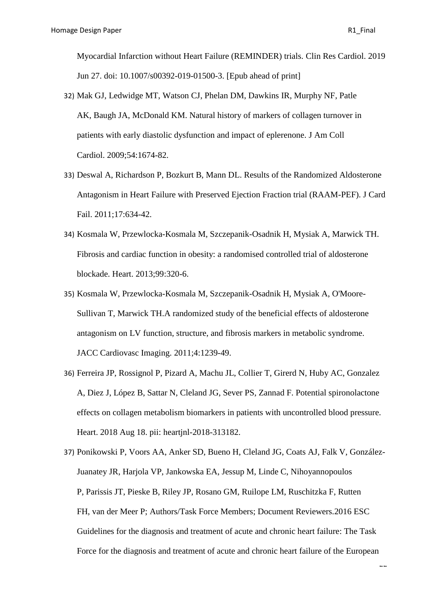<u>ب</u>

Myocardial Infarction without Heart Failure (REMINDER) trials. [Clin Res Cardiol.](https://www.ncbi.nlm.nih.gov/pubmed/31250134) 2019 Jun 27. doi: 10.1007/s00392-019-01500-3. [Epub ahead of print]

- 32) [Mak GJ,](https://www.ncbi.nlm.nih.gov/pubmed/?term=Mak%20GJ%5BAuthor%5D&cauthor=true&cauthor_uid=19850207) [Ledwidge MT,](https://www.ncbi.nlm.nih.gov/pubmed/?term=Ledwidge%20MT%5BAuthor%5D&cauthor=true&cauthor_uid=19850207) [Watson CJ,](https://www.ncbi.nlm.nih.gov/pubmed/?term=Watson%20CJ%5BAuthor%5D&cauthor=true&cauthor_uid=19850207) [Phelan DM,](https://www.ncbi.nlm.nih.gov/pubmed/?term=Phelan%20DM%5BAuthor%5D&cauthor=true&cauthor_uid=19850207) [Dawkins IR,](https://www.ncbi.nlm.nih.gov/pubmed/?term=Dawkins%20IR%5BAuthor%5D&cauthor=true&cauthor_uid=19850207) [Murphy NF,](https://www.ncbi.nlm.nih.gov/pubmed/?term=Murphy%20NF%5BAuthor%5D&cauthor=true&cauthor_uid=19850207) [Patle](https://www.ncbi.nlm.nih.gov/pubmed/?term=Patle%20AK%5BAuthor%5D&cauthor=true&cauthor_uid=19850207)  [AK,](https://www.ncbi.nlm.nih.gov/pubmed/?term=Patle%20AK%5BAuthor%5D&cauthor=true&cauthor_uid=19850207) [Baugh JA,](https://www.ncbi.nlm.nih.gov/pubmed/?term=Baugh%20JA%5BAuthor%5D&cauthor=true&cauthor_uid=19850207) [McDonald KM.](https://www.ncbi.nlm.nih.gov/pubmed/?term=McDonald%20KM%5BAuthor%5D&cauthor=true&cauthor_uid=19850207) Natural history of markers of collagen turnover in patients with early diastolic dysfunction and impact of eplerenone. [J Am Coll](https://www.ncbi.nlm.nih.gov/pubmed/19850207)  [Cardiol.](https://www.ncbi.nlm.nih.gov/pubmed/19850207) 2009;54:1674-82.
- 33) [Deswal A,](https://www.ncbi.nlm.nih.gov/pubmed/?term=Deswal%20A%5BAuthor%5D&cauthor=true&cauthor_uid=21807324) [Richardson P,](https://www.ncbi.nlm.nih.gov/pubmed/?term=Richardson%20P%5BAuthor%5D&cauthor=true&cauthor_uid=21807324) [Bozkurt B,](https://www.ncbi.nlm.nih.gov/pubmed/?term=Bozkurt%20B%5BAuthor%5D&cauthor=true&cauthor_uid=21807324) [Mann DL.](https://www.ncbi.nlm.nih.gov/pubmed/?term=Mann%20DL%5BAuthor%5D&cauthor=true&cauthor_uid=21807324) Results of the Randomized Aldosterone Antagonism in Heart Failure with Preserved Ejection Fraction trial (RAAM-PEF). [J Card](https://www.ncbi.nlm.nih.gov/pubmed/21807324)  [Fail.](https://www.ncbi.nlm.nih.gov/pubmed/21807324) 2011;17:634-42.
- 34) [Kosmala W,](https://www.ncbi.nlm.nih.gov/pubmed/?term=Kosmala%20W%5BAuthor%5D&cauthor=true&cauthor_uid=23343682) [Przewlocka-Kosmala M,](https://www.ncbi.nlm.nih.gov/pubmed/?term=Przewlocka-Kosmala%20M%5BAuthor%5D&cauthor=true&cauthor_uid=23343682) [Szczepanik-Osadnik H,](https://www.ncbi.nlm.nih.gov/pubmed/?term=Szczepanik-Osadnik%20H%5BAuthor%5D&cauthor=true&cauthor_uid=23343682) [Mysiak A,](https://www.ncbi.nlm.nih.gov/pubmed/?term=Mysiak%20A%5BAuthor%5D&cauthor=true&cauthor_uid=23343682) [Marwick TH.](https://www.ncbi.nlm.nih.gov/pubmed/?term=Marwick%20TH%5BAuthor%5D&cauthor=true&cauthor_uid=23343682) Fibrosis and cardiac function in obesity: a randomised controlled trial of aldosterone blockade. [Heart.](https://www.ncbi.nlm.nih.gov/pubmed/23343682) 2013;99:320-6.
- 35) [Kosmala W,](https://www.ncbi.nlm.nih.gov/pubmed/?term=Kosmala%20W%5BAuthor%5D&cauthor=true&cauthor_uid=22172779) [Przewlocka-Kosmala M,](https://www.ncbi.nlm.nih.gov/pubmed/?term=Przewlocka-Kosmala%20M%5BAuthor%5D&cauthor=true&cauthor_uid=22172779) [Szczepanik-Osadnik H,](https://www.ncbi.nlm.nih.gov/pubmed/?term=Szczepanik-Osadnik%20H%5BAuthor%5D&cauthor=true&cauthor_uid=22172779) [Mysiak A,](https://www.ncbi.nlm.nih.gov/pubmed/?term=Mysiak%20A%5BAuthor%5D&cauthor=true&cauthor_uid=22172779) [O'Moore-](https://www.ncbi.nlm.nih.gov/pubmed/?term=O%27Moore-Sullivan%20T%5BAuthor%5D&cauthor=true&cauthor_uid=22172779)[Sullivan T,](https://www.ncbi.nlm.nih.gov/pubmed/?term=O%27Moore-Sullivan%20T%5BAuthor%5D&cauthor=true&cauthor_uid=22172779) [Marwick TH.](https://www.ncbi.nlm.nih.gov/pubmed/?term=Marwick%20TH%5BAuthor%5D&cauthor=true&cauthor_uid=22172779)A randomized study of the beneficial effects of aldosterone antagonism on LV function, structure, and fibrosis markers in metabolic syndrome. [JACC Cardiovasc Imaging.](https://www.ncbi.nlm.nih.gov/pubmed/22172779) 2011;4:1239-49.
- 36) [Ferreira](https://www.ncbi.nlm.nih.gov/pubmed/?term=Ferreira%20JP%5BAuthor%5D&cauthor=true&cauthor_uid=30121630) JP, [Rossignol P,](https://www.ncbi.nlm.nih.gov/pubmed/?term=Rossignol%20P%5BAuthor%5D&cauthor=true&cauthor_uid=30121630) [Pizard A,](https://www.ncbi.nlm.nih.gov/pubmed/?term=Pizard%20A%5BAuthor%5D&cauthor=true&cauthor_uid=30121630) [Machu JL,](https://www.ncbi.nlm.nih.gov/pubmed/?term=Machu%20JL%5BAuthor%5D&cauthor=true&cauthor_uid=30121630) [Collier T,](https://www.ncbi.nlm.nih.gov/pubmed/?term=Collier%20T%5BAuthor%5D&cauthor=true&cauthor_uid=30121630) [Girerd N,](https://www.ncbi.nlm.nih.gov/pubmed/?term=Girerd%20N%5BAuthor%5D&cauthor=true&cauthor_uid=30121630) [Huby AC,](https://www.ncbi.nlm.nih.gov/pubmed/?term=Huby%20AC%5BAuthor%5D&cauthor=true&cauthor_uid=30121630) [Gonzalez](https://www.ncbi.nlm.nih.gov/pubmed/?term=Gonzalez%20A%5BAuthor%5D&cauthor=true&cauthor_uid=30121630)  [A,](https://www.ncbi.nlm.nih.gov/pubmed/?term=Gonzalez%20A%5BAuthor%5D&cauthor=true&cauthor_uid=30121630) [Diez J,](https://www.ncbi.nlm.nih.gov/pubmed/?term=Diez%20J%5BAuthor%5D&cauthor=true&cauthor_uid=30121630) [López B,](https://www.ncbi.nlm.nih.gov/pubmed/?term=L%C3%B3pez%20B%5BAuthor%5D&cauthor=true&cauthor_uid=30121630) [Sattar N,](https://www.ncbi.nlm.nih.gov/pubmed/?term=Sattar%20N%5BAuthor%5D&cauthor=true&cauthor_uid=30121630) [Cleland JG,](https://www.ncbi.nlm.nih.gov/pubmed/?term=Cleland%20JG%5BAuthor%5D&cauthor=true&cauthor_uid=30121630) [Sever PS,](https://www.ncbi.nlm.nih.gov/pubmed/?term=Sever%20PS%5BAuthor%5D&cauthor=true&cauthor_uid=30121630) [Zannad](https://www.ncbi.nlm.nih.gov/pubmed/?term=Zannad%20F%5BAuthor%5D&cauthor=true&cauthor_uid=30121630) F. Potential spironolactone effects on collagen metabolism biomarkers in patients with uncontrolled blood pressure. [Heart.](https://www.ncbi.nlm.nih.gov/pubmed/30121630) 2018 Aug 18. pii: heartjnl-2018-313182.
- 37) [Ponikowski P,](https://www.ncbi.nlm.nih.gov/pubmed/?term=Ponikowski%20P%5BAuthor%5D&cauthor=true&cauthor_uid=27207191) [Voors AA,](https://www.ncbi.nlm.nih.gov/pubmed/?term=Voors%20AA%5BAuthor%5D&cauthor=true&cauthor_uid=27207191) [Anker SD,](https://www.ncbi.nlm.nih.gov/pubmed/?term=Anker%20SD%5BAuthor%5D&cauthor=true&cauthor_uid=27207191) [Bueno H,](https://www.ncbi.nlm.nih.gov/pubmed/?term=Bueno%20H%5BAuthor%5D&cauthor=true&cauthor_uid=27207191) [Cleland JG,](https://www.ncbi.nlm.nih.gov/pubmed/?term=Cleland%20JG%5BAuthor%5D&cauthor=true&cauthor_uid=27207191) [Coats AJ,](https://www.ncbi.nlm.nih.gov/pubmed/?term=Coats%20AJ%5BAuthor%5D&cauthor=true&cauthor_uid=27207191) [Falk V,](https://www.ncbi.nlm.nih.gov/pubmed/?term=Falk%20V%5BAuthor%5D&cauthor=true&cauthor_uid=27207191) [González-](https://www.ncbi.nlm.nih.gov/pubmed/?term=Gonz%C3%A1lez-Juanatey%20JR%5BAuthor%5D&cauthor=true&cauthor_uid=27207191)[Juanatey JR,](https://www.ncbi.nlm.nih.gov/pubmed/?term=Gonz%C3%A1lez-Juanatey%20JR%5BAuthor%5D&cauthor=true&cauthor_uid=27207191) [Harjola VP,](https://www.ncbi.nlm.nih.gov/pubmed/?term=Harjola%20VP%5BAuthor%5D&cauthor=true&cauthor_uid=27207191) [Jankowska EA,](https://www.ncbi.nlm.nih.gov/pubmed/?term=Jankowska%20EA%5BAuthor%5D&cauthor=true&cauthor_uid=27207191) [Jessup M,](https://www.ncbi.nlm.nih.gov/pubmed/?term=Jessup%20M%5BAuthor%5D&cauthor=true&cauthor_uid=27207191) [Linde C,](https://www.ncbi.nlm.nih.gov/pubmed/?term=Linde%20C%5BAuthor%5D&cauthor=true&cauthor_uid=27207191) [Nihoyannopoulos](https://www.ncbi.nlm.nih.gov/pubmed/?term=Nihoyannopoulos%20P%5BAuthor%5D&cauthor=true&cauthor_uid=27207191)  [P,](https://www.ncbi.nlm.nih.gov/pubmed/?term=Nihoyannopoulos%20P%5BAuthor%5D&cauthor=true&cauthor_uid=27207191) [Parissis JT,](https://www.ncbi.nlm.nih.gov/pubmed/?term=Parissis%20JT%5BAuthor%5D&cauthor=true&cauthor_uid=27207191) [Pieske B,](https://www.ncbi.nlm.nih.gov/pubmed/?term=Pieske%20B%5BAuthor%5D&cauthor=true&cauthor_uid=27207191) [Riley JP,](https://www.ncbi.nlm.nih.gov/pubmed/?term=Riley%20JP%5BAuthor%5D&cauthor=true&cauthor_uid=27207191) [Rosano GM,](https://www.ncbi.nlm.nih.gov/pubmed/?term=Rosano%20GM%5BAuthor%5D&cauthor=true&cauthor_uid=27207191) [Ruilope LM,](https://www.ncbi.nlm.nih.gov/pubmed/?term=Ruilope%20LM%5BAuthor%5D&cauthor=true&cauthor_uid=27207191) [Ruschitzka F,](https://www.ncbi.nlm.nih.gov/pubmed/?term=Ruschitzka%20F%5BAuthor%5D&cauthor=true&cauthor_uid=27207191) [Rutten](https://www.ncbi.nlm.nih.gov/pubmed/?term=Rutten%20FH%5BAuthor%5D&cauthor=true&cauthor_uid=27207191)  [FH,](https://www.ncbi.nlm.nih.gov/pubmed/?term=Rutten%20FH%5BAuthor%5D&cauthor=true&cauthor_uid=27207191) [van der Meer P;](https://www.ncbi.nlm.nih.gov/pubmed/?term=van%20der%20Meer%20P%5BAuthor%5D&cauthor=true&cauthor_uid=27207191) [Authors/Task Force Members;](https://www.ncbi.nlm.nih.gov/pubmed/?term=Authors%2FTask%20Force%20Members%5BCorporate%20Author%5D) [Document Reviewers.](https://www.ncbi.nlm.nih.gov/pubmed/?term=Document%20Reviewers%5BCorporate%20Author%5D)2016 ESC Guidelines for the diagnosis and treatment of acute and chronic heart failure: The Task Force for the diagnosis and treatment of acute and chronic heart failure of the European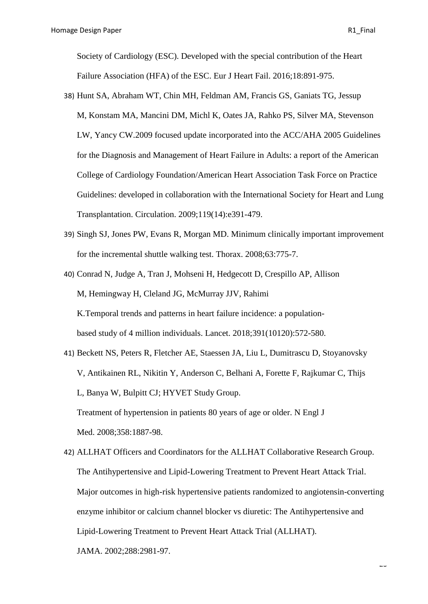Society of Cardiology (ESC). Developed with the special contribution of the Heart Failure Association (HFA) of the ESC. [Eur J Heart Fail.](https://www.ncbi.nlm.nih.gov/pubmed/27207191) 2016;18:891-975.

- 38) [Hunt SA,](https://www.ncbi.nlm.nih.gov/pubmed/?term=Hunt%20SA%5BAuthor%5D&cauthor=true&cauthor_uid=19324966) [Abraham WT,](https://www.ncbi.nlm.nih.gov/pubmed/?term=Abraham%20WT%5BAuthor%5D&cauthor=true&cauthor_uid=19324966) [Chin MH,](https://www.ncbi.nlm.nih.gov/pubmed/?term=Chin%20MH%5BAuthor%5D&cauthor=true&cauthor_uid=19324966) [Feldman AM,](https://www.ncbi.nlm.nih.gov/pubmed/?term=Feldman%20AM%5BAuthor%5D&cauthor=true&cauthor_uid=19324966) [Francis GS,](https://www.ncbi.nlm.nih.gov/pubmed/?term=Francis%20GS%5BAuthor%5D&cauthor=true&cauthor_uid=19324966) [Ganiats TG,](https://www.ncbi.nlm.nih.gov/pubmed/?term=Ganiats%20TG%5BAuthor%5D&cauthor=true&cauthor_uid=19324966) [Jessup](https://www.ncbi.nlm.nih.gov/pubmed/?term=Jessup%20M%5BAuthor%5D&cauthor=true&cauthor_uid=19324966)  [M,](https://www.ncbi.nlm.nih.gov/pubmed/?term=Jessup%20M%5BAuthor%5D&cauthor=true&cauthor_uid=19324966) [Konstam MA,](https://www.ncbi.nlm.nih.gov/pubmed/?term=Konstam%20MA%5BAuthor%5D&cauthor=true&cauthor_uid=19324966) [Mancini DM,](https://www.ncbi.nlm.nih.gov/pubmed/?term=Mancini%20DM%5BAuthor%5D&cauthor=true&cauthor_uid=19324966) [Michl K,](https://www.ncbi.nlm.nih.gov/pubmed/?term=Michl%20K%5BAuthor%5D&cauthor=true&cauthor_uid=19324966) [Oates JA,](https://www.ncbi.nlm.nih.gov/pubmed/?term=Oates%20JA%5BAuthor%5D&cauthor=true&cauthor_uid=19324966) [Rahko PS,](https://www.ncbi.nlm.nih.gov/pubmed/?term=Rahko%20PS%5BAuthor%5D&cauthor=true&cauthor_uid=19324966) [Silver MA,](https://www.ncbi.nlm.nih.gov/pubmed/?term=Silver%20MA%5BAuthor%5D&cauthor=true&cauthor_uid=19324966) [Stevenson](https://www.ncbi.nlm.nih.gov/pubmed/?term=Stevenson%20LW%5BAuthor%5D&cauthor=true&cauthor_uid=19324966)  [LW,](https://www.ncbi.nlm.nih.gov/pubmed/?term=Stevenson%20LW%5BAuthor%5D&cauthor=true&cauthor_uid=19324966) [Yancy CW.](https://www.ncbi.nlm.nih.gov/pubmed/?term=Yancy%20CW%5BAuthor%5D&cauthor=true&cauthor_uid=19324966)2009 focused update incorporated into the ACC/AHA 2005 Guidelines for the Diagnosis and Management of Heart Failure in Adults: a report of the American College of Cardiology Foundation/American Heart Association Task Force on Practice Guidelines: developed in collaboration with the International Society for Heart and Lung Transplantation. [Circulation.](https://www.ncbi.nlm.nih.gov/pubmed/19324966) 2009;119(14):e391-479.
- 39) [Singh](https://www.ncbi.nlm.nih.gov/pubmed/?term=Singh%20SJ%5BAuthor%5D&cauthor=true&cauthor_uid=18390634) SJ, [Jones PW,](https://www.ncbi.nlm.nih.gov/pubmed/?term=Jones%20PW%5BAuthor%5D&cauthor=true&cauthor_uid=18390634) [Evans R,](https://www.ncbi.nlm.nih.gov/pubmed/?term=Evans%20R%5BAuthor%5D&cauthor=true&cauthor_uid=18390634) [Morgan MD.](https://www.ncbi.nlm.nih.gov/pubmed/?term=Morgan%20MD%5BAuthor%5D&cauthor=true&cauthor_uid=18390634) Minimum clinically important improvement for the incremental shuttle walking test. [Thorax.](https://www.ncbi.nlm.nih.gov/pubmed/18390634) 2008;63:775-7.

40) [Conrad N,](https://www.ncbi.nlm.nih.gov/pubmed/?term=Conrad%20N%5BAuthor%5D&cauthor=true&cauthor_uid=29174292) [Judge A,](https://www.ncbi.nlm.nih.gov/pubmed/?term=Judge%20A%5BAuthor%5D&cauthor=true&cauthor_uid=29174292) [Tran J,](https://www.ncbi.nlm.nih.gov/pubmed/?term=Tran%20J%5BAuthor%5D&cauthor=true&cauthor_uid=29174292) [Mohseni H,](https://www.ncbi.nlm.nih.gov/pubmed/?term=Mohseni%20H%5BAuthor%5D&cauthor=true&cauthor_uid=29174292) [Hedgecott D,](https://www.ncbi.nlm.nih.gov/pubmed/?term=Hedgecott%20D%5BAuthor%5D&cauthor=true&cauthor_uid=29174292) [Crespillo AP,](https://www.ncbi.nlm.nih.gov/pubmed/?term=Crespillo%20AP%5BAuthor%5D&cauthor=true&cauthor_uid=29174292) [Allison](https://www.ncbi.nlm.nih.gov/pubmed/?term=Allison%20M%5BAuthor%5D&cauthor=true&cauthor_uid=29174292)  [M,](https://www.ncbi.nlm.nih.gov/pubmed/?term=Allison%20M%5BAuthor%5D&cauthor=true&cauthor_uid=29174292) [Hemingway H,](https://www.ncbi.nlm.nih.gov/pubmed/?term=Hemingway%20H%5BAuthor%5D&cauthor=true&cauthor_uid=29174292) [Cleland JG,](https://www.ncbi.nlm.nih.gov/pubmed/?term=Cleland%20JG%5BAuthor%5D&cauthor=true&cauthor_uid=29174292) [McMurray JJV,](https://www.ncbi.nlm.nih.gov/pubmed/?term=McMurray%20JJV%5BAuthor%5D&cauthor=true&cauthor_uid=29174292) [Rahimi](https://www.ncbi.nlm.nih.gov/pubmed/?term=Rahimi%20K%5BAuthor%5D&cauthor=true&cauthor_uid=29174292) [K.](https://www.ncbi.nlm.nih.gov/pubmed/?term=Rahimi%20K%5BAuthor%5D&cauthor=true&cauthor_uid=29174292)Temporal trends and patterns in heart failure incidence: a populationbased study of 4 million individuals. [Lancet.](https://www.ncbi.nlm.nih.gov/pubmed/?term=Temporal+trends+and+patterns+in+heart+failure+incidence%3A+a+population-based+study+of+4+million+individuals) 2018;391(10120):572-580.

- 41) [Beckett NS,](https://www.ncbi.nlm.nih.gov/pubmed/?term=Beckett%20NS%5BAuthor%5D&cauthor=true&cauthor_uid=18378519) [Peters R,](https://www.ncbi.nlm.nih.gov/pubmed/?term=Peters%20R%5BAuthor%5D&cauthor=true&cauthor_uid=18378519) [Fletcher AE,](https://www.ncbi.nlm.nih.gov/pubmed/?term=Fletcher%20AE%5BAuthor%5D&cauthor=true&cauthor_uid=18378519) [Staessen JA,](https://www.ncbi.nlm.nih.gov/pubmed/?term=Staessen%20JA%5BAuthor%5D&cauthor=true&cauthor_uid=18378519) [Liu L,](https://www.ncbi.nlm.nih.gov/pubmed/?term=Liu%20L%5BAuthor%5D&cauthor=true&cauthor_uid=18378519) [Dumitrascu D,](https://www.ncbi.nlm.nih.gov/pubmed/?term=Dumitrascu%20D%5BAuthor%5D&cauthor=true&cauthor_uid=18378519) [Stoyanovsky](https://www.ncbi.nlm.nih.gov/pubmed/?term=Stoyanovsky%20V%5BAuthor%5D&cauthor=true&cauthor_uid=18378519)  [V,](https://www.ncbi.nlm.nih.gov/pubmed/?term=Stoyanovsky%20V%5BAuthor%5D&cauthor=true&cauthor_uid=18378519) [Antikainen RL,](https://www.ncbi.nlm.nih.gov/pubmed/?term=Antikainen%20RL%5BAuthor%5D&cauthor=true&cauthor_uid=18378519) [Nikitin Y,](https://www.ncbi.nlm.nih.gov/pubmed/?term=Nikitin%20Y%5BAuthor%5D&cauthor=true&cauthor_uid=18378519) [Anderson C,](https://www.ncbi.nlm.nih.gov/pubmed/?term=Anderson%20C%5BAuthor%5D&cauthor=true&cauthor_uid=18378519) [Belhani A,](https://www.ncbi.nlm.nih.gov/pubmed/?term=Belhani%20A%5BAuthor%5D&cauthor=true&cauthor_uid=18378519) [Forette F,](https://www.ncbi.nlm.nih.gov/pubmed/?term=Forette%20F%5BAuthor%5D&cauthor=true&cauthor_uid=18378519) [Rajkumar C,](https://www.ncbi.nlm.nih.gov/pubmed/?term=Rajkumar%20C%5BAuthor%5D&cauthor=true&cauthor_uid=18378519) [Thijs](https://www.ncbi.nlm.nih.gov/pubmed/?term=Thijs%20L%5BAuthor%5D&cauthor=true&cauthor_uid=18378519)  [L,](https://www.ncbi.nlm.nih.gov/pubmed/?term=Thijs%20L%5BAuthor%5D&cauthor=true&cauthor_uid=18378519) [Banya W,](https://www.ncbi.nlm.nih.gov/pubmed/?term=Banya%20W%5BAuthor%5D&cauthor=true&cauthor_uid=18378519) [Bulpitt CJ;](https://www.ncbi.nlm.nih.gov/pubmed/?term=Bulpitt%20CJ%5BAuthor%5D&cauthor=true&cauthor_uid=18378519) [HYVET Study Group.](https://www.ncbi.nlm.nih.gov/pubmed/?term=HYVET%20Study%20Group%5BCorporate%20Author%5D) Treatment of hypertension in patients 80 years of age or older. [N Engl J](https://www.ncbi.nlm.nih.gov/pubmed/18378519)  [Med.](https://www.ncbi.nlm.nih.gov/pubmed/18378519) 2008;358:1887-98.
- 42) [ALLHAT Officers and Coordinators for the ALLHAT Collaborative Research Group.](https://www.ncbi.nlm.nih.gov/pubmed/?term=ALLHAT%20Officers%20and%20Coordinators%20for%20the%20ALLHAT%20Collaborative%20Research%20Group.%20The%20Antihypertensive%20and%20Lipid-Lowering%20Treatment%20to%20Prevent%20Heart%20Attack%20Trial%5BCorporate%20Author%5D)  [The Antihypertensive and Lipid-Lowering Treatment to Prevent Heart Attack Trial.](https://www.ncbi.nlm.nih.gov/pubmed/?term=ALLHAT%20Officers%20and%20Coordinators%20for%20the%20ALLHAT%20Collaborative%20Research%20Group.%20The%20Antihypertensive%20and%20Lipid-Lowering%20Treatment%20to%20Prevent%20Heart%20Attack%20Trial%5BCorporate%20Author%5D) Major outcomes in high-risk hypertensive patients randomized to angiotensin-converting enzyme inhibitor or calcium channel blocker vs diuretic: The Antihypertensive and Lipid-Lowering Treatment to Prevent Heart Attack Trial (ALLHAT).

[JAMA.](https://www.ncbi.nlm.nih.gov/pubmed/12479763) 2002;288:2981-97.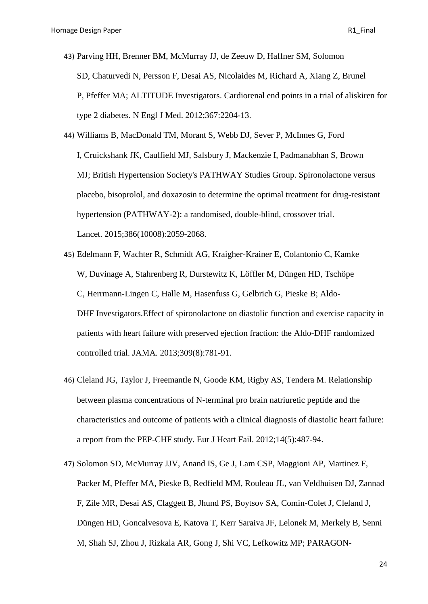- 43) [Parving HH,](https://www.ncbi.nlm.nih.gov/pubmed/?term=Parving%20HH%5BAuthor%5D&cauthor=true&cauthor_uid=23121378) [Brenner BM,](https://www.ncbi.nlm.nih.gov/pubmed/?term=Brenner%20BM%5BAuthor%5D&cauthor=true&cauthor_uid=23121378) [McMurray JJ,](https://www.ncbi.nlm.nih.gov/pubmed/?term=McMurray%20JJ%5BAuthor%5D&cauthor=true&cauthor_uid=23121378) [de Zeeuw D,](https://www.ncbi.nlm.nih.gov/pubmed/?term=de%20Zeeuw%20D%5BAuthor%5D&cauthor=true&cauthor_uid=23121378) [Haffner SM,](https://www.ncbi.nlm.nih.gov/pubmed/?term=Haffner%20SM%5BAuthor%5D&cauthor=true&cauthor_uid=23121378) [Solomon](https://www.ncbi.nlm.nih.gov/pubmed/?term=Solomon%20SD%5BAuthor%5D&cauthor=true&cauthor_uid=23121378)  [SD,](https://www.ncbi.nlm.nih.gov/pubmed/?term=Solomon%20SD%5BAuthor%5D&cauthor=true&cauthor_uid=23121378) [Chaturvedi N,](https://www.ncbi.nlm.nih.gov/pubmed/?term=Chaturvedi%20N%5BAuthor%5D&cauthor=true&cauthor_uid=23121378) [Persson F,](https://www.ncbi.nlm.nih.gov/pubmed/?term=Persson%20F%5BAuthor%5D&cauthor=true&cauthor_uid=23121378) [Desai AS,](https://www.ncbi.nlm.nih.gov/pubmed/?term=Desai%20AS%5BAuthor%5D&cauthor=true&cauthor_uid=23121378) [Nicolaides M,](https://www.ncbi.nlm.nih.gov/pubmed/?term=Nicolaides%20M%5BAuthor%5D&cauthor=true&cauthor_uid=23121378) [Richard A,](https://www.ncbi.nlm.nih.gov/pubmed/?term=Richard%20A%5BAuthor%5D&cauthor=true&cauthor_uid=23121378) [Xiang Z,](https://www.ncbi.nlm.nih.gov/pubmed/?term=Xiang%20Z%5BAuthor%5D&cauthor=true&cauthor_uid=23121378) [Brunel](https://www.ncbi.nlm.nih.gov/pubmed/?term=Brunel%20P%5BAuthor%5D&cauthor=true&cauthor_uid=23121378)  [P,](https://www.ncbi.nlm.nih.gov/pubmed/?term=Brunel%20P%5BAuthor%5D&cauthor=true&cauthor_uid=23121378) [Pfeffer MA;](https://www.ncbi.nlm.nih.gov/pubmed/?term=Pfeffer%20MA%5BAuthor%5D&cauthor=true&cauthor_uid=23121378) [ALTITUDE Investigators.](https://www.ncbi.nlm.nih.gov/pubmed/?term=ALTITUDE%20Investigators%5BCorporate%20Author%5D) Cardiorenal end points in a trial of aliskiren for type 2 diabetes. [N Engl J Med.](https://www.ncbi.nlm.nih.gov/pubmed/23121378) 2012;367:2204-13.
- 44) [Williams B,](https://www.ncbi.nlm.nih.gov/pubmed/?term=Williams%20B%5BAuthor%5D&cauthor=true&cauthor_uid=26414968) [MacDonald TM,](https://www.ncbi.nlm.nih.gov/pubmed/?term=MacDonald%20TM%5BAuthor%5D&cauthor=true&cauthor_uid=26414968) [Morant S,](https://www.ncbi.nlm.nih.gov/pubmed/?term=Morant%20S%5BAuthor%5D&cauthor=true&cauthor_uid=26414968) [Webb DJ,](https://www.ncbi.nlm.nih.gov/pubmed/?term=Webb%20DJ%5BAuthor%5D&cauthor=true&cauthor_uid=26414968) [Sever P,](https://www.ncbi.nlm.nih.gov/pubmed/?term=Sever%20P%5BAuthor%5D&cauthor=true&cauthor_uid=26414968) [McInnes G,](https://www.ncbi.nlm.nih.gov/pubmed/?term=McInnes%20G%5BAuthor%5D&cauthor=true&cauthor_uid=26414968) [Ford](https://www.ncbi.nlm.nih.gov/pubmed/?term=Ford%20I%5BAuthor%5D&cauthor=true&cauthor_uid=26414968)  [I,](https://www.ncbi.nlm.nih.gov/pubmed/?term=Ford%20I%5BAuthor%5D&cauthor=true&cauthor_uid=26414968) [Cruickshank JK,](https://www.ncbi.nlm.nih.gov/pubmed/?term=Cruickshank%20JK%5BAuthor%5D&cauthor=true&cauthor_uid=26414968) [Caulfield MJ,](https://www.ncbi.nlm.nih.gov/pubmed/?term=Caulfield%20MJ%5BAuthor%5D&cauthor=true&cauthor_uid=26414968) [Salsbury J,](https://www.ncbi.nlm.nih.gov/pubmed/?term=Salsbury%20J%5BAuthor%5D&cauthor=true&cauthor_uid=26414968) [Mackenzie I,](https://www.ncbi.nlm.nih.gov/pubmed/?term=Mackenzie%20I%5BAuthor%5D&cauthor=true&cauthor_uid=26414968) [Padmanabhan S,](https://www.ncbi.nlm.nih.gov/pubmed/?term=Padmanabhan%20S%5BAuthor%5D&cauthor=true&cauthor_uid=26414968) [Brown](https://www.ncbi.nlm.nih.gov/pubmed/?term=Brown%20MJ%5BAuthor%5D&cauthor=true&cauthor_uid=26414968)  [MJ;](https://www.ncbi.nlm.nih.gov/pubmed/?term=Brown%20MJ%5BAuthor%5D&cauthor=true&cauthor_uid=26414968) [British Hypertension Society's PATHWAY Studies Group.](https://www.ncbi.nlm.nih.gov/pubmed/?term=British%20Hypertension%20Society%27s%20PATHWAY%20Studies%20Group%5BCorporate%20Author%5D) Spironolactone versus placebo, bisoprolol, and doxazosin to determine the optimal treatment for drug-resistant hypertension (PATHWAY-2): a randomised, double-blind, crossover trial. [Lancet.](https://www.ncbi.nlm.nih.gov/pubmed/26414968) 2015;386(10008):2059-2068.
- 45) [Edelmann F,](https://www.ncbi.nlm.nih.gov/pubmed/?term=Edelmann%20F%5BAuthor%5D&cauthor=true&cauthor_uid=23443441) [Wachter R,](https://www.ncbi.nlm.nih.gov/pubmed/?term=Wachter%20R%5BAuthor%5D&cauthor=true&cauthor_uid=23443441) [Schmidt AG,](https://www.ncbi.nlm.nih.gov/pubmed/?term=Schmidt%20AG%5BAuthor%5D&cauthor=true&cauthor_uid=23443441) [Kraigher-Krainer E,](https://www.ncbi.nlm.nih.gov/pubmed/?term=Kraigher-Krainer%20E%5BAuthor%5D&cauthor=true&cauthor_uid=23443441) [Colantonio C,](https://www.ncbi.nlm.nih.gov/pubmed/?term=Colantonio%20C%5BAuthor%5D&cauthor=true&cauthor_uid=23443441) [Kamke](https://www.ncbi.nlm.nih.gov/pubmed/?term=Kamke%20W%5BAuthor%5D&cauthor=true&cauthor_uid=23443441)  [W,](https://www.ncbi.nlm.nih.gov/pubmed/?term=Kamke%20W%5BAuthor%5D&cauthor=true&cauthor_uid=23443441) [Duvinage A,](https://www.ncbi.nlm.nih.gov/pubmed/?term=Duvinage%20A%5BAuthor%5D&cauthor=true&cauthor_uid=23443441) [Stahrenberg R,](https://www.ncbi.nlm.nih.gov/pubmed/?term=Stahrenberg%20R%5BAuthor%5D&cauthor=true&cauthor_uid=23443441) [Durstewitz K,](https://www.ncbi.nlm.nih.gov/pubmed/?term=Durstewitz%20K%5BAuthor%5D&cauthor=true&cauthor_uid=23443441) [Löffler M,](https://www.ncbi.nlm.nih.gov/pubmed/?term=L%C3%B6ffler%20M%5BAuthor%5D&cauthor=true&cauthor_uid=23443441) [Düngen HD,](https://www.ncbi.nlm.nih.gov/pubmed/?term=D%C3%BCngen%20HD%5BAuthor%5D&cauthor=true&cauthor_uid=23443441) [Tschöpe](https://www.ncbi.nlm.nih.gov/pubmed/?term=Tsch%C3%B6pe%20C%5BAuthor%5D&cauthor=true&cauthor_uid=23443441)  [C,](https://www.ncbi.nlm.nih.gov/pubmed/?term=Tsch%C3%B6pe%20C%5BAuthor%5D&cauthor=true&cauthor_uid=23443441) [Herrmann-Lingen C,](https://www.ncbi.nlm.nih.gov/pubmed/?term=Herrmann-Lingen%20C%5BAuthor%5D&cauthor=true&cauthor_uid=23443441) [Halle M,](https://www.ncbi.nlm.nih.gov/pubmed/?term=Halle%20M%5BAuthor%5D&cauthor=true&cauthor_uid=23443441) [Hasenfuss G,](https://www.ncbi.nlm.nih.gov/pubmed/?term=Hasenfuss%20G%5BAuthor%5D&cauthor=true&cauthor_uid=23443441) [Gelbrich G,](https://www.ncbi.nlm.nih.gov/pubmed/?term=Gelbrich%20G%5BAuthor%5D&cauthor=true&cauthor_uid=23443441) [Pieske B;](https://www.ncbi.nlm.nih.gov/pubmed/?term=Pieske%20B%5BAuthor%5D&cauthor=true&cauthor_uid=23443441) [Aldo-](https://www.ncbi.nlm.nih.gov/pubmed/?term=Aldo-DHF%20Investigators%5BCorporate%20Author%5D)DHF [Investigators.](https://www.ncbi.nlm.nih.gov/pubmed/?term=Aldo-DHF%20Investigators%5BCorporate%20Author%5D)Effect of spironolactone on diastolic function and exercise capacity in patients with heart failure with preserved ejection fraction: the Aldo-DHF randomized controlled trial. [JAMA.](https://www.ncbi.nlm.nih.gov/pubmed/23443441) 2013;309(8):781-91.
- 46) [Cleland JG,](https://www.ncbi.nlm.nih.gov/pubmed/?term=Cleland%20JG%5BAuthor%5D&cauthor=true&cauthor_uid=22505395) [Taylor J,](https://www.ncbi.nlm.nih.gov/pubmed/?term=Taylor%20J%5BAuthor%5D&cauthor=true&cauthor_uid=22505395) [Freemantle N,](https://www.ncbi.nlm.nih.gov/pubmed/?term=Freemantle%20N%5BAuthor%5D&cauthor=true&cauthor_uid=22505395) [Goode KM,](https://www.ncbi.nlm.nih.gov/pubmed/?term=Goode%20KM%5BAuthor%5D&cauthor=true&cauthor_uid=22505395) [Rigby AS,](https://www.ncbi.nlm.nih.gov/pubmed/?term=Rigby%20AS%5BAuthor%5D&cauthor=true&cauthor_uid=22505395) [Tendera M.](https://www.ncbi.nlm.nih.gov/pubmed/?term=Tendera%20M%5BAuthor%5D&cauthor=true&cauthor_uid=22505395) Relationship between plasma concentrations of N-terminal pro brain natriuretic peptide and the characteristics and outcome of patients with a clinical diagnosis of diastolic heart failure: a report from the PEP-CHF study. [Eur J Heart Fail.](https://www.ncbi.nlm.nih.gov/pubmed/22505395) 2012;14(5):487-94.
- 47) Solomon SD, McMurray JJV, Anand IS, Ge J, Lam CSP, Maggioni AP, Martinez F, Packer M, Pfeffer MA, Pieske B, Redfield MM, Rouleau JL, van Veldhuisen DJ, Zannad F, Zile MR, Desai AS, Claggett B, Jhund PS, Boytsov SA, Comin-Colet J, Cleland J, Düngen HD, Goncalvesova E, Katova T, Kerr Saraiva JF, Lelonek M, Merkely B, Senni M, Shah SJ, Zhou J, Rizkala AR, Gong J, Shi VC, Lefkowitz MP; PARAGON-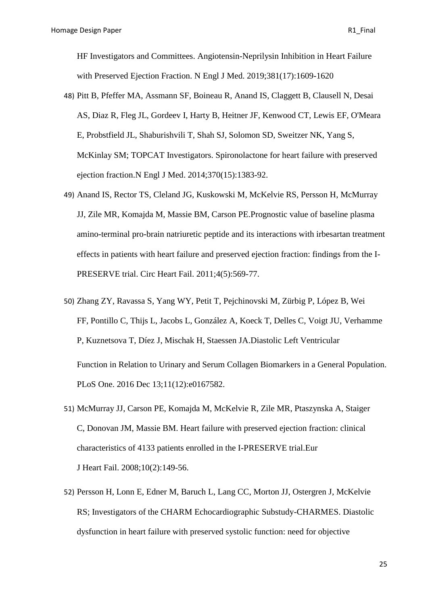HF Investigators and Committees. [Angiotensin-Neprilysin Inhibition in Heart Failure](https://www.ncbi.nlm.nih.gov/pubmed/31475794)  [with Preserved Ejection Fraction.](https://www.ncbi.nlm.nih.gov/pubmed/31475794) [N Engl J Med.](https://www.ncbi.nlm.nih.gov/pubmed/?term=angiotensin%E2%80%93Neprilysin+Inhibition+in+Heart+Failure+with+Preserved+Ejection+Fraction) 2019;381(17):1609-1620

- 48) [Pitt B, Pfeffer MA, Assmann SF, Boineau R, Anand IS, Claggett B, Clausell N, Desai](https://www.ncbi.nlm.nih.gov/pubmed/24716680)  [AS, Diaz R, Fleg JL, Gordeev I, Harty B, Heitner JF, Kenwood CT, Lewis EF, O'Meara](https://www.ncbi.nlm.nih.gov/pubmed/24716680)  [E, Probstfield JL, Shaburishvili T, Shah SJ, Solomon SD, Sweitzer NK, Yang S,](https://www.ncbi.nlm.nih.gov/pubmed/24716680)  McKinlay SM; TOPCAT Investigators. Spironolactone [for heart failure with preserved](https://www.ncbi.nlm.nih.gov/pubmed/24716680)  [ejection fraction.N](https://www.ncbi.nlm.nih.gov/pubmed/24716680) Engl J Med. 2014;370(15):1383-92.
- 49) [Anand IS,](https://www.ncbi.nlm.nih.gov/pubmed/?term=Anand%20IS%5BAuthor%5D&cauthor=true&cauthor_uid=21715583) [Rector TS,](https://www.ncbi.nlm.nih.gov/pubmed/?term=Rector%20TS%5BAuthor%5D&cauthor=true&cauthor_uid=21715583) [Cleland JG,](https://www.ncbi.nlm.nih.gov/pubmed/?term=Cleland%20JG%5BAuthor%5D&cauthor=true&cauthor_uid=21715583) [Kuskowski M,](https://www.ncbi.nlm.nih.gov/pubmed/?term=Kuskowski%20M%5BAuthor%5D&cauthor=true&cauthor_uid=21715583) [McKelvie RS,](https://www.ncbi.nlm.nih.gov/pubmed/?term=McKelvie%20RS%5BAuthor%5D&cauthor=true&cauthor_uid=21715583) [Persson H,](https://www.ncbi.nlm.nih.gov/pubmed/?term=Persson%20H%5BAuthor%5D&cauthor=true&cauthor_uid=21715583) [McMurray](https://www.ncbi.nlm.nih.gov/pubmed/?term=McMurray%20JJ%5BAuthor%5D&cauthor=true&cauthor_uid=21715583)  [JJ,](https://www.ncbi.nlm.nih.gov/pubmed/?term=McMurray%20JJ%5BAuthor%5D&cauthor=true&cauthor_uid=21715583) [Zile MR,](https://www.ncbi.nlm.nih.gov/pubmed/?term=Zile%20MR%5BAuthor%5D&cauthor=true&cauthor_uid=21715583) [Komajda M,](https://www.ncbi.nlm.nih.gov/pubmed/?term=Komajda%20M%5BAuthor%5D&cauthor=true&cauthor_uid=21715583) [Massie BM,](https://www.ncbi.nlm.nih.gov/pubmed/?term=Massie%20BM%5BAuthor%5D&cauthor=true&cauthor_uid=21715583) [Carson PE.](https://www.ncbi.nlm.nih.gov/pubmed/?term=Carson%20PE%5BAuthor%5D&cauthor=true&cauthor_uid=21715583)Prognostic value of baseline plasma amino-terminal pro-brain natriuretic peptide and its interactions with irbesartan treatment effects in patients with heart failure and preserved ejection fraction: findings from the I-PRESERVE trial. [Circ Heart Fail.](https://www.ncbi.nlm.nih.gov/pubmed/21715583) 2011;4(5):569-77.
- 50) [Zhang ZY,](https://www.ncbi.nlm.nih.gov/pubmed/?term=Zhang%20ZY%5BAuthor%5D&cauthor=true&cauthor_uid=27959898) [Ravassa S,](https://www.ncbi.nlm.nih.gov/pubmed/?term=Ravassa%20S%5BAuthor%5D&cauthor=true&cauthor_uid=27959898) [Yang WY,](https://www.ncbi.nlm.nih.gov/pubmed/?term=Yang%20WY%5BAuthor%5D&cauthor=true&cauthor_uid=27959898) [Petit T,](https://www.ncbi.nlm.nih.gov/pubmed/?term=Petit%20T%5BAuthor%5D&cauthor=true&cauthor_uid=27959898) [Pejchinovski M,](https://www.ncbi.nlm.nih.gov/pubmed/?term=Pejchinovski%20M%5BAuthor%5D&cauthor=true&cauthor_uid=27959898) [Zürbig P,](https://www.ncbi.nlm.nih.gov/pubmed/?term=Z%C3%BCrbig%20P%5BAuthor%5D&cauthor=true&cauthor_uid=27959898) [López B,](https://www.ncbi.nlm.nih.gov/pubmed/?term=L%C3%B3pez%20B%5BAuthor%5D&cauthor=true&cauthor_uid=27959898) [Wei](https://www.ncbi.nlm.nih.gov/pubmed/?term=Wei%20FF%5BAuthor%5D&cauthor=true&cauthor_uid=27959898)  [FF,](https://www.ncbi.nlm.nih.gov/pubmed/?term=Wei%20FF%5BAuthor%5D&cauthor=true&cauthor_uid=27959898) [Pontillo C,](https://www.ncbi.nlm.nih.gov/pubmed/?term=Pontillo%20C%5BAuthor%5D&cauthor=true&cauthor_uid=27959898) [Thijs L,](https://www.ncbi.nlm.nih.gov/pubmed/?term=Thijs%20L%5BAuthor%5D&cauthor=true&cauthor_uid=27959898) [Jacobs L,](https://www.ncbi.nlm.nih.gov/pubmed/?term=Jacobs%20L%5BAuthor%5D&cauthor=true&cauthor_uid=27959898) [González A,](https://www.ncbi.nlm.nih.gov/pubmed/?term=Gonz%C3%A1lez%20A%5BAuthor%5D&cauthor=true&cauthor_uid=27959898) [Koeck T,](https://www.ncbi.nlm.nih.gov/pubmed/?term=Koeck%20T%5BAuthor%5D&cauthor=true&cauthor_uid=27959898) [Delles C,](https://www.ncbi.nlm.nih.gov/pubmed/?term=Delles%20C%5BAuthor%5D&cauthor=true&cauthor_uid=27959898) [Voigt JU,](https://www.ncbi.nlm.nih.gov/pubmed/?term=Voigt%20JU%5BAuthor%5D&cauthor=true&cauthor_uid=27959898) [Verhamme](https://www.ncbi.nlm.nih.gov/pubmed/?term=Verhamme%20P%5BAuthor%5D&cauthor=true&cauthor_uid=27959898)  [P,](https://www.ncbi.nlm.nih.gov/pubmed/?term=Verhamme%20P%5BAuthor%5D&cauthor=true&cauthor_uid=27959898) [Kuznetsova T,](https://www.ncbi.nlm.nih.gov/pubmed/?term=Kuznetsova%20T%5BAuthor%5D&cauthor=true&cauthor_uid=27959898) [Díez J,](https://www.ncbi.nlm.nih.gov/pubmed/?term=D%C3%ADez%20J%5BAuthor%5D&cauthor=true&cauthor_uid=27959898) [Mischak H,](https://www.ncbi.nlm.nih.gov/pubmed/?term=Mischak%20H%5BAuthor%5D&cauthor=true&cauthor_uid=27959898) [Staessen JA.](https://www.ncbi.nlm.nih.gov/pubmed/?term=Staessen%20JA%5BAuthor%5D&cauthor=true&cauthor_uid=27959898)Diastolic Left Ventricular Function in Relation to Urinary and Serum Collagen Biomarkers in a General Population. [PLoS One.](https://www.ncbi.nlm.nih.gov/pubmed/?term=Diastolic+Left+Ventricular+Function+in+Relation+to+Urinary+and+Serum+Collagen+Biomarkers+in+a+General+Population) 2016 Dec 13;11(12):e0167582.
- 51) [McMurray JJ,](https://www.ncbi.nlm.nih.gov/pubmed/?term=McMurray%20JJ%5BAuthor%5D&cauthor=true&cauthor_uid=18279770) [Carson PE,](https://www.ncbi.nlm.nih.gov/pubmed/?term=Carson%20PE%5BAuthor%5D&cauthor=true&cauthor_uid=18279770) [Komajda M,](https://www.ncbi.nlm.nih.gov/pubmed/?term=Komajda%20M%5BAuthor%5D&cauthor=true&cauthor_uid=18279770) [McKelvie R,](https://www.ncbi.nlm.nih.gov/pubmed/?term=McKelvie%20R%5BAuthor%5D&cauthor=true&cauthor_uid=18279770) [Zile MR,](https://www.ncbi.nlm.nih.gov/pubmed/?term=Zile%20MR%5BAuthor%5D&cauthor=true&cauthor_uid=18279770) [Ptaszynska A,](https://www.ncbi.nlm.nih.gov/pubmed/?term=Ptaszynska%20A%5BAuthor%5D&cauthor=true&cauthor_uid=18279770) [Staiger](https://www.ncbi.nlm.nih.gov/pubmed/?term=Staiger%20C%5BAuthor%5D&cauthor=true&cauthor_uid=18279770)  [C,](https://www.ncbi.nlm.nih.gov/pubmed/?term=Staiger%20C%5BAuthor%5D&cauthor=true&cauthor_uid=18279770) [Donovan JM,](https://www.ncbi.nlm.nih.gov/pubmed/?term=Donovan%20JM%5BAuthor%5D&cauthor=true&cauthor_uid=18279770) [Massie BM.](https://www.ncbi.nlm.nih.gov/pubmed/?term=Massie%20BM%5BAuthor%5D&cauthor=true&cauthor_uid=18279770) Heart failure with preserved ejection fraction: clinical characteristics of 4133 patients enrolled in the I-PRESERVE trial[.Eur](https://www.ncbi.nlm.nih.gov/pubmed/18279770)  J [Heart](https://www.ncbi.nlm.nih.gov/pubmed/18279770) Fail. 2008;10(2):149-56.
- 52) [Persson H,](https://www.ncbi.nlm.nih.gov/pubmed/?term=Persson%20H%5BAuthor%5D&cauthor=true&cauthor_uid=17291934) [Lonn E,](https://www.ncbi.nlm.nih.gov/pubmed/?term=Lonn%20E%5BAuthor%5D&cauthor=true&cauthor_uid=17291934) [Edner M,](https://www.ncbi.nlm.nih.gov/pubmed/?term=Edner%20M%5BAuthor%5D&cauthor=true&cauthor_uid=17291934) [Baruch L,](https://www.ncbi.nlm.nih.gov/pubmed/?term=Baruch%20L%5BAuthor%5D&cauthor=true&cauthor_uid=17291934) [Lang CC,](https://www.ncbi.nlm.nih.gov/pubmed/?term=Lang%20CC%5BAuthor%5D&cauthor=true&cauthor_uid=17291934) [Morton JJ,](https://www.ncbi.nlm.nih.gov/pubmed/?term=Morton%20JJ%5BAuthor%5D&cauthor=true&cauthor_uid=17291934) [Ostergren J,](https://www.ncbi.nlm.nih.gov/pubmed/?term=Ostergren%20J%5BAuthor%5D&cauthor=true&cauthor_uid=17291934) [McKelvie](https://www.ncbi.nlm.nih.gov/pubmed/?term=McKelvie%20RS%5BAuthor%5D&cauthor=true&cauthor_uid=17291934)  [RS;](https://www.ncbi.nlm.nih.gov/pubmed/?term=McKelvie%20RS%5BAuthor%5D&cauthor=true&cauthor_uid=17291934) [Investigators of the CHARM Echocardiographic Substudy-CHARMES.](https://www.ncbi.nlm.nih.gov/pubmed/?term=Investigators%20of%20the%20CHARM%20Echocardiographic%20Substudy-CHARMES%5BCorporate%20Author%5D) Diastolic dysfunction in heart failure with preserved systolic function: need for objective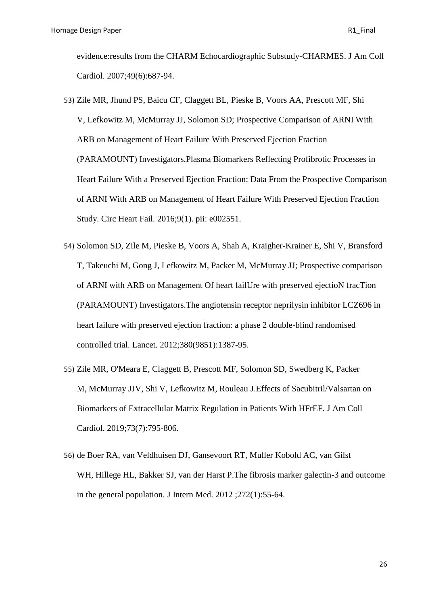evidence:results from the CHARM Echocardiographic Substudy-CHARMES. [J Am Coll](https://www.ncbi.nlm.nih.gov/pubmed/17291934)  [Cardiol.](https://www.ncbi.nlm.nih.gov/pubmed/17291934) 2007;49(6):687-94.

- 53) [Zile MR,](https://www.ncbi.nlm.nih.gov/pubmed/?term=Zile%20MR%5BAuthor%5D&cauthor=true&cauthor_uid=26754625) [Jhund PS,](https://www.ncbi.nlm.nih.gov/pubmed/?term=Jhund%20PS%5BAuthor%5D&cauthor=true&cauthor_uid=26754625) [Baicu CF,](https://www.ncbi.nlm.nih.gov/pubmed/?term=Baicu%20CF%5BAuthor%5D&cauthor=true&cauthor_uid=26754625) [Claggett BL,](https://www.ncbi.nlm.nih.gov/pubmed/?term=Claggett%20BL%5BAuthor%5D&cauthor=true&cauthor_uid=26754625) [Pieske B,](https://www.ncbi.nlm.nih.gov/pubmed/?term=Pieske%20B%5BAuthor%5D&cauthor=true&cauthor_uid=26754625) [Voors AA,](https://www.ncbi.nlm.nih.gov/pubmed/?term=Voors%20AA%5BAuthor%5D&cauthor=true&cauthor_uid=26754625) [Prescott MF,](https://www.ncbi.nlm.nih.gov/pubmed/?term=Prescott%20MF%5BAuthor%5D&cauthor=true&cauthor_uid=26754625) [Shi](https://www.ncbi.nlm.nih.gov/pubmed/?term=Shi%20V%5BAuthor%5D&cauthor=true&cauthor_uid=26754625)  [V,](https://www.ncbi.nlm.nih.gov/pubmed/?term=Shi%20V%5BAuthor%5D&cauthor=true&cauthor_uid=26754625) [Lefkowitz M,](https://www.ncbi.nlm.nih.gov/pubmed/?term=Lefkowitz%20M%5BAuthor%5D&cauthor=true&cauthor_uid=26754625) [McMurray JJ,](https://www.ncbi.nlm.nih.gov/pubmed/?term=McMurray%20JJ%5BAuthor%5D&cauthor=true&cauthor_uid=26754625) [Solomon SD;](https://www.ncbi.nlm.nih.gov/pubmed/?term=Solomon%20SD%5BAuthor%5D&cauthor=true&cauthor_uid=26754625) [Prospective Comparison](https://www.ncbi.nlm.nih.gov/pubmed/?term=Prospective%20Comparison%20of%20ARNI%20With%20ARB%20on%20Management%20of%20Heart%20Failure%20With%20Preserved%20Ejection%20Fraction%20(PARAMOUNT)%20Investigators%5BCorporate%20Author%5D) of ARNI With [ARB on Management of Heart Failure With Preserved Ejection Fraction](https://www.ncbi.nlm.nih.gov/pubmed/?term=Prospective%20Comparison%20of%20ARNI%20With%20ARB%20on%20Management%20of%20Heart%20Failure%20With%20Preserved%20Ejection%20Fraction%20(PARAMOUNT)%20Investigators%5BCorporate%20Author%5D)  [\(PARAMOUNT\) Investigators.](https://www.ncbi.nlm.nih.gov/pubmed/?term=Prospective%20Comparison%20of%20ARNI%20With%20ARB%20on%20Management%20of%20Heart%20Failure%20With%20Preserved%20Ejection%20Fraction%20(PARAMOUNT)%20Investigators%5BCorporate%20Author%5D)Plasma Biomarkers Reflecting Profibrotic Processes in Heart Failure With a Preserved Ejection Fraction: Data From the Prospective Comparison of ARNI With ARB on Management of Heart Failure With Preserved Ejection Fraction Study. [Circ Heart Fail.](https://www.ncbi.nlm.nih.gov/pubmed/26754625) 2016;9(1). pii: e002551.
- 54) [Solomon SD,](https://www.ncbi.nlm.nih.gov/pubmed/?term=Solomon%20SD%5BAuthor%5D&cauthor=true&cauthor_uid=22932717) [Zile M,](https://www.ncbi.nlm.nih.gov/pubmed/?term=Zile%20M%5BAuthor%5D&cauthor=true&cauthor_uid=22932717) [Pieske B,](https://www.ncbi.nlm.nih.gov/pubmed/?term=Pieske%20B%5BAuthor%5D&cauthor=true&cauthor_uid=22932717) [Voors A,](https://www.ncbi.nlm.nih.gov/pubmed/?term=Voors%20A%5BAuthor%5D&cauthor=true&cauthor_uid=22932717) [Shah A,](https://www.ncbi.nlm.nih.gov/pubmed/?term=Shah%20A%5BAuthor%5D&cauthor=true&cauthor_uid=22932717) [Kraigher-Krainer E,](https://www.ncbi.nlm.nih.gov/pubmed/?term=Kraigher-Krainer%20E%5BAuthor%5D&cauthor=true&cauthor_uid=22932717) [Shi V,](https://www.ncbi.nlm.nih.gov/pubmed/?term=Shi%20V%5BAuthor%5D&cauthor=true&cauthor_uid=22932717) [Bransford](https://www.ncbi.nlm.nih.gov/pubmed/?term=Bransford%20T%5BAuthor%5D&cauthor=true&cauthor_uid=22932717)  [T,](https://www.ncbi.nlm.nih.gov/pubmed/?term=Bransford%20T%5BAuthor%5D&cauthor=true&cauthor_uid=22932717) [Takeuchi M,](https://www.ncbi.nlm.nih.gov/pubmed/?term=Takeuchi%20M%5BAuthor%5D&cauthor=true&cauthor_uid=22932717) [Gong J,](https://www.ncbi.nlm.nih.gov/pubmed/?term=Gong%20J%5BAuthor%5D&cauthor=true&cauthor_uid=22932717) [Lefkowitz M,](https://www.ncbi.nlm.nih.gov/pubmed/?term=Lefkowitz%20M%5BAuthor%5D&cauthor=true&cauthor_uid=22932717) [Packer M,](https://www.ncbi.nlm.nih.gov/pubmed/?term=Packer%20M%5BAuthor%5D&cauthor=true&cauthor_uid=22932717) [McMurray JJ;](https://www.ncbi.nlm.nih.gov/pubmed/?term=McMurray%20JJ%5BAuthor%5D&cauthor=true&cauthor_uid=22932717) [Prospective comparison](https://www.ncbi.nlm.nih.gov/pubmed/?term=Prospective%20comparison%20of%20ARNI%20with%20ARB%20on%20Management%20Of%20heart%20failUre%20with%20preserved%20ejectioN%20fracTion%20(PARAMOUNT)%20Investigators%5BCorporate%20Author%5D)  [of ARNI with ARB on Management Of heart failUre with preserved ejectioN fracTion](https://www.ncbi.nlm.nih.gov/pubmed/?term=Prospective%20comparison%20of%20ARNI%20with%20ARB%20on%20Management%20Of%20heart%20failUre%20with%20preserved%20ejectioN%20fracTion%20(PARAMOUNT)%20Investigators%5BCorporate%20Author%5D)  [\(PARAMOUNT\) Investigators.](https://www.ncbi.nlm.nih.gov/pubmed/?term=Prospective%20comparison%20of%20ARNI%20with%20ARB%20on%20Management%20Of%20heart%20failUre%20with%20preserved%20ejectioN%20fracTion%20(PARAMOUNT)%20Investigators%5BCorporate%20Author%5D)The angiotensin receptor neprilysin inhibitor LCZ696 in heart failure with preserved ejection fraction: a phase 2 double-blind randomised controlled trial. [Lancet.](https://www.ncbi.nlm.nih.gov/pubmed/22932717) 2012;380(9851):1387-95.
- 55) [Zile MR,](https://www.ncbi.nlm.nih.gov/pubmed/?term=Zile%20MR%5BAuthor%5D&cauthor=true&cauthor_uid=30784673) [O'Meara E,](https://www.ncbi.nlm.nih.gov/pubmed/?term=O%27Meara%20E%5BAuthor%5D&cauthor=true&cauthor_uid=30784673) [Claggett B,](https://www.ncbi.nlm.nih.gov/pubmed/?term=Claggett%20B%5BAuthor%5D&cauthor=true&cauthor_uid=30784673) [Prescott MF,](https://www.ncbi.nlm.nih.gov/pubmed/?term=Prescott%20MF%5BAuthor%5D&cauthor=true&cauthor_uid=30784673) [Solomon SD,](https://www.ncbi.nlm.nih.gov/pubmed/?term=Solomon%20SD%5BAuthor%5D&cauthor=true&cauthor_uid=30784673) [Swedberg K,](https://www.ncbi.nlm.nih.gov/pubmed/?term=Swedberg%20K%5BAuthor%5D&cauthor=true&cauthor_uid=30784673) [Packer](https://www.ncbi.nlm.nih.gov/pubmed/?term=Packer%20M%5BAuthor%5D&cauthor=true&cauthor_uid=30784673)  [M,](https://www.ncbi.nlm.nih.gov/pubmed/?term=Packer%20M%5BAuthor%5D&cauthor=true&cauthor_uid=30784673) [McMurray JJV,](https://www.ncbi.nlm.nih.gov/pubmed/?term=McMurray%20JJV%5BAuthor%5D&cauthor=true&cauthor_uid=30784673) [Shi V,](https://www.ncbi.nlm.nih.gov/pubmed/?term=Shi%20V%5BAuthor%5D&cauthor=true&cauthor_uid=30784673) [Lefkowitz M,](https://www.ncbi.nlm.nih.gov/pubmed/?term=Lefkowitz%20M%5BAuthor%5D&cauthor=true&cauthor_uid=30784673) [Rouleau J.](https://www.ncbi.nlm.nih.gov/pubmed/?term=Rouleau%20J%5BAuthor%5D&cauthor=true&cauthor_uid=30784673)Effects of Sacubitril/Valsartan on Biomarkers of Extracellular Matrix Regulation in Patients With HFrEF. [J Am Coll](https://www.ncbi.nlm.nih.gov/pubmed/30784673)  [Cardiol.](https://www.ncbi.nlm.nih.gov/pubmed/30784673) 2019;73(7):795-806.
- 56) [de Boer RA,](https://www.ncbi.nlm.nih.gov/pubmed/?term=de%20Boer%20RA%5BAuthor%5D&cauthor=true&cauthor_uid=22026577) [van Veldhuisen DJ,](https://www.ncbi.nlm.nih.gov/pubmed/?term=van%20Veldhuisen%20DJ%5BAuthor%5D&cauthor=true&cauthor_uid=22026577) [Gansevoort RT,](https://www.ncbi.nlm.nih.gov/pubmed/?term=Gansevoort%20RT%5BAuthor%5D&cauthor=true&cauthor_uid=22026577) [Muller Kobold AC,](https://www.ncbi.nlm.nih.gov/pubmed/?term=Muller%20Kobold%20AC%5BAuthor%5D&cauthor=true&cauthor_uid=22026577) [van Gilst](https://www.ncbi.nlm.nih.gov/pubmed/?term=van%20Gilst%20WH%5BAuthor%5D&cauthor=true&cauthor_uid=22026577)  [WH,](https://www.ncbi.nlm.nih.gov/pubmed/?term=van%20Gilst%20WH%5BAuthor%5D&cauthor=true&cauthor_uid=22026577) [Hillege HL,](https://www.ncbi.nlm.nih.gov/pubmed/?term=Hillege%20HL%5BAuthor%5D&cauthor=true&cauthor_uid=22026577) [Bakker SJ,](https://www.ncbi.nlm.nih.gov/pubmed/?term=Bakker%20SJ%5BAuthor%5D&cauthor=true&cauthor_uid=22026577) [van der Harst P.](https://www.ncbi.nlm.nih.gov/pubmed/?term=van%20der%20Harst%20P%5BAuthor%5D&cauthor=true&cauthor_uid=22026577)The fibrosis marker galectin-3 and outcome in the general population. [J Intern Med.](https://www.ncbi.nlm.nih.gov/pubmed/22026577) 2012 ;272(1):55-64.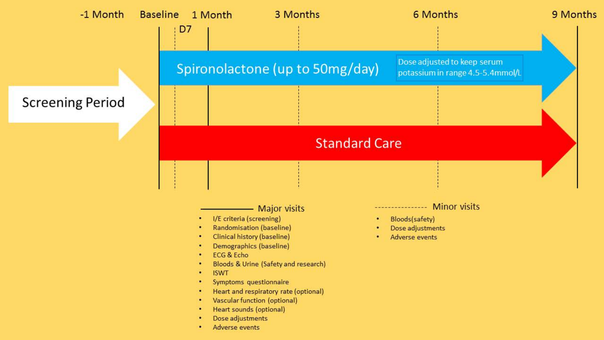

- 
- Dose adjustments
- Adverse events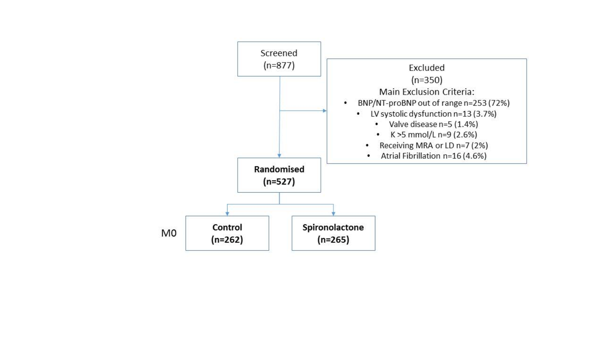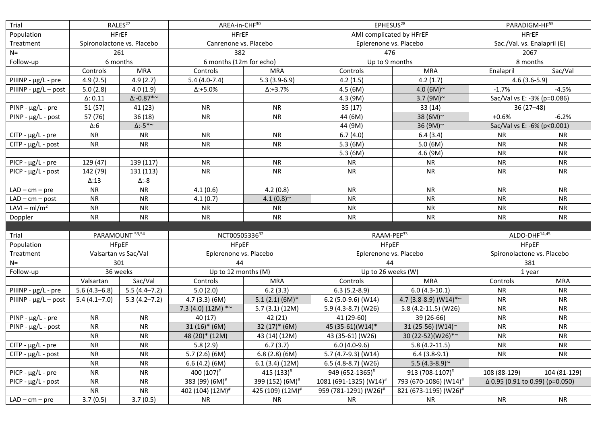| Trial                     | RALES <sup>27</sup>        |                   | AREA-in-CHF30                |                              | EPHESUS <sup>28</sup>              |                                   | PARADIGM-HF55                   |              |  |
|---------------------------|----------------------------|-------------------|------------------------------|------------------------------|------------------------------------|-----------------------------------|---------------------------------|--------------|--|
| Population                | <b>HFrEF</b>               |                   | <b>HFrEF</b>                 |                              | AMI complicated by HFrEF           |                                   | <b>HFrEF</b>                    |              |  |
| Treatment                 | Spironolactone vs. Placebo |                   | Canrenone vs. Placebo        |                              | Eplerenone vs. Placebo             |                                   | Sac./Val. vs. Enalapril (E)     |              |  |
| $N =$                     | 261                        |                   | 382                          |                              | 476                                |                                   | 2067                            |              |  |
| Follow-up                 | 6 months                   |                   | 6 months (12m for echo)      |                              | Up to 9 months                     |                                   | 8 months                        |              |  |
|                           | Controls                   | <b>MRA</b>        | Controls                     | <b>MRA</b>                   | Controls                           | <b>MRA</b>                        | Enalapril                       | Sac/Val      |  |
| PIIINP - µg/L - pre       | 4.9(2.5)                   | 4.9(2.7)          | $5.4(4.0-7.4)$               | $5.3(3.9-6.9)$               | 4.2(1.5)                           | 4.2(1.7)                          | $4.6(3.6-5.9)$                  |              |  |
| $PIIINP - \mu g/L - post$ | 5.0(2.8)                   | 4.0(1.9)          | $\Delta$ :+5.0%              | $\Delta$ :+3.7%              | 4.5(6M)                            | 4.0 (6M) $\sim$                   | $-1.7%$                         | $-4.5%$      |  |
|                           | $\Delta$ : 0.11            | $\Delta$ :-0.87*~ |                              |                              | 4.3 (9M)                           | 3.7 (9M) $\sim$                   | Sac/Val vs E: -3% (p=0.086)     |              |  |
| $PINP - \mu g/L - pre$    | 51(57)                     | 41 (23)           | <b>NR</b>                    | <b>NR</b>                    | 35(17)                             | 33(14)                            | 36 (27–48)                      |              |  |
| $PINP - \mu g/L - post$   | 57 (76)                    | 36(18)            | <b>NR</b>                    | <b>NR</b>                    | 44 (6M)                            | 38 (6M) $\sim$                    | $+0.6%$<br>$-6.2%$              |              |  |
|                           | $\Delta:6$                 | $\Delta$ :-5*~    |                              |                              | 44 (9M)                            | 36 (9M)~                          | Sac/Val vs E: -6% (p<0.001)     |              |  |
| $CITP - \mu g/L - pre$    | <b>NR</b>                  | <b>NR</b>         | <b>NR</b>                    | <b>NR</b>                    | 6.7(4.0)                           | 6.4(3.4)                          | <b>NR</b>                       | <b>NR</b>    |  |
| $CITP - \mu g/L - post$   | <b>NR</b>                  | <b>NR</b>         | <b>NR</b>                    | <b>NR</b>                    | 5.3(6M)                            | 5.0(6M)                           | <b>NR</b>                       | <b>NR</b>    |  |
|                           |                            |                   |                              |                              | 5.3(6M)                            | 4.6 (9M)                          | <b>NR</b>                       | <b>NR</b>    |  |
| $PICP - \mu g/L - pre$    | 129 (47)                   | 139 (117)         | <b>NR</b>                    | <b>NR</b>                    | <b>NR</b>                          | <b>NR</b>                         | <b>NR</b>                       | <b>NR</b>    |  |
| $PICP - \mu g/L - post$   | 142 (79)                   | 131 (113)         | <b>NR</b>                    | <b>NR</b>                    | <b>NR</b>                          | <b>NR</b>                         | <b>NR</b>                       | <b>NR</b>    |  |
|                           | $\Delta$ :13               | Δ:-8              |                              |                              |                                    |                                   |                                 |              |  |
| $LAD - cm - pre$          | <b>NR</b>                  | <b>NR</b>         | 4.1(0.6)                     | 4.2(0.8)                     | <b>NR</b>                          | <b>NR</b>                         | <b>NR</b>                       | <b>NR</b>    |  |
| $LAD - cm - post$         | <b>NR</b>                  | <b>NR</b>         | 4.1(0.7)                     | 4.1 $(0.8)$ <sup>~</sup>     | <b>NR</b>                          | <b>NR</b>                         | <b>NR</b>                       | <b>NR</b>    |  |
| LAVI – $ml/m2$            | <b>NR</b>                  | <b>NR</b>         | <b>NR</b>                    | <b>NR</b>                    | <b>NR</b>                          | <b>NR</b>                         | <b>NR</b>                       | <b>NR</b>    |  |
|                           |                            |                   |                              |                              |                                    |                                   |                                 |              |  |
| Doppler                   | <b>NR</b>                  | <b>NR</b>         | <b>NR</b>                    | <b>NR</b>                    | <b>NR</b>                          | <b>NR</b>                         | <b>NR</b>                       | <b>NR</b>    |  |
|                           |                            |                   |                              |                              |                                    |                                   |                                 |              |  |
| Trial                     | PARAMOUNT 53,54            |                   | NCT0050533632                |                              | RAAM-PEF <sup>33</sup>             |                                   | ALDO-DHF <sup>14,45</sup>       |              |  |
| Population                | <b>HFpEF</b>               |                   | <b>HFpEF</b>                 |                              | <b>HFpEF</b>                       |                                   | <b>HFpEF</b>                    |              |  |
| Treatment                 | Valsartan vs Sac/Val       |                   | Eplerenone vs. Placebo       |                              | Eplerenone vs. Placebo             |                                   | Spironolactone vs. Placebo      |              |  |
| $N =$                     | 301                        |                   | 44                           |                              | 44                                 |                                   | 381                             |              |  |
| Follow-up                 | 36 weeks                   |                   | Up to 12 months (M)          |                              | Up to 26 weeks (W)                 |                                   | 1 year                          |              |  |
|                           | Valsartan                  | Sac/Val           | Controls                     | <b>MRA</b>                   | Controls                           | <b>MRA</b>                        | Controls                        | <b>MRA</b>   |  |
| PIIINP - µg/L - pre       | $5.6(4.3-6.8)$             | $5.5(4.4 - 7.2)$  | 5.0(2.0)                     | 6.2(3.3)                     | $6.3(5.2-8.9)$                     | $6.0(4.3-10.1)$                   | <b>NR</b>                       | <b>NR</b>    |  |
| PIIINP - $\mu$ g/L - post | $5.4(4.1 - 7.0)$           | $5.3(4.2 - 7.2)$  | 4.7(3.3)(6M)                 | $5.1(2.1)(6M)*$              | $6.2$ (5.0-9.6) (W14)              | 4.7 (3.8-8.9) (W14)*~             | <b>NR</b>                       | <b>NR</b>    |  |
|                           |                            |                   | 7.3 (4.0) (12M) $*$ ~        | 5.7(3.1)(12M)                | 5.9 (4.3-8.7) (W26)                | 5.8 (4.2-11.5) (W26)              | <b>NR</b>                       | <b>NR</b>    |  |
| $PINP - \mu g/L - pre$    | <b>NR</b>                  | <b>NR</b>         | 40(17)                       | 42 (21)                      | 41 (29-60)                         | 39 (26-66)                        | <b>NR</b>                       | <b>NR</b>    |  |
| PINP - µg/L - post        | <b>NR</b>                  | <b>NR</b>         | $31(16)*(6M)$                | $32(17)*(6M)$                | 45 (35-61)(W14)*                   | 31 (25-56) (W14)~                 | <b>NR</b>                       | <b>NR</b>    |  |
|                           | <b>NR</b>                  | <b>NR</b>         | 48 (20)* (12M)               | 43 (14) (12M)                | 43 (35-61) (W26)                   | 30 (22-52)(W26)*~                 | <b>NR</b>                       | <b>NR</b>    |  |
| $CITP - \mu g/L - pre$    | <b>NR</b>                  | <b>NR</b>         | 5.8(2.9)                     | 6.7(3.7)                     | $6.0(4.0-9.6)$                     | $5.8(4.2-11.5)$                   | <b>NR</b>                       | <b>NR</b>    |  |
| $CITP - \mu g/L - post$   | <b>NR</b>                  | <b>NR</b>         | 5.7(2.6)(6M)                 | 6.8(2.8)(6M)                 | 5.7 (4.7-9.3) (W14)                | $6.4(3.8-9.1)$                    | <b>NR</b>                       | <b>NR</b>    |  |
|                           | <b>NR</b>                  | <b>NR</b>         | 6.6(4.2)(6M)                 | 6.1(3.4)(12M)                | 6.5 (4.8-8.7) (W26)                | 5.5 $(4.3-8.9)$ ~                 |                                 |              |  |
| $PICP - \mu g/L - pre$    | <b>NR</b>                  | <b>NR</b>         | 400 (107)#                   | 415 (133)#                   | 949 (652-1365)#                    | 913 (708-1107)#                   | 108 (88-129)                    | 104 (81-129) |  |
| $PICP - \mu g/L - post$   | <b>NR</b>                  | ${\sf NR}$        | 383 (99) (6M) <sup>#</sup>   | 399 (152) (6M) <sup>#</sup>  | 1081 (691-1325) (W14) <sup>#</sup> | 793 (670-1086) (W14) <sup>#</sup> | Δ 0.95 (0.91 to 0.99) (p=0.050) |              |  |
|                           | <b>NR</b>                  | <b>NR</b>         | 402 (104) (12M) <sup>#</sup> | 425 (109) (12M) <sup>#</sup> | 959 (781-1291) (W26) <sup>#</sup>  | 821 (673-1195) (W26) <sup>#</sup> |                                 | <b>NR</b>    |  |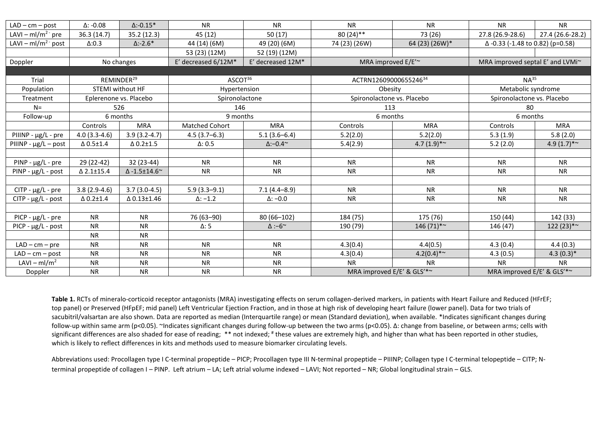| $LAD - cm - post$             | $\Delta$ : -0.08       | $\Delta$ :-0.15*          | <b>NR</b>                          | <b>NR</b>             | <b>NR</b>                                                | <b>NR</b>                | <b>NR</b>                        | <b>NR</b>                |  |
|-------------------------------|------------------------|---------------------------|------------------------------------|-----------------------|----------------------------------------------------------|--------------------------|----------------------------------|--------------------------|--|
| LAVI – ml/m <sup>2-</sup> pre | 36.3(14.7)             | 35.2 (12.3)               | 45 (12)                            | 50(17)                | 80 (24)**                                                | 73 (26)                  | 27.8 (26.9-28.6)                 | 27.4 (26.6-28.2)         |  |
| LAVI – $ml/m^2$ post          | $\Delta:0.3$           | $\Delta$ :-2.6*           | 44 (14) (6M)                       | 49 (20) (6M)          | 74 (23) (26W)                                            | 64 (23) (26W)*           | Δ-0.33 (-1.48 to 0.82) (p=0.58)  |                          |  |
|                               |                        |                           | 53 (23) (12M)                      | 52 (19) (12M)         |                                                          |                          |                                  |                          |  |
| Doppler                       | No changes             |                           | E' decreased $6/12M*$              | E' decreased 12M*     |                                                          | MRA improved E/E'~       | MRA improved septal E' and LVMi~ |                          |  |
|                               |                        |                           |                                    |                       |                                                          |                          |                                  |                          |  |
| Trial                         | REMINDER <sup>29</sup> |                           | $ASCOT^{36}$                       |                       | ACTRN1260900065524634                                    |                          | $NA^{35}$                        |                          |  |
| Population                    |                        | <b>STEMI without HF</b>   | Hypertension                       |                       | Obesity                                                  |                          | Metabolic syndrome               |                          |  |
| Treatment                     |                        | Eplerenone vs. Placebo    | Spironolactone                     |                       | Spironolactone vs. Placebo                               |                          | Spironolactone vs. Placebo       |                          |  |
| $N=$                          |                        | 526                       | 146                                |                       | 113                                                      |                          | 80                               |                          |  |
| Follow-up                     |                        | 6 months                  | 9 months                           |                       | 6 months                                                 |                          | 6 months                         |                          |  |
|                               | Controls               | <b>MRA</b>                | Matched Cohort                     | <b>MRA</b>            | Controls                                                 | <b>MRA</b>               | Controls                         | <b>MRA</b>               |  |
| PIIINP - µg/L - pre           | $4.0(3.3-4.6)$         | $3.9(3.2-4.7)$            | $4.5(3.7-6.3)$                     | $5.1(3.6-6.4)$        | 5.2(2.0)                                                 | 5.2(2.0)                 | 5.3(1.9)                         | 5.8(2.0)                 |  |
| PIIINP - $\mu$ g/L – post     | $\Delta$ 0.5±1.4       | $\Delta$ 0.2±1.5          | $\Delta$ : 0.5                     | $\Delta$ :-0.4 $\sim$ | 5.4(2.9)                                                 | 4.7 $(1.9)$ <sup>*</sup> | 5.2(2.0)                         | 4.9 $(1.7)$ <sup>*</sup> |  |
|                               |                        |                           |                                    |                       |                                                          |                          |                                  |                          |  |
| $PINP - \mu g/L - pre$        | 29 (22-42)             | 32 (23-44)                | <b>NR</b><br><b>NR</b>             |                       | <b>NR</b>                                                | <b>NR</b>                | <b>NR</b>                        | <b>NR</b>                |  |
| $PINP - \mu g/L - post$       | $\triangle$ 2.1±15.4   | $\Delta$ -1.5±14.6 $\sim$ | <b>NR</b>                          | <b>NR</b>             |                                                          | <b>NR</b>                | <b>NR</b>                        | <b>NR</b>                |  |
|                               |                        |                           |                                    |                       |                                                          |                          |                                  |                          |  |
| $CITP - \mu g/L - pre$        | $3.8(2.9-4.6)$         | $3.7(3.0-4.5)$            | $5.9(3.3 - 9.1)$                   | $7.1(4.4 - 8.9)$      | <b>NR</b>                                                | <b>NR</b>                | <b>NR</b>                        | <b>NR</b>                |  |
| $CITP - \mu g/L - post$       | $\Delta$ 0.2 $\pm$ 1.4 | △ 0.13±1.46               | $\Delta$ : -1.2<br>$\Delta$ : -0.0 |                       | <b>NR</b>                                                | <b>NR</b>                | <b>NR</b>                        | <b>NR</b>                |  |
|                               |                        |                           |                                    |                       |                                                          |                          |                                  |                          |  |
| $PICP - \mu g/L - pre$        | <b>NR</b>              | <b>NR</b>                 | 76 (63-90)                         | $80(66-102)$          | 184 (75)                                                 | 175 (76)                 | 150 (44)                         | 142 (33)                 |  |
| $PICP - \mu g/L - post$       | <b>NR</b>              | <b>NR</b>                 | $\Delta$ : 5                       | $\Delta$ :-6~         | 190 (79)                                                 | $146(71)$ *~             | 146 (47)                         | $122(23)*$ ~             |  |
|                               | <b>NR</b>              | <b>NR</b>                 |                                    |                       |                                                          |                          |                                  |                          |  |
| $LAD - cm - pre$              | <b>NR</b>              | <b>NR</b>                 | <b>NR</b>                          | <b>NR</b>             | 4.3(0.4)                                                 | 4.4(0.5)                 | 4.3(0.4)                         | 4.4(0.3)                 |  |
| $LAD - cm - post$             | <b>NR</b>              | <b>NR</b>                 | <b>NR</b>                          | <b>NR</b>             | 4.3(0.4)                                                 | $4.2(0.4)$ <sup>*</sup>  | 4.3(0.5)                         | $4.3(0.3)*$              |  |
| LAVI – ml/m <sup>2</sup>      | <b>NR</b>              | <b>NR</b>                 | <b>NR</b>                          | <b>NR</b>             | <b>NR</b>                                                | <b>NR</b>                | <b>NR</b>                        | <b>NR</b>                |  |
| Doppler                       | <b>NR</b>              | <b>NR</b>                 | <b>NR</b>                          | <b>NR</b>             | MRA improved E/E' & GLS'*~<br>MRA improved E/E' & GLS'*~ |                          |                                  |                          |  |

**Table 1.** RCTs of mineralo-corticoid receptor antagonists (MRA) investigating effects on serum collagen-derived markers, in patients with Heart Failure and Reduced (HFrEF; top panel) or Preserved (HFpEF; mid panel) Left Ventricular Ejection Fraction, and in those at high risk of developing heart failure (lower panel). Data for two trials of sacubitril/valsartan are also shown. Data are reported as median (Interquartile range) or mean (Standard deviation), when available. \*Indicates significant changes during follow-up within same arm (p<0.05). ~Indicates significant changes during follow-up between the two arms (p<0.05). Δ: change from baseline, or between arms; cells with significant differences are also shaded for ease of reading; \*\* not indexed; # these values are extremely high, and higher than what has been reported in other studies, which is likely to reflect differences in kits and methods used to measure biomarker circulating levels.

Abbreviations used: Procollagen type I C-terminal propeptide – PICP; Procollagen type III N-terminal propeptide – PIIINP; Collagen type I C-terminal telopeptide – CITP; Nterminal propeptide of collagen I – PINP. Left atrium – LA; Left atrial volume indexed – LAVI; Not reported – NR; Global longitudinal strain – GLS.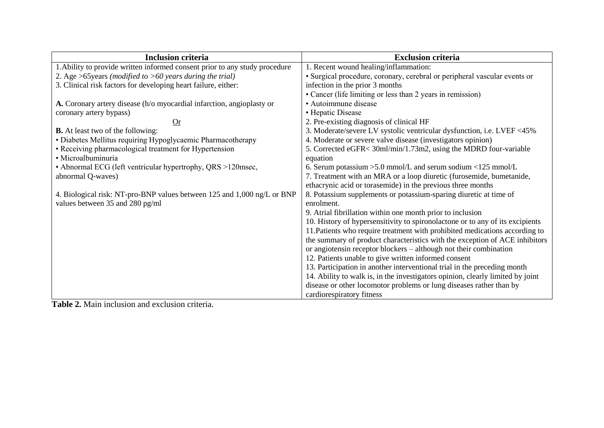| <b>Inclusion criteria</b>                                                   | <b>Exclusion criteria</b>                                                      |
|-----------------------------------------------------------------------------|--------------------------------------------------------------------------------|
| 1. Ability to provide written informed consent prior to any study procedure | 1. Recent wound healing/inflammation:                                          |
| 2. Age >65 years (modified to >60 years during the trial)                   | · Surgical procedure, coronary, cerebral or peripheral vascular events or      |
| 3. Clinical risk factors for developing heart failure, either:              | infection in the prior 3 months                                                |
|                                                                             | • Cancer (life limiting or less than 2 years in remission)                     |
| A. Coronary artery disease (h/o myocardial infarction, angioplasty or       | • Autoimmune disease                                                           |
| coronary artery bypass)                                                     | • Hepatic Disease                                                              |
| Or                                                                          | 2. Pre-existing diagnosis of clinical HF                                       |
| <b>B.</b> At least two of the following:                                    | 3. Moderate/severe LV systolic ventricular dysfunction, i.e. LVEF <45%         |
| · Diabetes Mellitus requiring Hypoglycaemic Pharmacotherapy                 | 4. Moderate or severe valve disease (investigators opinion)                    |
| • Receiving pharmacological treatment for Hypertension                      | 5. Corrected eGFR< 30ml/min/1.73m2, using the MDRD four-variable               |
| · Microalbuminuria                                                          | equation                                                                       |
| • Abnormal ECG (left ventricular hypertrophy, QRS >120msec,                 | 6. Serum potassium $>5.0$ mmol/L and serum sodium $<125$ mmol/L                |
| abnormal Q-waves)                                                           | 7. Treatment with an MRA or a loop diuretic (furosemide, bumetanide,           |
|                                                                             | ethacrynic acid or torasemide) in the previous three months                    |
| 4. Biological risk: NT-pro-BNP values between 125 and 1,000 ng/L or BNP     | 8. Potassium supplements or potassium-sparing diuretic at time of              |
| values between 35 and 280 pg/ml                                             | enrolment.                                                                     |
|                                                                             | 9. Atrial fibrillation within one month prior to inclusion                     |
|                                                                             | 10. History of hypersensitivity to spironolactone or to any of its excipients  |
|                                                                             | 11. Patients who require treatment with prohibited medications according to    |
|                                                                             | the summary of product characteristics with the exception of ACE inhibitors    |
|                                                                             | or angiotensin receptor blockers – although not their combination              |
|                                                                             | 12. Patients unable to give written informed consent                           |
|                                                                             | 13. Participation in another interventional trial in the preceding month       |
|                                                                             | 14. Ability to walk is, in the investigators opinion, clearly limited by joint |
|                                                                             | disease or other locomotor problems or lung diseases rather than by            |
|                                                                             | cardiorespiratory fitness                                                      |

**Table 2.** Main inclusion and exclusion criteria.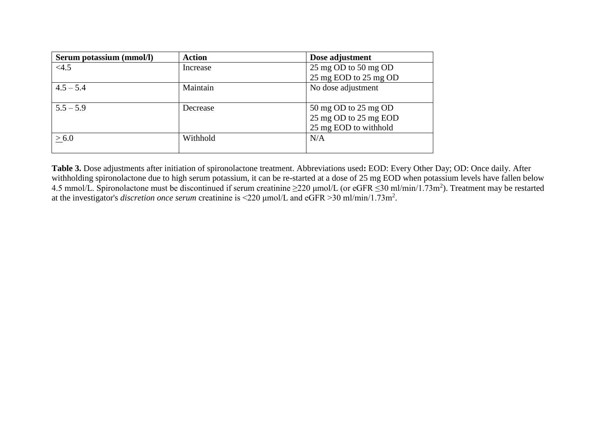| Serum potassium (mmol/l) | <b>Action</b> | Dose adjustment       |
|--------------------------|---------------|-----------------------|
| <4.5                     | Increase      | 25 mg OD to 50 mg OD  |
|                          |               | 25 mg EOD to 25 mg OD |
| $4.5 - 5.4$              | Maintain      | No dose adjustment    |
|                          |               |                       |
| $5.5 - 5.9$              | Decrease      | 50 mg OD to 25 mg OD  |
|                          |               | 25 mg OD to 25 mg EOD |
|                          |               | 25 mg EOD to withhold |
| > 6.0                    | Withhold      | N/A                   |
|                          |               |                       |

**Table 3.** Dose adjustments after initiation of spironolactone treatment. Abbreviations used**:** EOD: Every Other Day; OD: Once daily. After withholding spironolactone due to high serum potassium, it can be re-started at a dose of 25 mg EOD when potassium levels have fallen below 4.5 mmol/L. Spironolactone must be discontinued if serum creatinine  $\geq$ 220 µmol/L (or eGFR  $\leq$ 30 ml/min/1.73m<sup>2</sup>). Treatment may be restarted at the investigator's *discretion once serum* creatinine is <220 μmol/L and eGFR >30 ml/min/1.73m<sup>2</sup> .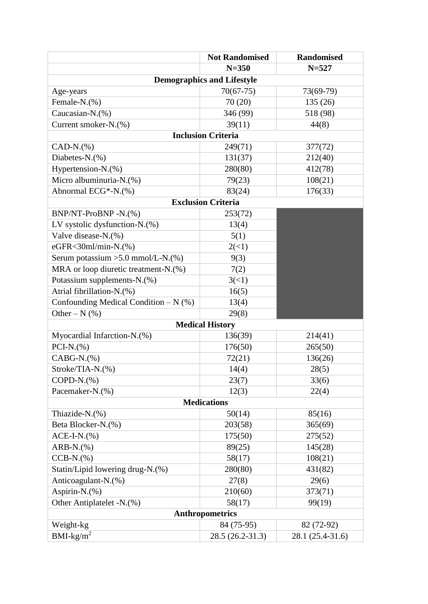|                                        | <b>Not Randomised</b>             | <b>Randomised</b> |  |  |  |  |  |  |  |
|----------------------------------------|-----------------------------------|-------------------|--|--|--|--|--|--|--|
|                                        | $N = 350$                         | $N = 527$         |  |  |  |  |  |  |  |
|                                        | <b>Demographics and Lifestyle</b> |                   |  |  |  |  |  |  |  |
| Age-years                              | $70(67-75)$                       | 73(69-79)         |  |  |  |  |  |  |  |
| Female-N.(%)                           | 70(20)                            | 135 (26)          |  |  |  |  |  |  |  |
| Caucasian-N.(%)                        | 346 (99)                          | 518 (98)          |  |  |  |  |  |  |  |
| Current smoker-N.(%)                   | 39(11)                            | 44(8)             |  |  |  |  |  |  |  |
| <b>Inclusion Criteria</b>              |                                   |                   |  |  |  |  |  |  |  |
| $CAD-N.$ (%)                           | 249(71)                           | 377(72)           |  |  |  |  |  |  |  |
| Diabetes-N.(%)                         | 131(37)                           | 212(40)           |  |  |  |  |  |  |  |
| Hypertension-N.(%)                     | 280(80)                           | 412(78)           |  |  |  |  |  |  |  |
| Micro albuminuria-N.(%)                | 79(23)                            | 108(21)           |  |  |  |  |  |  |  |
| Abnormal ECG*-N.(%)                    | 83(24)                            | 176(33)           |  |  |  |  |  |  |  |
|                                        | <b>Exclusion Criteria</b>         |                   |  |  |  |  |  |  |  |
| BNP/NT-ProBNP-N.(%)                    | 253(72)                           |                   |  |  |  |  |  |  |  |
| LV systolic dysfunction-N.(%)          | 13(4)                             |                   |  |  |  |  |  |  |  |
| Valve disease-N.(%)                    | 5(1)                              |                   |  |  |  |  |  |  |  |
| eGFR<30ml/min-N.(%)                    | 2(<1)                             |                   |  |  |  |  |  |  |  |
| Serum potassium > 5.0 mmol/L-N.(%)     | 9(3)                              |                   |  |  |  |  |  |  |  |
| MRA or loop diuretic treatment-N.(%)   | 7(2)                              |                   |  |  |  |  |  |  |  |
| Potassium supplements-N.(%)            | 3(<1)                             |                   |  |  |  |  |  |  |  |
| Atrial fibrillation-N.(%)              | 16(5)                             |                   |  |  |  |  |  |  |  |
| Confounding Medical Condition $-N$ (%) | 13(4)                             |                   |  |  |  |  |  |  |  |
| Other – $N$ (%)                        | 29(8)                             |                   |  |  |  |  |  |  |  |
|                                        | <b>Medical History</b>            |                   |  |  |  |  |  |  |  |
| Myocardial Infarction-N.(%)            | 136(39)                           | 214(41)           |  |  |  |  |  |  |  |
| $PCI-N.(%)$                            | 176(50)                           | 265(50)           |  |  |  |  |  |  |  |
| $CABG-N.(%)$                           | 72(21)                            | 136(26)           |  |  |  |  |  |  |  |
| Stroke/TIA-N.(%)                       | 14(4)                             | 28(5)             |  |  |  |  |  |  |  |
| $COPD-N.(%)$                           | 23(7)                             | 33(6)             |  |  |  |  |  |  |  |
| Pacemaker-N.(%)                        | 12(3)                             | 22(4)             |  |  |  |  |  |  |  |
|                                        | <b>Medications</b>                |                   |  |  |  |  |  |  |  |
| Thiazide-N.(%)                         | 50(14)                            | 85(16)            |  |  |  |  |  |  |  |
| Beta Blocker-N.(%)                     | 203(58)                           | 365(69)           |  |  |  |  |  |  |  |
| $ACE-I-N.$ (%)                         | 175(50)                           | 275(52)           |  |  |  |  |  |  |  |
| $ARB-N.(%)$                            | 89(25)                            | 145(28)           |  |  |  |  |  |  |  |
| $CCB-N.(%)$                            | 58(17)                            | 108(21)           |  |  |  |  |  |  |  |
| Statin/Lipid lowering drug-N.(%)       | 280(80)                           | 431(82)           |  |  |  |  |  |  |  |
| Anticoagulant-N.(%)                    | 27(8)                             | 29(6)             |  |  |  |  |  |  |  |
| Aspirin-N.(%)                          | 210(60)                           | 373(71)           |  |  |  |  |  |  |  |
| Other Antiplatelet -N.(%)              | 58(17)                            | 99(19)            |  |  |  |  |  |  |  |
|                                        | <b>Anthropometrics</b>            |                   |  |  |  |  |  |  |  |
| Weight-kg                              | 84 (75-95)                        | 82 (72-92)        |  |  |  |  |  |  |  |
| $BMI-kg/m2$                            | 28.5 (26.2-31.3)                  | 28.1 (25.4-31.6)  |  |  |  |  |  |  |  |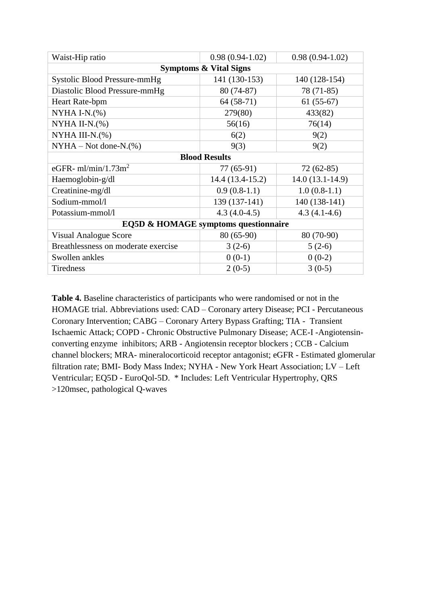| Waist-Hip ratio                      | $0.98(0.94-1.02)$    | $0.98(0.94-1.02)$ |  |  |  |  |  |  |
|--------------------------------------|----------------------|-------------------|--|--|--|--|--|--|
| <b>Symptoms &amp; Vital Signs</b>    |                      |                   |  |  |  |  |  |  |
| Systolic Blood Pressure-mmHg         | 141 (130-153)        | 140 (128-154)     |  |  |  |  |  |  |
| Diastolic Blood Pressure-mmHg        | 80 (74-87)           | 78 (71-85)        |  |  |  |  |  |  |
| Heart Rate-bpm                       | $64(58-71)$          | $61(55-67)$       |  |  |  |  |  |  |
| NYHA I-N. $(\%)$                     | 279(80)              | 433(82)           |  |  |  |  |  |  |
| NYHA II-N. $(\%)$                    | 56(16)               | 76(14)            |  |  |  |  |  |  |
| NYHA III-N. $(\%)$                   | 6(2)                 | 9(2)              |  |  |  |  |  |  |
| $NYHA - Not done-N.(%)$              | 9(3)                 | 9(2)              |  |  |  |  |  |  |
|                                      | <b>Blood Results</b> |                   |  |  |  |  |  |  |
| eGFR- $ml/min/1.73m2$                | 77 (65-91)           | $72(62-85)$       |  |  |  |  |  |  |
| Haemoglobin-g/dl                     | $14.4(13.4-15.2)$    | $14.0(13.1-14.9)$ |  |  |  |  |  |  |
| Creatinine-mg/dl                     | $0.9(0.8-1.1)$       | $1.0(0.8-1.1)$    |  |  |  |  |  |  |
| Sodium-mmol/l                        | 139 (137-141)        | 140 (138-141)     |  |  |  |  |  |  |
| Potassium-mmol/l                     | $4.3(4.0-4.5)$       | $4.3(4.1-4.6)$    |  |  |  |  |  |  |
| EQ5D & HOMAGE symptoms questionnaire |                      |                   |  |  |  |  |  |  |
| <b>Visual Analogue Score</b>         | $80(65-90)$          | 80 (70-90)        |  |  |  |  |  |  |
| Breathlessness on moderate exercise  | $3(2-6)$             | $5(2-6)$          |  |  |  |  |  |  |
| Swollen ankles                       | $0(0-1)$             | $0(0-2)$          |  |  |  |  |  |  |
| <b>Tiredness</b>                     | $2(0-5)$             | $3(0-5)$          |  |  |  |  |  |  |

**Table 4.** Baseline characteristics of participants who were randomised or not in the HOMAGE trial. Abbreviations used: CAD – Coronary artery Disease; PCI - Percutaneous Coronary Intervention; CABG – Coronary Artery Bypass Grafting; TIA - Transient Ischaemic Attack; COPD - Chronic Obstructive Pulmonary Disease; ACE-I -Angiotensinconverting enzyme inhibitors; ARB - Angiotensin receptor blockers ; CCB - Calcium channel blockers; MRA- mineralocorticoid receptor antagonist; eGFR - Estimated glomerular filtration rate; BMI- Body Mass Index; NYHA - New York Heart Association; LV – Left Ventricular; EQ5D - EuroQol-5D. \* Includes: Left Ventricular Hypertrophy, QRS >120msec, pathological Q-waves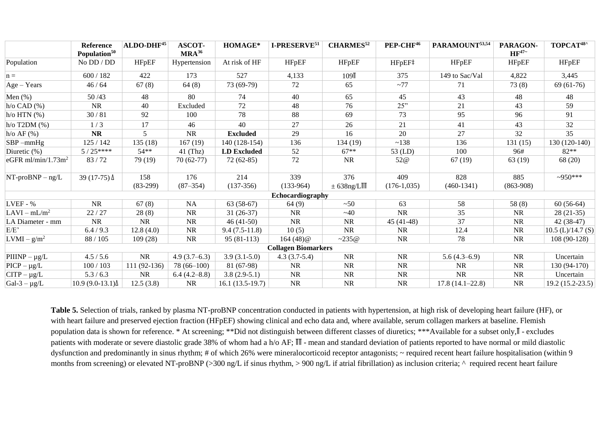|                                | <b>Reference</b><br>Population <sup>50</sup> | $ALDO-DHF45$      | <b>ASCOT-</b><br>$MRA^{36}$ | HOMAGE*            | I-PRESERVE <sup>51</sup>   | <b>CHARMES</b> <sup>52</sup> | PEP-CHF <sup>46</sup> | PARAMOUNT53,54      | PARAGON-<br>$HF^{47}$ | TOPCAT <sup>48^</sup> |
|--------------------------------|----------------------------------------------|-------------------|-----------------------------|--------------------|----------------------------|------------------------------|-----------------------|---------------------|-----------------------|-----------------------|
| Population                     | No DD / DD                                   | <b>HFpEF</b>      | Hypertension                | At risk of HF      | <b>HFpEF</b>               | <b>HFpEF</b>                 | HFpEF‡                | <b>HFpEF</b>        | <b>HFpEF</b>          | <b>HFpEF</b>          |
| $n =$                          | 600/182                                      | 422               | 173                         | 527                | 4,133                      | 109 <sub>I</sub>             | 375                   | 149 to Sac/Val      | 4,822                 | 3,445                 |
| $Age - Years$                  | 46/64                                        | 67(8)             | 64(8)                       | 73 (69-79)         | 72                         | 65                           | ~1                    | 71                  | 73(8)                 | $69(61-76)$           |
| Men $(\%)$                     | 50/43                                        | 48                | 80                          | 74                 | 40                         | 65                           | 45                    | 43                  | 48                    | 48                    |
| $h$ /o CAD $(\%)$              | NR.                                          | 40                | Excluded                    | 72                 | 48                         | 76                           | 25"                   | 21                  | 43                    | 59                    |
| $h$ /o HTN $(%)$               | 30/81                                        | 92                | 100                         | 78                 | 88                         | 69                           | 73                    | 95                  | 96                    | 91                    |
| $h$ /o T2DM $(\%)$             | 1/3                                          | 17                | 46                          | 40                 | 27                         | 26                           | 21                    | 41                  | 43                    | 32                    |
| $h$ /o AF $(\%)$               | <b>NR</b>                                    | $\overline{5}$    | <b>NR</b>                   | <b>Excluded</b>    | 29                         | 16                           | 20                    | 27                  | 32                    | 35                    |
| $SBP$ -mmHg                    | 125/142                                      | 135(18)           | 167(19)                     | 140 (128-154)      | 136                        | 134 (19)                     | ~138                  | 136                 | 131(15)               | 130 (120-140)         |
| Diuretic (%)                   | $5/25***$                                    | $54**$            | $41$ (Thz)                  | <b>LD</b> Excluded | 52                         | $67**$                       | 53 (LD)               | 100                 | 96#                   | $82**$                |
| eGFR ml/min/1.73m <sup>2</sup> | 83/72                                        | 79 (19)           | $70(62-77)$                 | $72(62-85)$        | 72                         | <b>NR</b>                    | 52 <sub>@</sub>       | 67(19)              | 63 (19)               | 68 (20)               |
| $NT-proBNP - ng/L$             | $39(17-75)$ $\Delta$                         | 158<br>$(83-299)$ | 176<br>$(87 - 354)$         | 214<br>$(137-356)$ | 339<br>$(133-964)$         | 376<br>$\pm$ 638ng/LIII      | 409<br>$(176-1,035)$  | 828<br>$(460-1341)$ | 885<br>$(863-908)$    | $-950***$             |
|                                |                                              |                   |                             |                    | Echocardiography           |                              |                       |                     |                       |                       |
| $LVEF - %$                     | <b>NR</b>                                    | 67(8)             | NA                          | $63(58-67)$        | 64(9)                      | ~50                          | 63                    | 58                  | 58(8)                 | $60(56-64)$           |
| $LAVI - mL/m2$                 | 22/27                                        | 28(8)             | <b>NR</b>                   | $31(26-37)$        | <b>NR</b>                  | ~140                         | <b>NR</b>             | 35                  | <b>NR</b>             | $28(21-35)$           |
| LA Diameter - mm               | NR                                           | <b>NR</b>         | <b>NR</b>                   | $46(41-50)$        | <b>NR</b>                  | <b>NR</b>                    | $45(41-48)$           | 37                  | <b>NR</b>             | $42(38-47)$           |
| E/E                            | 6.4 / 9.3                                    | 12.8(4.0)         | <b>NR</b>                   | $9.4(7.5-11.8)$    | 10(5)                      | <b>NR</b>                    | <b>NR</b>             | 12.4                | <b>NR</b>             | $10.5$ (L)/14.7 (S)   |
| $ LVMI - g/m^2 $               | 88 / 105                                     | 109(28)           | <b>NR</b>                   | $95(81-113)$       | $164(48)$ @                | $-235@$                      | <b>NR</b>             | 78                  | <b>NR</b>             | 108 (90-128)          |
|                                |                                              |                   |                             |                    | <b>Collagen Biomarkers</b> |                              |                       |                     |                       |                       |
| $\rm PIIINP - \mu g/L$         | 4.5 / 5.6                                    | <b>NR</b>         | $4.9(3.7-6.3)$              | $3.9(3.1-5.0)$     | $4.3(3.7-5.4)$             | <b>NR</b>                    | <b>NR</b>             | $5.6(4.3-6.9)$      | <b>NR</b>             | Uncertain             |
| $\text{PICP} - \mu g / L$      | 100/103                                      | 111 (92-136)      | $78(66-100)$                | 81 (67-98)         | <b>NR</b>                  | <b>NR</b>                    | <b>NR</b>             | <b>NR</b>           | <b>NR</b>             | 130 (94-170)          |
| $\text{CTTP} - \mu \text{g/L}$ | 5.3 / 6.3                                    | NR                | 6.4(4.2–8.8)                | $3.8(2.9-5.1)$     | <b>NR</b>                  | $\rm NR$                     | <b>NR</b>             | <b>NR</b>           | <b>NR</b>             | Uncertain             |
| $\text{Gal-3}-\mu\text{g/L}$   | $10.9(9.0-13.1)$                             | 12.5(3.8)         | <b>NR</b>                   | $16.1(13.5-19.7)$  | NR                         | <b>NR</b>                    | <b>NR</b>             | $17.8(14.1 - 22.8)$ | <b>NR</b>             | $19.2(15.2-23.5)$     |

**Table 5.** Selection of trials, ranked by plasma NT-proBNP concentration conducted in patients with hypertension, at high risk of developing heart failure (HF), or with heart failure and preserved ejection fraction (HFpEF) showing clinical and echo data and, where available, serum collagen markers at baseline. Flemish population data is shown for reference. \* At screening; \*\*Did not distinguish between different classes of diuretics; \*\*\*Available for a subset only,∏ - excludes patients with moderate or severe diastolic grade 38% of whom had a h/o AF; Ⅲ - mean and standard deviation of patients reported to have normal or mild diastolic dysfunction and predominantly in sinus rhythm; # of which 26% were mineralocorticoid receptor antagonists; ~ required recent heart failure hospitalisation (within 9 months from screening) or elevated NT-proBNP (>300 ng/L if sinus rhythm, > 900 ng/L if atrial fibrillation) as inclusion criteria;  $\land$  required recent heart failure